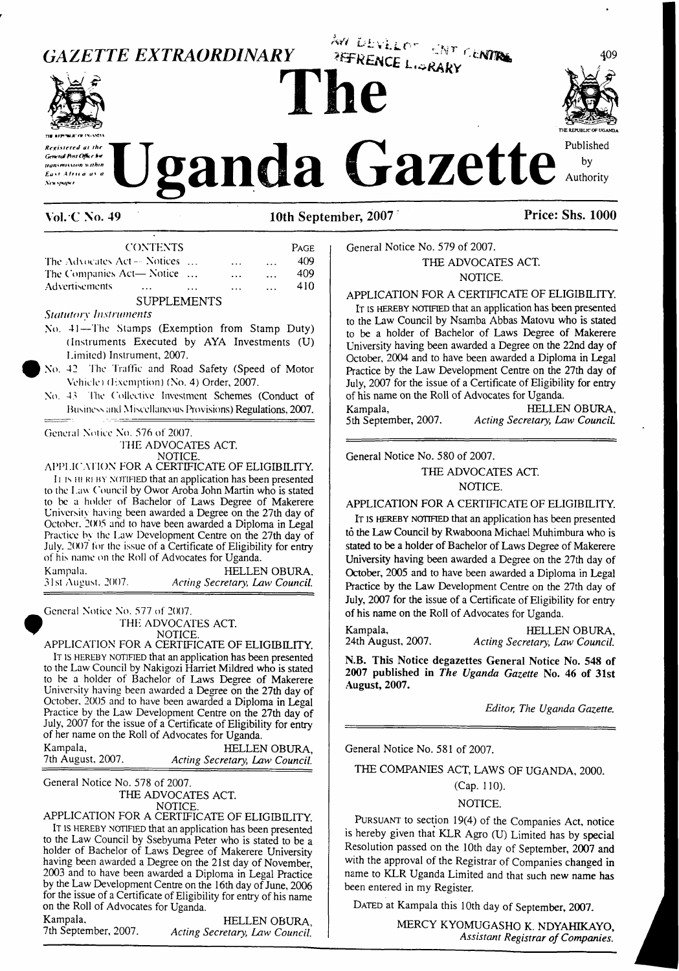

 $Acting$  *Secretary, Law Council.* 

MERCY KYOMUGASHO K. NDYAHIKAYO, *Assistant Registrar ofCompanies.*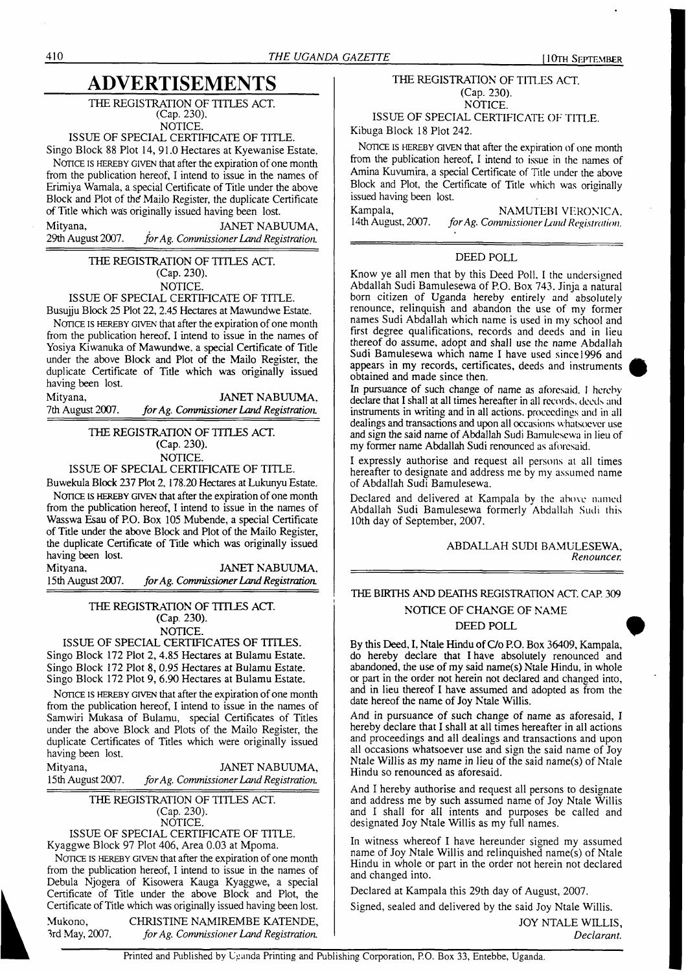# **ADVERTISEMENTS**

THE REGISTRATION OF TITLES ACT. (Cap. 230).

NOTICE.

### ISSUE OF SPECIAL CERTIFICATE OF TITLE.

Singo Block 88 Plot 14, 91.0 Hectares at Kyewanise Estate. NOTICE IS HEREBY GIVEN that after the expiration of one month from the publication hereof, I intend to issue in the names of Erimiya Wamala, a special Certificate of Title under the above Block and Plot of the Mailo Register, the duplicate Certificate of Title which was originally issued having been lost.

Mityana, JANET NABUUMA, JANET NABUUMA, 29th August 2007. *for Ag. Commissioner Land Registration*. 29th August 2007. *forAg. CommissionerLand Registration*

> THE REGISTRATION OF TITLES ACT. (Cap. 230). NOTICE.

### ISSUE OF SPECIAL CERTIFICATE OF TITLE.

Busujju Block 25 Plot 22, 2.45 Hectares at Mawundwe Estate. NOTICE IS HEREBY GIVEN that after the expiration of one month from the publication hereof, I intend to issue in the names of Yosiya Kiwanuka of Mawundwe. a special Certificate of Title under the above Block and Plot of the Mailo Register, the duplicate Certificate of Title which was originally issued having been lost.

| Mityana,         | JANET NABUUMA,                          |
|------------------|-----------------------------------------|
| 7th August 2007. | for Ag. Commissioner Land Registration. |

#### THE REGISTRATION OF TITLES ACT. (Cap. 230). NOTICE.

#### ISSUE OF SPECIAL CERTIFICATE OF TITLE.

Buwekula Block 237 Plot 2,178.20 Hectares at Lukunyu Estate. NOTICE IS HEREBY GIVEN that after the expiration of one month from the publication hereof, I intend to issue in the names of Wasswa Esau of P.O. Box 105 Mubende, a special Certificate of Title under the above Block and Plot of the Mailo Register, the duplicate Certificate of Title which was originally issued having been lost.

| Mityana,          | JANET NABUUMA,                          |
|-------------------|-----------------------------------------|
| 15th August 2007. | for Ag. Commissioner Land Registration. |

THE REGISTRATION OF TITLES ACT. (Cap. 230).

# NOTICE.

ISSUE OF SPECIAL CERTIFICATES OF TITLES. Singo Block 172 Plot 2, 4.85 Hectares at Bulamu Estate. Singo Block 172 Plot 8, 0.95 Hectares at Bulamu Estate. Singo Block 172 Plot 9, 6.90 Hectares at Bulamu Estate.

NOTICE IS HEREBY GIVEN that after the expiration of one month from the publication hereof, I intend to issue in the names of Samwiri Mukasa of Bulamu, special Certificates of Titles under the above Block and Plots of the Mailo Register, the duplicate Certificates of Titles which were originally issued having been lost.

Mityana, JANET NABUUMA, <sup>1</sup>5th August 2007. *forAg. CommissionerLand Registration.*

> THE REGISTRATION OF TITLES ACT. (Cap. 230). NOTICE.

ISSUE OF SPECIAL CERTIFICATE OF TITLE. Kyaggwe Block 97 Plot 406, Area 0.03 at Mpoma.

NOTICE IS HEREBY GIVEN that after the expiration of one month from the publication hereof, I intend to issue in the names of Debula Njogera of Kisowera Kauga Kyaggwe, a special Certificate of Title under the above Block and Plot, the Certificate of Title which was originally issued having been lost.

Mukono, CHRISTINE NAMIREMBE KATENDE, 3rd May, 2007. *forAg. Commissioner Land Registration.*

#### THE REGISTRATION OF TITLES ACT. (Cap. 230). NOTICE.

ISSUE OF SPECIAL CERTIFICATE OF TITLE.

Kibuga Block 18 Plot 242.

NOTICE IS HEREBY GIVEN that after the expiration of one month from the publication hereof, I intend to issue in the names of Amina Kuvumira, a special Certificate of Title under the above Block and Plot, the Certificate of Title which was originally issued having been lost.

Kampala, NAMUTEBI VERONICA, NAMUTEBI VERONICA, 14th August, 2007. for Ag. Commissioner Land Registration. 14th August, 2007. *forAg. Commissioner Land Registration.*

#### DEED POLL

Know ye all men that by this Deed Poll. I the undersigned Abdallah Sudi Bamulesewa of P.O. Box 743. Jinja a natural born citizen of Uganda hereby entirely and absolutely renounce, relinquish and abandon the use of my former names Sudi Abdallah which name is used in my school and first degree qualifications, records and deeds and in lieu thereof do assume, adopt and shall use the name Abdallah Sudi Bamulesewa which name I have used since 1996 and appears in my records, certificates, deeds and instruments obtained and made since then.

In pursuance of such change of name as aforesaid. <sup>I</sup> hereby declare that I shall at all times hereafter in all records, deeds and instruments in writing and in all actions, proceedings and in all dealings and transactions and upon all occasions whatsoever use and sign the said name of Abdallah Sudi Bamulesewa in lieu of my former name Abdallah Sudi renounced as aforesaid.

I expressly authorise and request all persons at all times hereafter to designate and address me by my assumed name of Abdallah Sudi Bamulesewa.

Declared and delivered at Kampala by the above named Abdallah Sudi Bamulesewa formerly Abdallah Sudi this 10th day of September, 2007.

#### ABDALLAH SUDI BAMULESEWA, *Renouncer.*

#### THE BIRTHS AND DEATHS REGISTRATION ACT. CAP. 309

#### NOTICE OF CHANGE OF NAME

#### DEED POLL

By this Deed, I, Ntale Hindu of C/o P.O. Box 36409, Kampala, do hereby declare that I have absolutely renounced and abandoned, the use of my said name(s) Ntale Hindu, in whole or part in the order not herein not declared and changed into, and in lieu thereof I have assumed and adopted as from the date hereof the name of Joy Ntale Willis.

And in pursuance of such change of name as aforesaid, I hereby declare that I shall at all times hereafter in all actions and proceedings and all dealings and transactions and upon all occasions whatsoever use and sign the said name of Joy Ntale Willis as my name in lieu of the said name(s) of Ntale Hindu so renounced as aforesaid.

And I hereby authorise and request all persons to designate and address me by such assumed name of Joy Ntale Willis and I shall for all intents and purposes be called and designated Joy Ntale Willis as my full names.

In witness whereof I have hereunder signed my assumed name of Joy Ntale Willis and relinquished name(s) of Ntale Hindu in whole or part in the order not herein not declared and changed into.

Declared at Kampala this 29th day of August, 2007.

Signed, sealed and delivered by the said Joy Ntale Willis.

JOY NTALE WILLIS, *Declarant.*

Printed and Published by Uganda Printing and Publishing Corporation, P.O. Box 33, Entebbe, Uganda.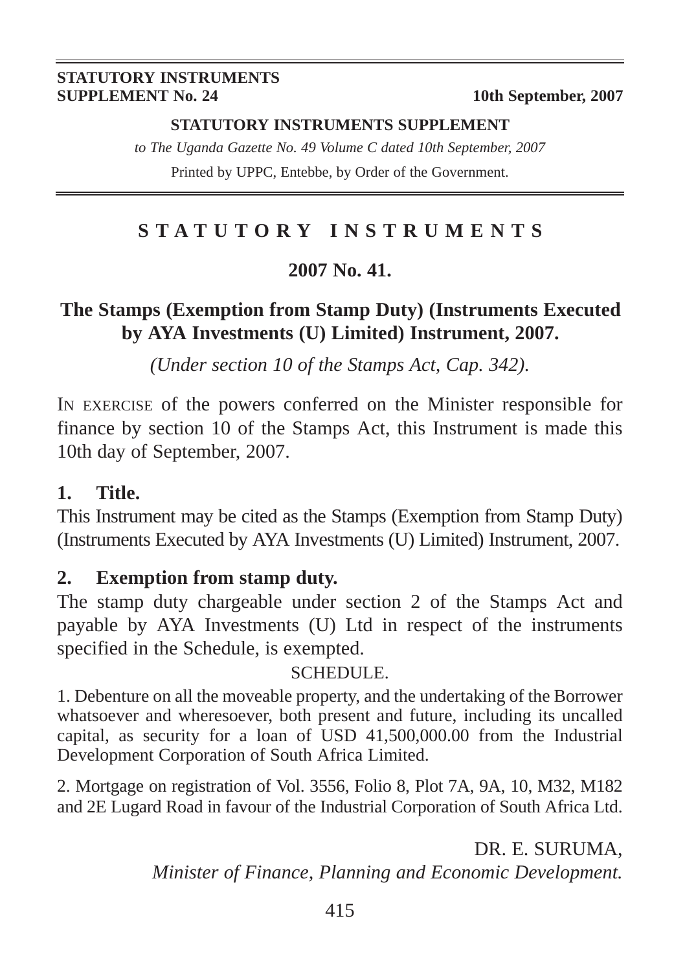#### **STATUTORY INSTRUMENTS SUPPLEMENT No. 24** 10th September, 2007

#### **STATUTORY INSTRUMENTS SUPPLEMENT**

*to The Uganda Gazette No. 49 Volume C dated 10th September, 2007* Printed by UPPC, Entebbe, by Order of the Government.

# **STATUTORY INSTRUMENTS**

### **2007 No. 41.**

# **The Stamps (Exemption from Stamp Duty) (Instruments Executed by AYA Investments (U) Limited) Instrument, 2007.**

*(Under section 10 of the Stamps Act, Cap. 342).*

IN EXERCISE of the powers conferred on the Minister responsible for finance by section 10 of the Stamps Act, this Instrument is made this 10th day of September, 2007.

### **1. Title.**

This Instrument may be cited as the Stamps (Exemption from Stamp Duty) (Instruments Executed by AYA Investments (U) Limited) Instrument, 2007.

### **2. Exemption from stamp duty.**

The stamp duty chargeable under section 2 of the Stamps Act and payable by AYA Investments (U) Ltd in respect of the instruments specified in the Schedule, is exempted.

### SCHEDULE.

1. Debenture on all the moveable property, and the undertaking of the Borrower whatsoever and wheresoever, both present and future, including its uncalled capital, as security for a loan of USD 41,500,000.00 from the Industrial Development Corporation of South Africa Limited.

2. Mortgage on registration of Vol. 3556, Folio 8, Plot 7A, 9A, 10, M32, M182 and 2E Lugard Road in favour of the Industrial Corporation of South Africa Ltd.

> DR. E. SURUMA, *Minister of Finance, Planning and Economic Development.*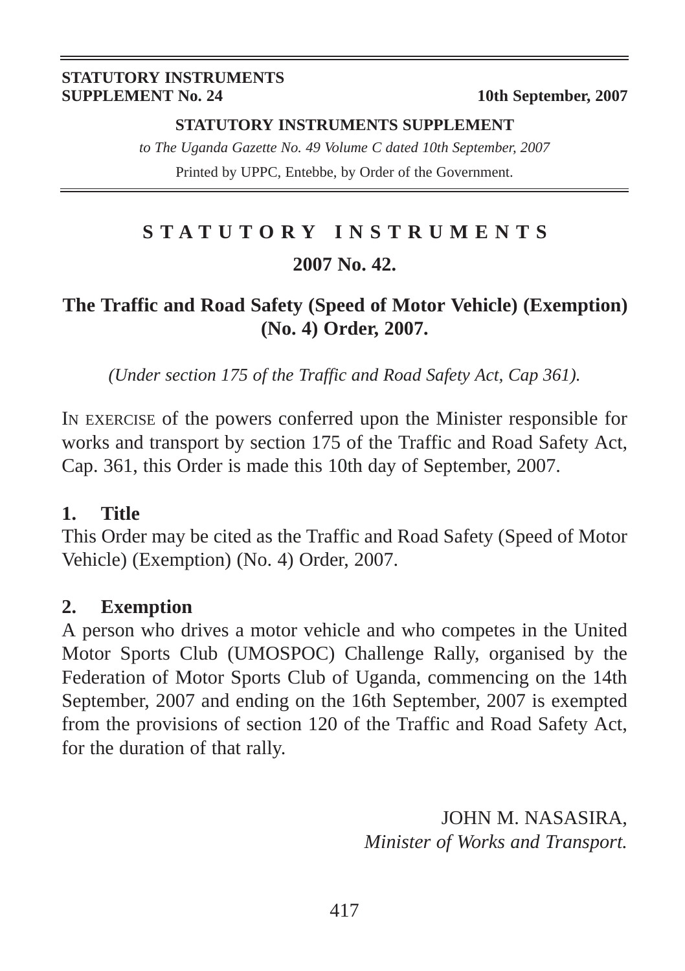#### **STATUTORY INSTRUMENTS SUPPLEMENT No. 24** 10th September, 2007

#### **STATUTORY INSTRUMENTS SUPPLEMENT**

*to The Uganda Gazette No. 49 Volume C dated 10th September, 2007* Printed by UPPC, Entebbe, by Order of the Government.

# **STATUTORY INSTRUMENTS 2007 No. 42.**

## **The Traffic and Road Safety (Speed of Motor Vehicle) (Exemption) (No. 4) Order, 2007.**

*(Under section 175 of the Traffic and Road Safety Act, Cap 361).*

IN EXERCISE of the powers conferred upon the Minister responsible for works and transport by section 175 of the Traffic and Road Safety Act, Cap. 361, this Order is made this 10th day of September, 2007.

### **1. Title**

This Order may be cited as the Traffic and Road Safety (Speed of Motor Vehicle) (Exemption) (No. 4) Order, 2007.

### **2. Exemption**

A person who drives a motor vehicle and who competes in the United Motor Sports Club (UMOSPOC) Challenge Rally, organised by the Federation of Motor Sports Club of Uganda, commencing on the 14th September, 2007 and ending on the 16th September, 2007 is exempted from the provisions of section 120 of the Traffic and Road Safety Act, for the duration of that rally.

> JOHN M. NASASIRA, *Minister of Works and Transport.*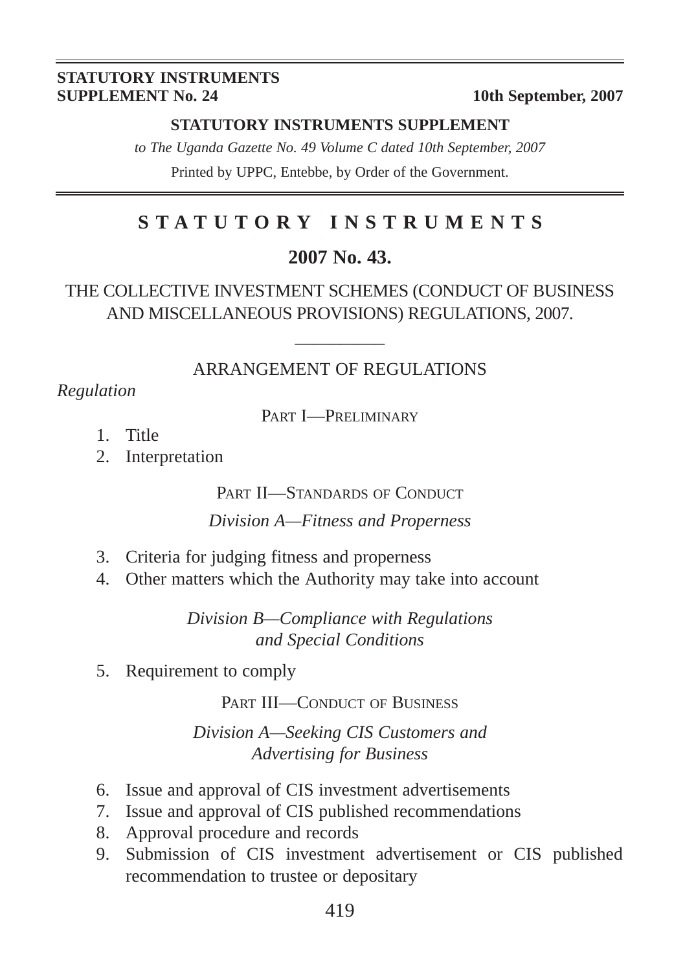#### **STATUTORY INSTRUMENTS SUPPLEMENT No. 24** 10th September, 2007

#### **STATUTORY INSTRUMENTS SUPPLEMENT**

*to The Uganda Gazette No. 49 Volume C dated 10th September, 2007* Printed by UPPC, Entebbe, by Order of the Government.

# **STATUTORY INSTRUMENTS**

### **2007 No. 43.**

### THE COLLECTIVE INVESTMENT SCHEMES (CONDUCT OF BUSINESS AND MISCELLANEOUS PROVISIONS) REGULATIONS, 2007.

# $\overline{\phantom{a}}$ ARRANGEMENT OF REGULATIONS

*Regulation*

PART I—PRELIMINARY

- 1. Title
- 2. Interpretation

PART II—STANDARDS OF CONDUCT

*Division A—Fitness and Properness*

- 3. Criteria for judging fitness and properness
- 4. Other matters which the Authority may take into account

*Division B—Compliance with Regulations and Special Conditions*

5. Requirement to comply

PART III—CONDUCT OF BUSINESS

*Division A—Seeking CIS Customers and Advertising for Business*

- 6. Issue and approval of CIS investment advertisements
- 7. Issue and approval of CIS published recommendations
- 8. Approval procedure and records
- 9. Submission of CIS investment advertisement or CIS published recommendation to trustee or depositary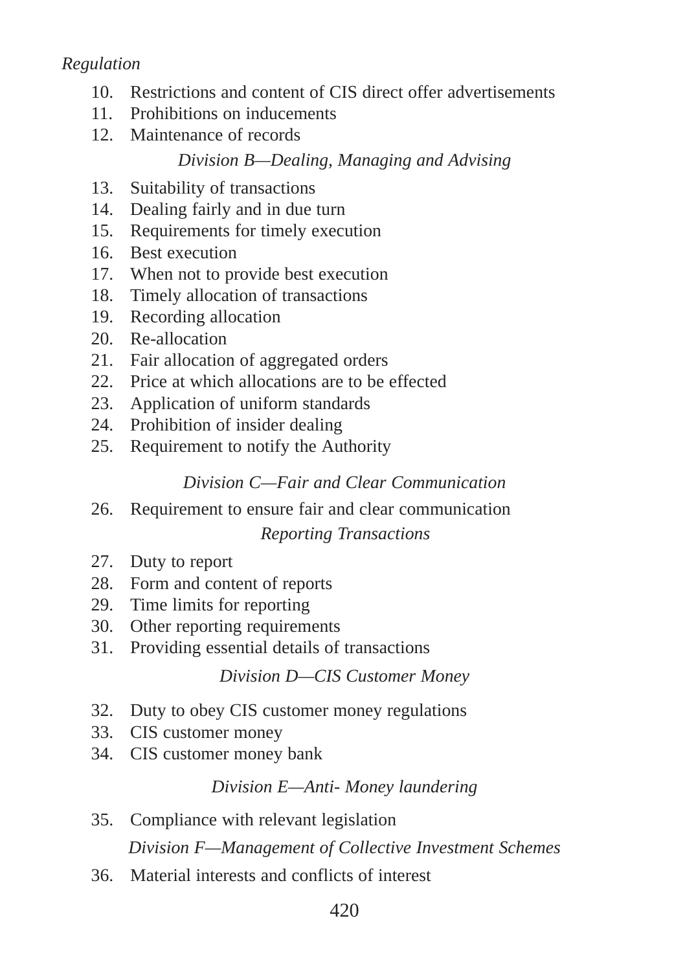### *Regulation*

- 10. Restrictions and content of CIS direct offer advertisements
- 11. Prohibitions on inducements
- 12. Maintenance of records

### *Division B—Dealing, Managing and Advising*

- 13. Suitability of transactions
- 14. Dealing fairly and in due turn
- 15. Requirements for timely execution
- 16. Best execution
- 17. When not to provide best execution
- 18. Timely allocation of transactions
- 19. Recording allocation
- 20. Re-allocation
- 21. Fair allocation of aggregated orders
- 22. Price at which allocations are to be effected
- 23. Application of uniform standards
- 24. Prohibition of insider dealing
- 25. Requirement to notify the Authority

### *Division C—Fair and Clear Communication*

- 26. Requirement to ensure fair and clear communication *Reporting Transactions*
- 27. Duty to report
- 28. Form and content of reports
- 29. Time limits for reporting
- 30. Other reporting requirements
- 31. Providing essential details of transactions

### *Division D—CIS Customer Money*

- 32. Duty to obey CIS customer money regulations
- 33. CIS customer money
- 34. CIS customer money bank

### *Division E—Anti- Money laundering*

- 35. Compliance with relevant legislation *Division F—Management of Collective Investment Schemes*
- 36. Material interests and conflicts of interest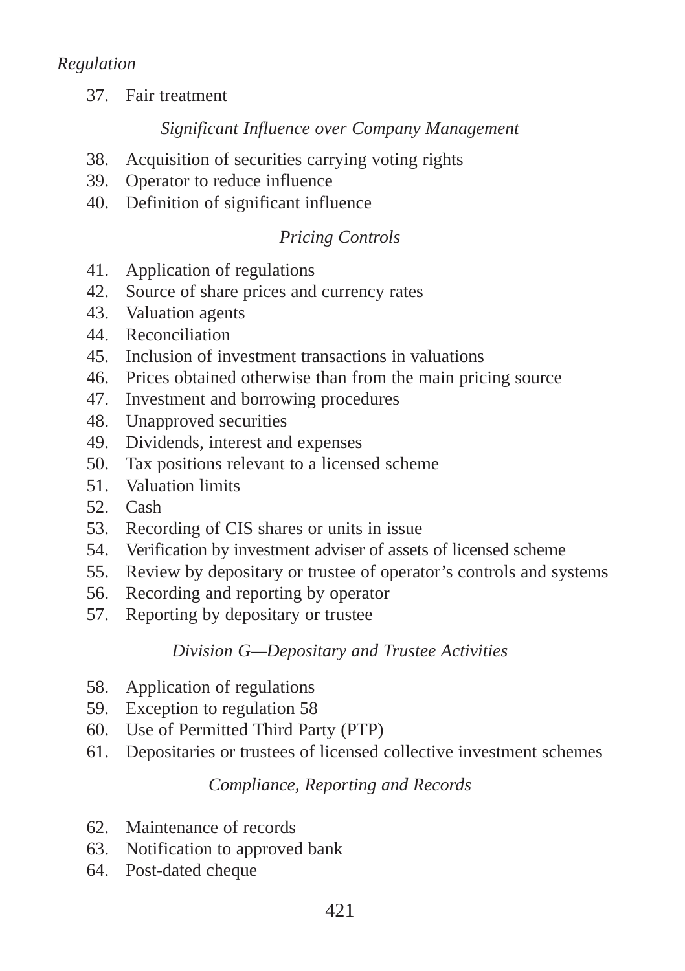37. Fair treatment

### *Significant Influence over Company Management*

- 38. Acquisition of securities carrying voting rights
- 39. Operator to reduce influence
- 40. Definition of significant influence

### *Pricing Controls*

- 41. Application of regulations
- 42. Source of share prices and currency rates
- 43. Valuation agents
- 44. Reconciliation
- 45. Inclusion of investment transactions in valuations
- 46. Prices obtained otherwise than from the main pricing source
- 47. Investment and borrowing procedures
- 48. Unapproved securities
- 49. Dividends, interest and expenses
- 50. Tax positions relevant to a licensed scheme
- 51. Valuation limits
- 52. Cash
- 53. Recording of CIS shares or units in issue
- 54. Verification by investment adviser of assets of licensed scheme
- 55. Review by depositary or trustee of operator's controls and systems
- 56. Recording and reporting by operator
- 57. Reporting by depositary or trustee

### *Division G—Depositary and Trustee Activities*

- 58. Application of regulations
- 59. Exception to regulation 58
- 60. Use of Permitted Third Party (PTP)
- 61. Depositaries or trustees of licensed collective investment schemes

### *Compliance, Reporting and Records*

- 62. Maintenance of records
- 63. Notification to approved bank
- 64. Post-dated cheque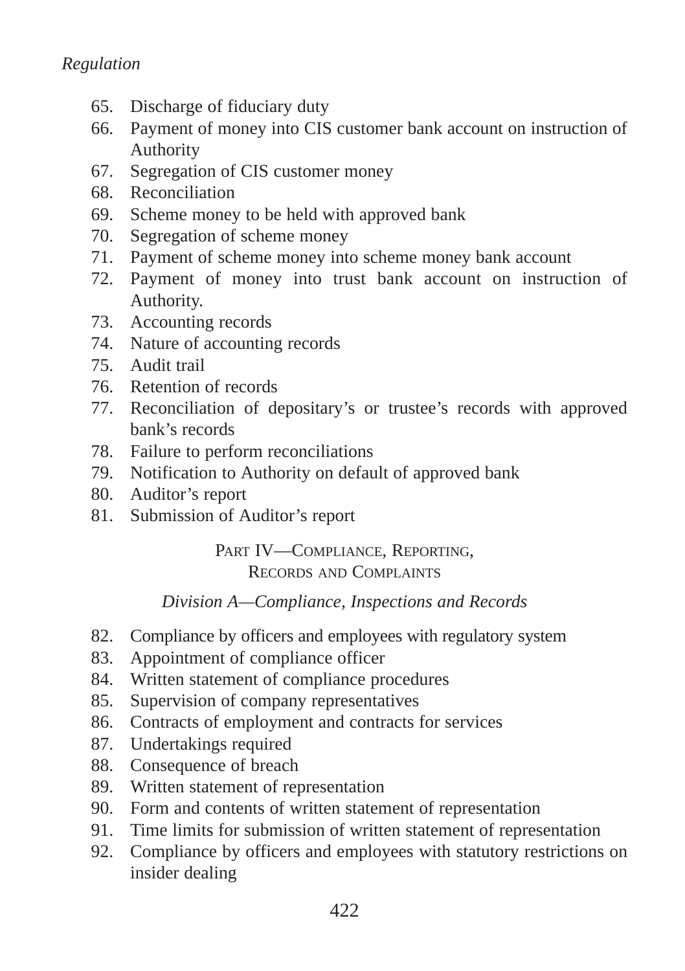- 65. Discharge of fiduciary duty
- 66. Payment of money into CIS customer bank account on instruction of Authority
- 67. Segregation of CIS customer money
- 68. Reconciliation
- 69. Scheme money to be held with approved bank
- 70. Segregation of scheme money
- 71. Payment of scheme money into scheme money bank account
- 72. Payment of money into trust bank account on instruction of Authority.
- 73. Accounting records
- 74. Nature of accounting records
- 75. Audit trail
- 76. Retention of records
- 77. Reconciliation of depositary's or trustee's records with approved bank's records
- 78. Failure to perform reconciliations
- 79. Notification to Authority on default of approved bank
- 80. Auditor's report
- 81. Submission of Auditor's report

PART IV-COMPLIANCE, REPORTING, RECORDS AND COMPLAINTS

### *Division A—Compliance, Inspections and Records*

- 82. Compliance by officers and employees with regulatory system
- 83. Appointment of compliance officer
- 84. Written statement of compliance procedures
- 85. Supervision of company representatives
- 86. Contracts of employment and contracts for services
- 87. Undertakings required
- 88. Consequence of breach
- 89. Written statement of representation
- 90. Form and contents of written statement of representation
- 91. Time limits for submission of written statement of representation
- 92. Compliance by officers and employees with statutory restrictions on insider dealing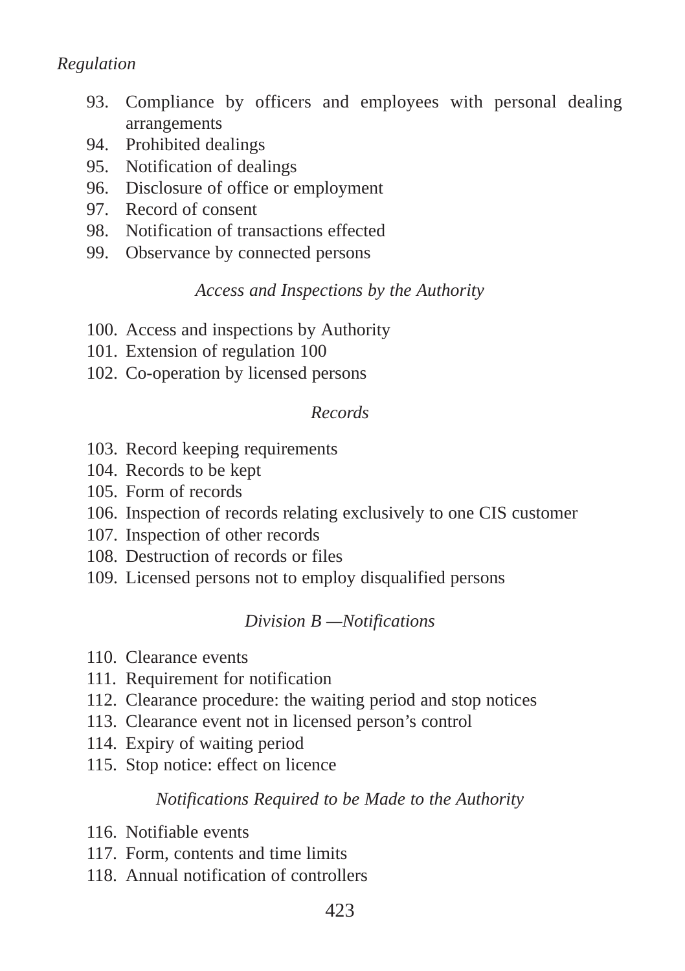### *Regulation*

- 93. Compliance by officers and employees with personal dealing arrangements
- 94. Prohibited dealings
- 95. Notification of dealings
- 96. Disclosure of office or employment
- 97. Record of consent
- 98. Notification of transactions effected
- 99. Observance by connected persons

#### *Access and Inspections by the Authority*

- 100. Access and inspections by Authority
- 101. Extension of regulation 100
- 102. Co-operation by licensed persons

#### *Records*

- 103. Record keeping requirements
- 104. Records to be kept
- 105. Form of records
- 106. Inspection of records relating exclusively to one CIS customer
- 107. Inspection of other records
- 108. Destruction of records or files
- 109. Licensed persons not to employ disqualified persons

### *Division B —Notifications*

- 110. Clearance events
- 111. Requirement for notification
- 112. Clearance procedure: the waiting period and stop notices
- 113. Clearance event not in licensed person's control
- 114. Expiry of waiting period
- 115. Stop notice: effect on licence

#### *Notifications Required to be Made to the Authority*

- 116. Notifiable events
- 117. Form, contents and time limits
- 118. Annual notification of controllers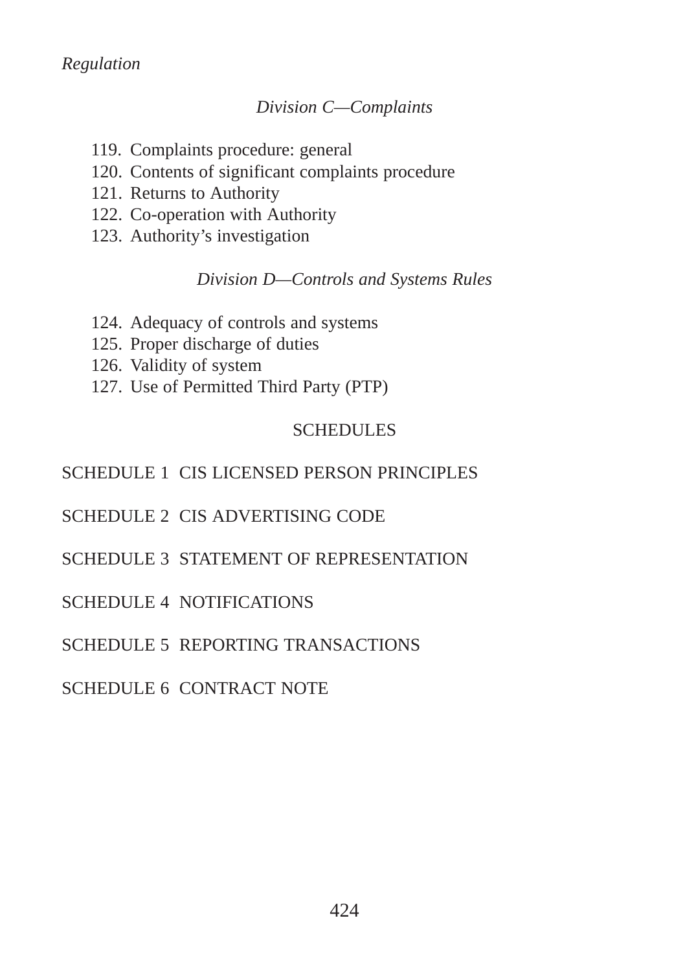### *Division C—Complaints*

- 119. Complaints procedure: general
- 120. Contents of significant complaints procedure
- 121. Returns to Authority
- 122. Co-operation with Authority
- 123. Authority's investigation

### *Division D—Controls and Systems Rules*

- 124. Adequacy of controls and systems
- 125. Proper discharge of duties
- 126. Validity of system
- 127. Use of Permitted Third Party (PTP)

### SCHEDULES

### SCHEDULE 1 CIS LICENSED PERSON PRINCIPLES

### SCHEDULE 2 CIS ADVERTISING CODE

SCHEDULE 3 STATEMENT OF REPRESENTATION

### SCHEDULE 4 NOTIFICATIONS

### SCHEDULE 5 REPORTING TRANSACTIONS

### SCHEDULE 6 CONTRACT NOTE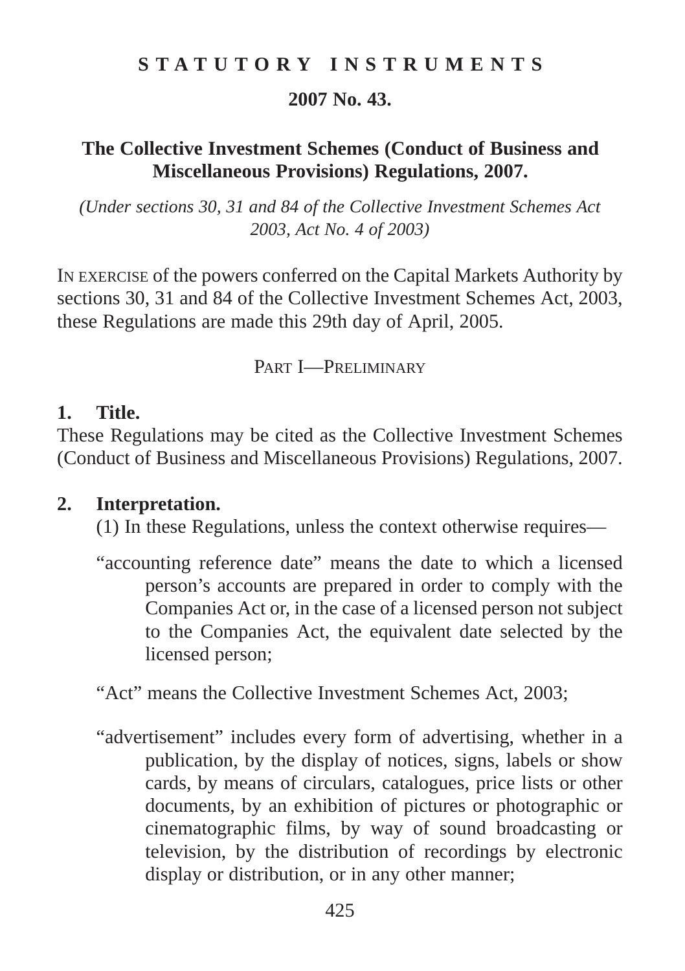### **STATUTORY INSTRUMENTS**

### **2007 No. 43.**

### **The Collective Investment Schemes (Conduct of Business and Miscellaneous Provisions) Regulations, 2007.**

*(Under sections 30, 31 and 84 of the Collective Investment Schemes Act 2003, Act No. 4 of 2003)*

IN EXERCISE of the powers conferred on the Capital Markets Authority by sections 30, 31 and 84 of the Collective Investment Schemes Act, 2003, these Regulations are made this 29th day of April, 2005.

PART **I**-PRELIMINARY

#### **1. Title.**

These Regulations may be cited as the Collective Investment Schemes (Conduct of Business and Miscellaneous Provisions) Regulations, 2007.

### **2. Interpretation.**

(1) In these Regulations, unless the context otherwise requires—

"accounting reference date" means the date to which a licensed person's accounts are prepared in order to comply with the Companies Act or, in the case of a licensed person not subject to the Companies Act, the equivalent date selected by the licensed person;

"Act" means the Collective Investment Schemes Act, 2003;

"advertisement" includes every form of advertising, whether in a publication, by the display of notices, signs, labels or show cards, by means of circulars, catalogues, price lists or other documents, by an exhibition of pictures or photographic or cinematographic films, by way of sound broadcasting or television, by the distribution of recordings by electronic display or distribution, or in any other manner;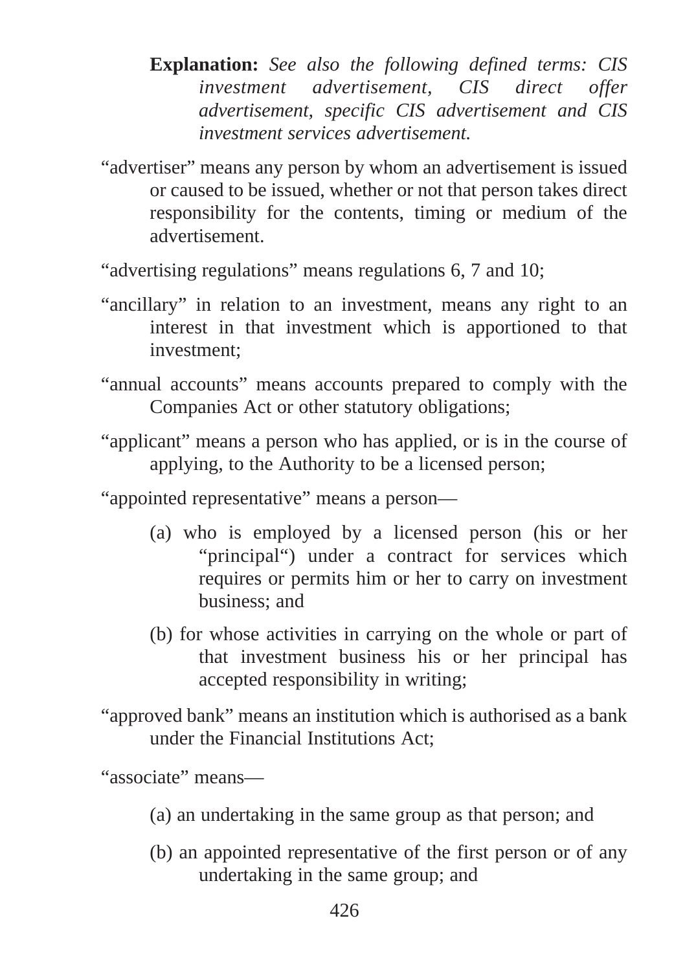- **Explanation:** *See also the following defined terms: CIS investment advertisement, CIS direct offer advertisement, specific CIS advertisement and CIS investment services advertisement.*
- "advertiser" means any person by whom an advertisement is issued or caused to be issued, whether or not that person takes direct responsibility for the contents, timing or medium of the advertisement.

"advertising regulations" means regulations 6, 7 and 10;

- "ancillary" in relation to an investment, means any right to an interest in that investment which is apportioned to that investment;
- "annual accounts" means accounts prepared to comply with the Companies Act or other statutory obligations;
- "applicant" means a person who has applied, or is in the course of applying, to the Authority to be a licensed person;

"appointed representative" means a person—

- (a) who is employed by a licensed person (his or her "principal") under a contract for services which requires or permits him or her to carry on investment business; and
- (b) for whose activities in carrying on the whole or part of that investment business his or her principal has accepted responsibility in writing;
- "approved bank" means an institution which is authorised as a bank under the Financial Institutions Act;

"associate" means—

- (a) an undertaking in the same group as that person; and
- (b) an appointed representative of the first person or of any undertaking in the same group; and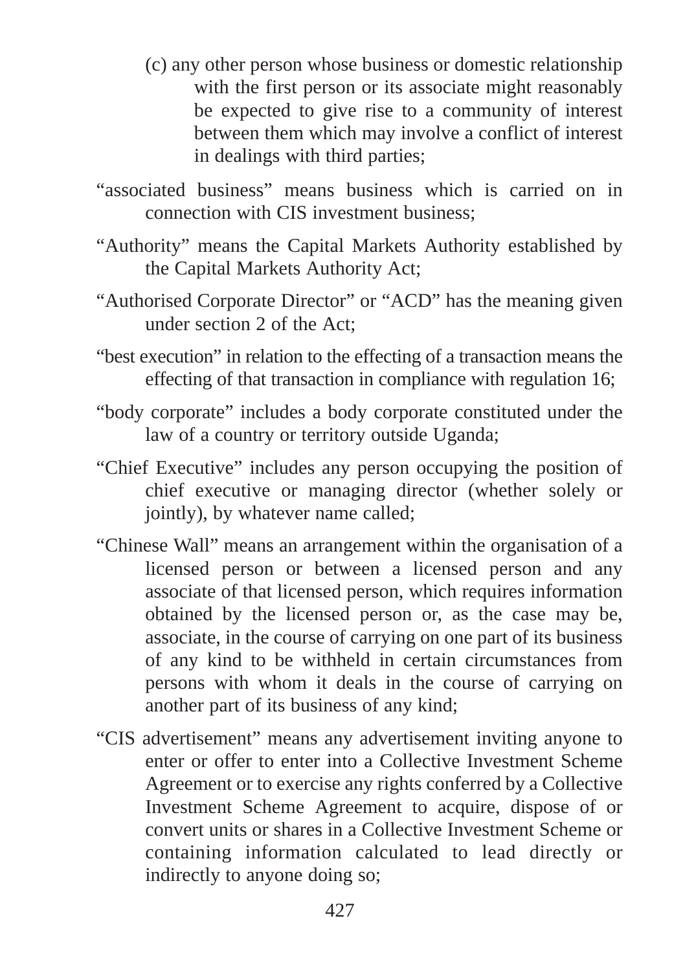- (c) any other person whose business or domestic relationship with the first person or its associate might reasonably be expected to give rise to a community of interest between them which may involve a conflict of interest in dealings with third parties;
- "associated business" means business which is carried on in connection with CIS investment business;
- "Authority" means the Capital Markets Authority established by the Capital Markets Authority Act;
- "Authorised Corporate Director" or "ACD" has the meaning given under section 2 of the Act;
- "best execution" in relation to the effecting of a transaction means the effecting of that transaction in compliance with regulation 16;
- "body corporate" includes a body corporate constituted under the law of a country or territory outside Uganda;
- "Chief Executive" includes any person occupying the position of chief executive or managing director (whether solely or jointly), by whatever name called;
- "Chinese Wall" means an arrangement within the organisation of a licensed person or between a licensed person and any associate of that licensed person, which requires information obtained by the licensed person or, as the case may be, associate, in the course of carrying on one part of its business of any kind to be withheld in certain circumstances from persons with whom it deals in the course of carrying on another part of its business of any kind;
- "CIS advertisement" means any advertisement inviting anyone to enter or offer to enter into a Collective Investment Scheme Agreement or to exercise any rights conferred by a Collective Investment Scheme Agreement to acquire, dispose of or convert units or shares in a Collective Investment Scheme or containing information calculated to lead directly or indirectly to anyone doing so;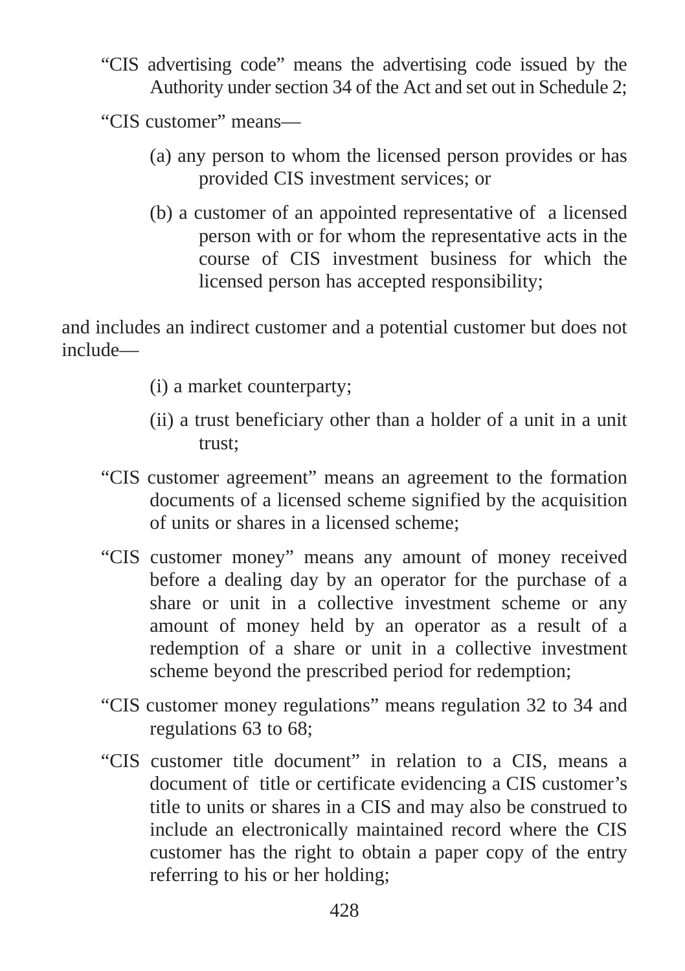"CIS advertising code" means the advertising code issued by the Authority under section 34 of the Act and set out in Schedule 2;

"CIS customer" means—

- (a) any person to whom the licensed person provides or has provided CIS investment services; or
- (b) a customer of an appointed representative of a licensed person with or for whom the representative acts in the course of CIS investment business for which the licensed person has accepted responsibility;

and includes an indirect customer and a potential customer but does not include—

- (i) a market counterparty;
- (ii) a trust beneficiary other than a holder of a unit in a unit trust;
- "CIS customer agreement" means an agreement to the formation documents of a licensed scheme signified by the acquisition of units or shares in a licensed scheme;
- "CIS customer money" means any amount of money received before a dealing day by an operator for the purchase of a share or unit in a collective investment scheme or any amount of money held by an operator as a result of a redemption of a share or unit in a collective investment scheme beyond the prescribed period for redemption;
- "CIS customer money regulations" means regulation 32 to 34 and regulations 63 to 68;
- "CIS customer title document" in relation to a CIS, means a document of title or certificate evidencing a CIS customer's title to units or shares in a CIS and may also be construed to include an electronically maintained record where the CIS customer has the right to obtain a paper copy of the entry referring to his or her holding;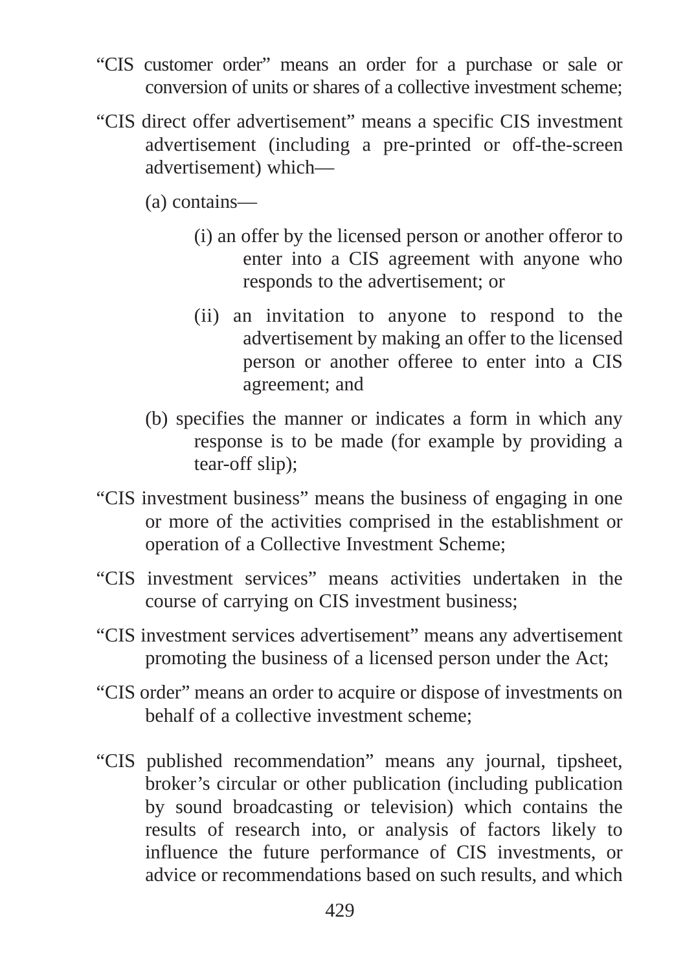- "CIS customer order" means an order for a purchase or sale or conversion of units or shares of a collective investment scheme;
- "CIS direct offer advertisement" means a specific CIS investment advertisement (including a pre-printed or off-the-screen advertisement) which—
	- (a) contains—
		- (i) an offer by the licensed person or another offeror to enter into a CIS agreement with anyone who responds to the advertisement; or
		- (ii) an invitation to anyone to respond to the advertisement by making an offer to the licensed person or another offeree to enter into a CIS agreement; and
	- (b) specifies the manner or indicates a form in which any response is to be made (for example by providing a tear-off slip);
- "CIS investment business" means the business of engaging in one or more of the activities comprised in the establishment or operation of a Collective Investment Scheme;
- "CIS investment services" means activities undertaken in the course of carrying on CIS investment business;
- "CIS investment services advertisement" means any advertisement promoting the business of a licensed person under the Act;
- "CIS order" means an order to acquire or dispose of investments on behalf of a collective investment scheme;
- "CIS published recommendation" means any journal, tipsheet, broker's circular or other publication (including publication by sound broadcasting or television) which contains the results of research into, or analysis of factors likely to influence the future performance of CIS investments, or advice or recommendations based on such results, and which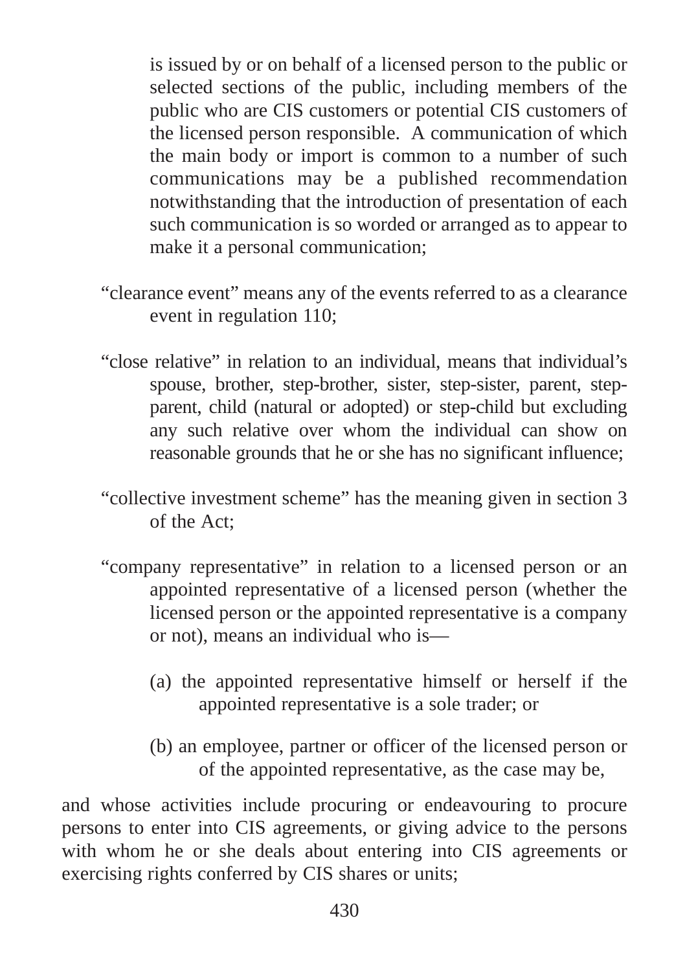is issued by or on behalf of a licensed person to the public or selected sections of the public, including members of the public who are CIS customers or potential CIS customers of the licensed person responsible. A communication of which the main body or import is common to a number of such communications may be a published recommendation notwithstanding that the introduction of presentation of each such communication is so worded or arranged as to appear to make it a personal communication;

- "clearance event" means any of the events referred to as a clearance event in regulation 110;
- "close relative" in relation to an individual, means that individual's spouse, brother, step-brother, sister, step-sister, parent, stepparent, child (natural or adopted) or step-child but excluding any such relative over whom the individual can show on reasonable grounds that he or she has no significant influence;
- "collective investment scheme" has the meaning given in section 3 of the Act;
- "company representative" in relation to a licensed person or an appointed representative of a licensed person (whether the licensed person or the appointed representative is a company or not), means an individual who is—
	- (a) the appointed representative himself or herself if the appointed representative is a sole trader; or
	- (b) an employee, partner or officer of the licensed person or of the appointed representative, as the case may be,

and whose activities include procuring or endeavouring to procure persons to enter into CIS agreements, or giving advice to the persons with whom he or she deals about entering into CIS agreements or exercising rights conferred by CIS shares or units;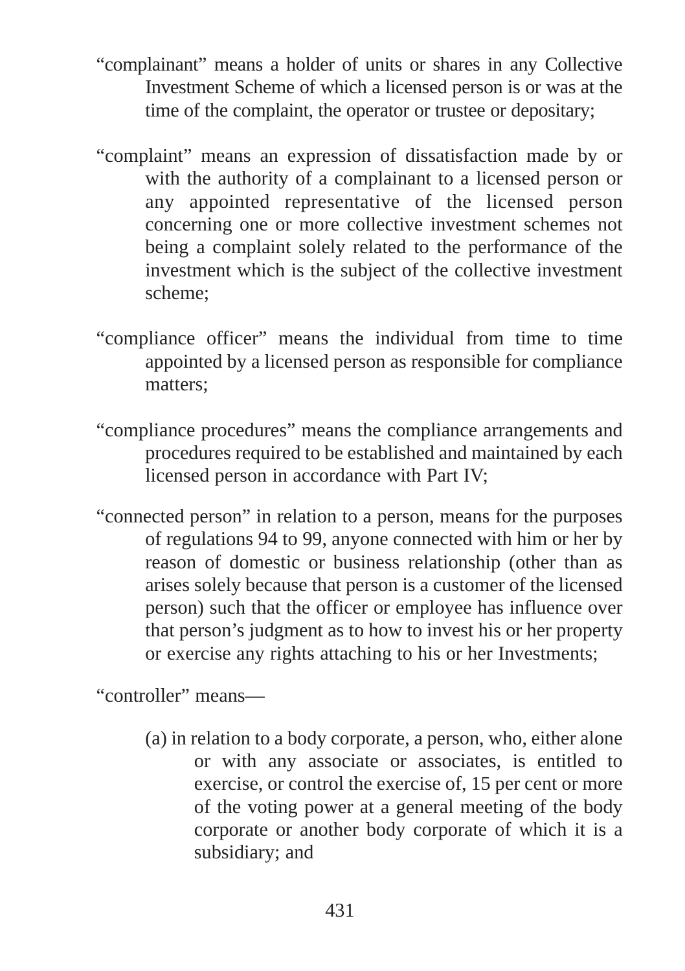- "complainant" means a holder of units or shares in any Collective Investment Scheme of which a licensed person is or was at the time of the complaint, the operator or trustee or depositary;
- "complaint" means an expression of dissatisfaction made by or with the authority of a complainant to a licensed person or any appointed representative of the licensed person concerning one or more collective investment schemes not being a complaint solely related to the performance of the investment which is the subject of the collective investment scheme;
- "compliance officer" means the individual from time to time appointed by a licensed person as responsible for compliance matters;
- "compliance procedures" means the compliance arrangements and procedures required to be established and maintained by each licensed person in accordance with Part IV;
- "connected person" in relation to a person, means for the purposes of regulations 94 to 99, anyone connected with him or her by reason of domestic or business relationship (other than as arises solely because that person is a customer of the licensed person) such that the officer or employee has influence over that person's judgment as to how to invest his or her property or exercise any rights attaching to his or her Investments;

"controller" means—

(a) in relation to a body corporate, a person, who, either alone or with any associate or associates, is entitled to exercise, or control the exercise of, 15 per cent or more of the voting power at a general meeting of the body corporate or another body corporate of which it is a subsidiary; and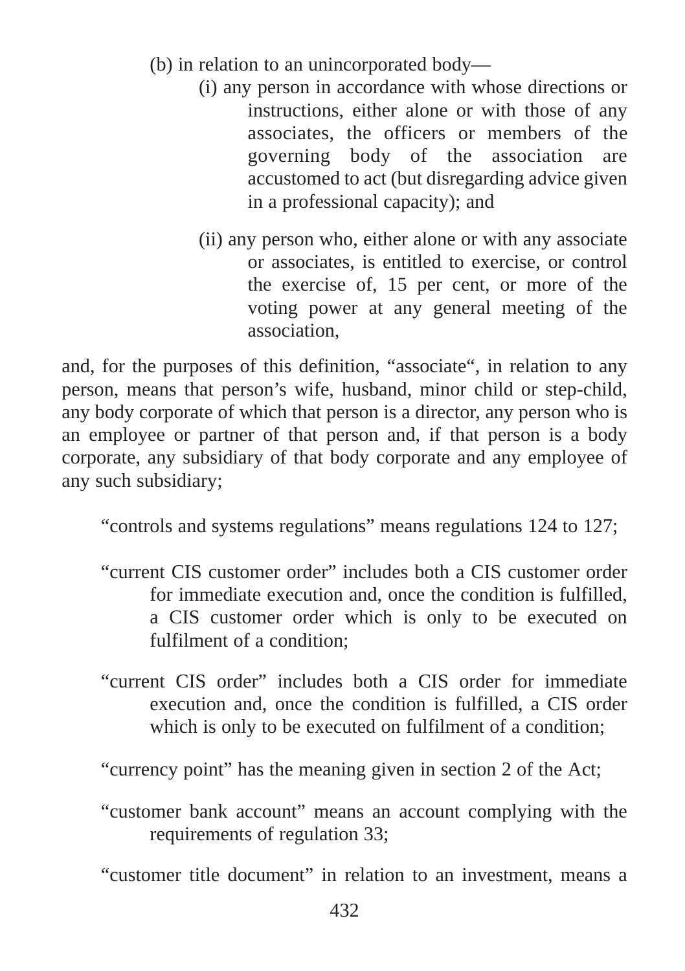- (b) in relation to an unincorporated body—
	- (i) any person in accordance with whose directions or instructions, either alone or with those of any associates, the officers or members of the governing body of the association are accustomed to act (but disregarding advice given in a professional capacity); and
	- (ii) any person who, either alone or with any associate or associates, is entitled to exercise, or control the exercise of, 15 per cent, or more of the voting power at any general meeting of the association,

and, for the purposes of this definition, "associate", in relation to any person, means that person's wife, husband, minor child or step-child, any body corporate of which that person is a director, any person who is an employee or partner of that person and, if that person is a body corporate, any subsidiary of that body corporate and any employee of any such subsidiary;

"controls and systems regulations" means regulations 124 to 127;

- "current CIS customer order" includes both a CIS customer order for immediate execution and, once the condition is fulfilled, a CIS customer order which is only to be executed on fulfilment of a condition;
- "current CIS order" includes both a CIS order for immediate execution and, once the condition is fulfilled, a CIS order which is only to be executed on fulfilment of a condition;

"currency point" has the meaning given in section 2 of the Act;

"customer bank account" means an account complying with the requirements of regulation 33;

"customer title document" in relation to an investment, means a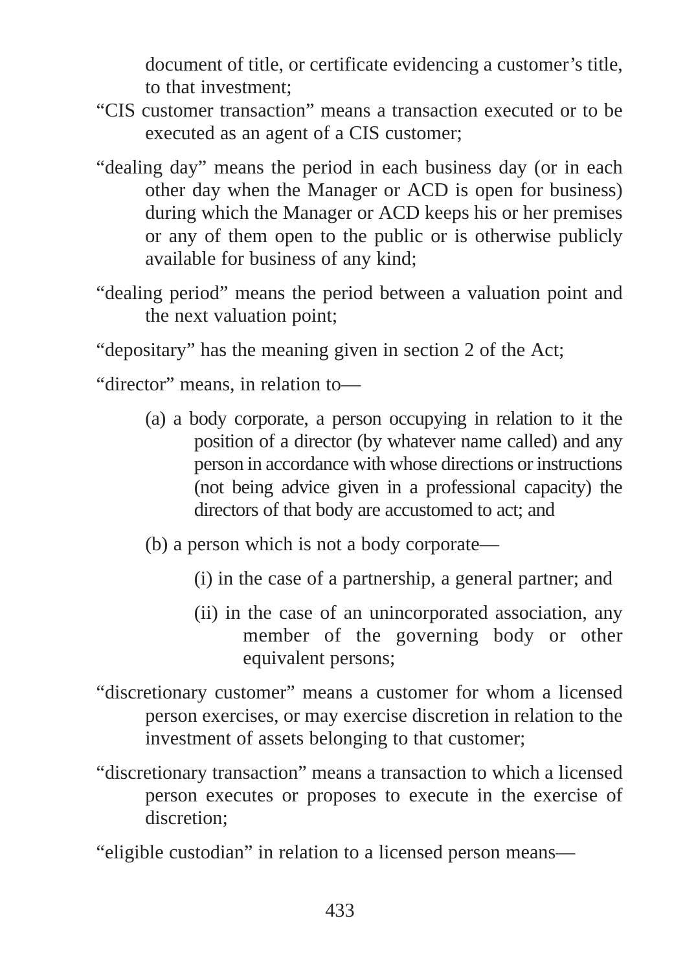document of title, or certificate evidencing a customer's title, to that investment;

- "CIS customer transaction" means a transaction executed or to be executed as an agent of a CIS customer;
- "dealing day" means the period in each business day (or in each other day when the Manager or ACD is open for business) during which the Manager or ACD keeps his or her premises or any of them open to the public or is otherwise publicly available for business of any kind;
- "dealing period" means the period between a valuation point and the next valuation point;

"depositary" has the meaning given in section 2 of the Act;

"director" means, in relation to—

- (a) a body corporate, a person occupying in relation to it the position of a director (by whatever name called) and any person in accordance with whose directions or instructions (not being advice given in a professional capacity) the directors of that body are accustomed to act; and
- (b) a person which is not a body corporate—
	- (i) in the case of a partnership, a general partner; and
	- (ii) in the case of an unincorporated association, any member of the governing body or other equivalent persons;
- "discretionary customer" means a customer for whom a licensed person exercises, or may exercise discretion in relation to the investment of assets belonging to that customer;
- "discretionary transaction" means a transaction to which a licensed person executes or proposes to execute in the exercise of discretion<sup>.</sup>
- "eligible custodian" in relation to a licensed person means—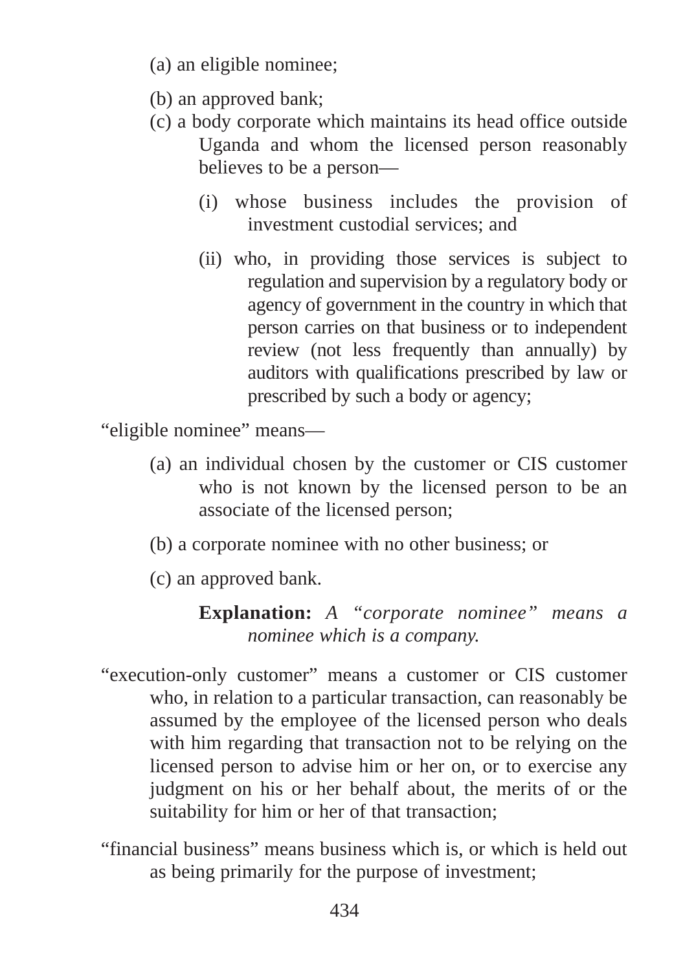- (a) an eligible nominee;
- (b) an approved bank;
- (c) a body corporate which maintains its head office outside Uganda and whom the licensed person reasonably believes to be a person—
	- (i) whose business includes the provision of investment custodial services; and
	- (ii) who, in providing those services is subject to regulation and supervision by a regulatory body or agency of government in the country in which that person carries on that business or to independent review (not less frequently than annually) by auditors with qualifications prescribed by law or prescribed by such a body or agency;

"eligible nominee" means—

- (a) an individual chosen by the customer or CIS customer who is not known by the licensed person to be an associate of the licensed person;
- (b) a corporate nominee with no other business; or
- (c) an approved bank.

**Explanation:** *A "corporate nominee" means a nominee which is a company.*

- "execution-only customer" means a customer or CIS customer who, in relation to a particular transaction, can reasonably be assumed by the employee of the licensed person who deals with him regarding that transaction not to be relying on the licensed person to advise him or her on, or to exercise any judgment on his or her behalf about, the merits of or the suitability for him or her of that transaction;
- "financial business" means business which is, or which is held out as being primarily for the purpose of investment;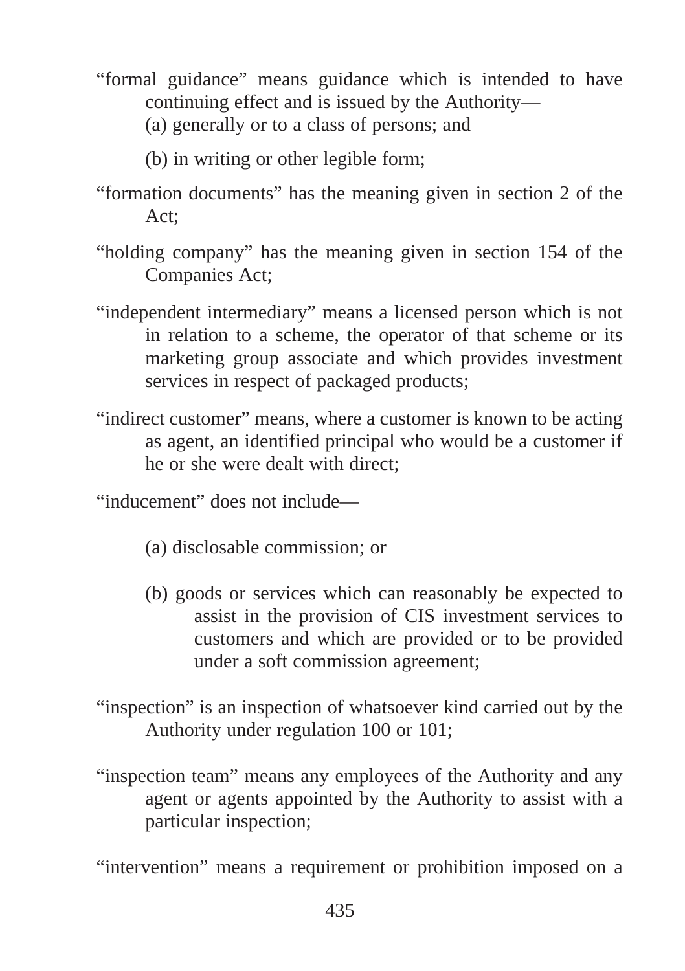- "formal guidance" means guidance which is intended to have continuing effect and is issued by the Authority—
	- (a) generally or to a class of persons; and
	- (b) in writing or other legible form;
- "formation documents" has the meaning given in section 2 of the Act;
- "holding company" has the meaning given in section 154 of the Companies Act;
- "independent intermediary" means a licensed person which is not in relation to a scheme, the operator of that scheme or its marketing group associate and which provides investment services in respect of packaged products;
- "indirect customer" means, where a customer is known to be acting as agent, an identified principal who would be a customer if he or she were dealt with direct;

"inducement" does not include—

- (a) disclosable commission; or
- (b) goods or services which can reasonably be expected to assist in the provision of CIS investment services to customers and which are provided or to be provided under a soft commission agreement;
- "inspection" is an inspection of whatsoever kind carried out by the Authority under regulation 100 or 101;
- "inspection team" means any employees of the Authority and any agent or agents appointed by the Authority to assist with a particular inspection;

"intervention" means a requirement or prohibition imposed on a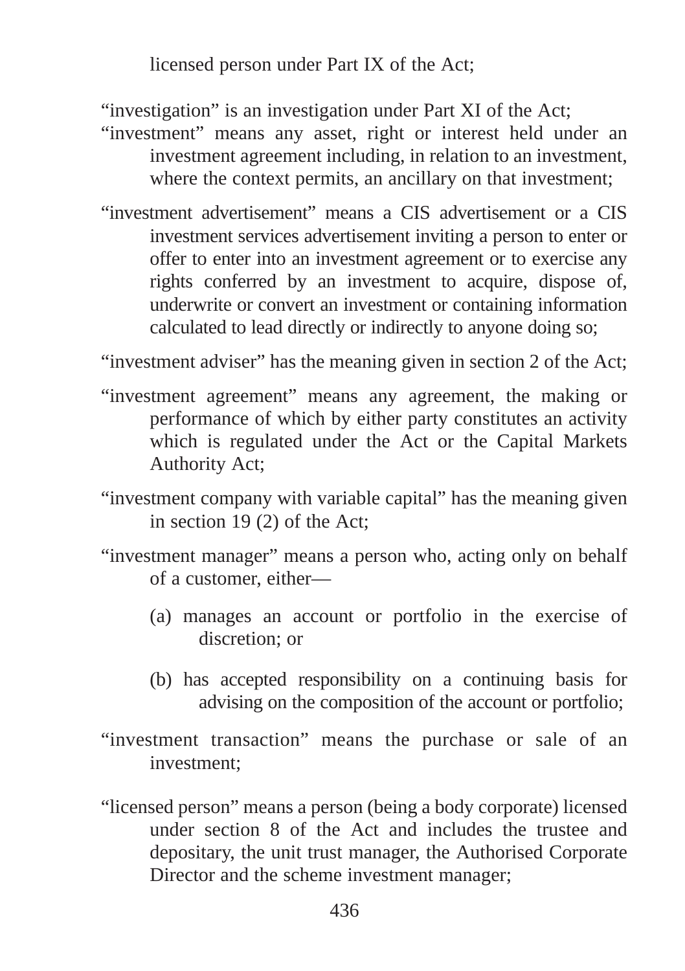licensed person under Part IX of the Act;

"investigation" is an investigation under Part XI of the Act;

- "investment" means any asset, right or interest held under an investment agreement including, in relation to an investment, where the context permits, an ancillary on that investment:
- "investment advertisement" means a CIS advertisement or a CIS investment services advertisement inviting a person to enter or offer to enter into an investment agreement or to exercise any rights conferred by an investment to acquire, dispose of, underwrite or convert an investment or containing information calculated to lead directly or indirectly to anyone doing so;

"investment adviser" has the meaning given in section 2 of the Act;

- "investment agreement" means any agreement, the making or performance of which by either party constitutes an activity which is regulated under the Act or the Capital Markets Authority Act;
- "investment company with variable capital" has the meaning given in section 19 (2) of the Act;
- "investment manager" means a person who, acting only on behalf of a customer, either—
	- (a) manages an account or portfolio in the exercise of discretion; or
	- (b) has accepted responsibility on a continuing basis for advising on the composition of the account or portfolio;
- "investment transaction" means the purchase or sale of an investment;
- "licensed person" means a person (being a body corporate) licensed under section 8 of the Act and includes the trustee and depositary, the unit trust manager, the Authorised Corporate Director and the scheme investment manager;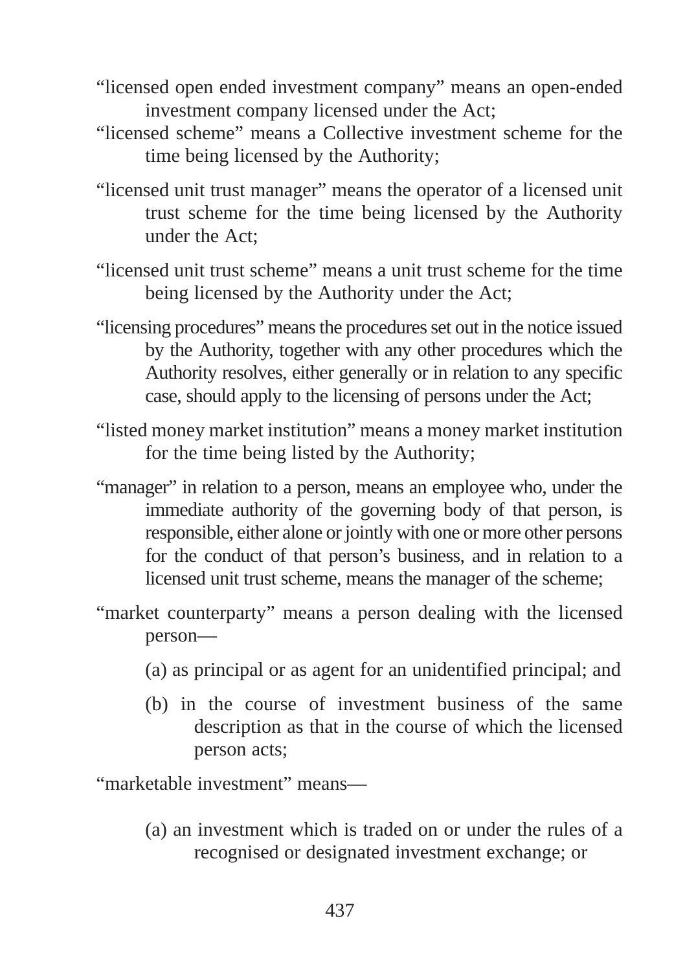- "licensed open ended investment company" means an open-ended investment company licensed under the Act;
- "licensed scheme" means a Collective investment scheme for the time being licensed by the Authority;
- "licensed unit trust manager" means the operator of a licensed unit trust scheme for the time being licensed by the Authority under the Act;
- "licensed unit trust scheme" means a unit trust scheme for the time being licensed by the Authority under the Act;
- "licensing procedures" means the procedures set out in the notice issued by the Authority, together with any other procedures which the Authority resolves, either generally or in relation to any specific case, should apply to the licensing of persons under the Act;
- "listed money market institution" means a money market institution for the time being listed by the Authority;
- "manager" in relation to a person, means an employee who, under the immediate authority of the governing body of that person, is responsible, either alone or jointly with one or more other persons for the conduct of that person's business, and in relation to a licensed unit trust scheme, means the manager of the scheme;
- "market counterparty" means a person dealing with the licensed person—
	- (a) as principal or as agent for an unidentified principal; and
	- (b) in the course of investment business of the same description as that in the course of which the licensed person acts;

"marketable investment" means—

(a) an investment which is traded on or under the rules of a recognised or designated investment exchange; or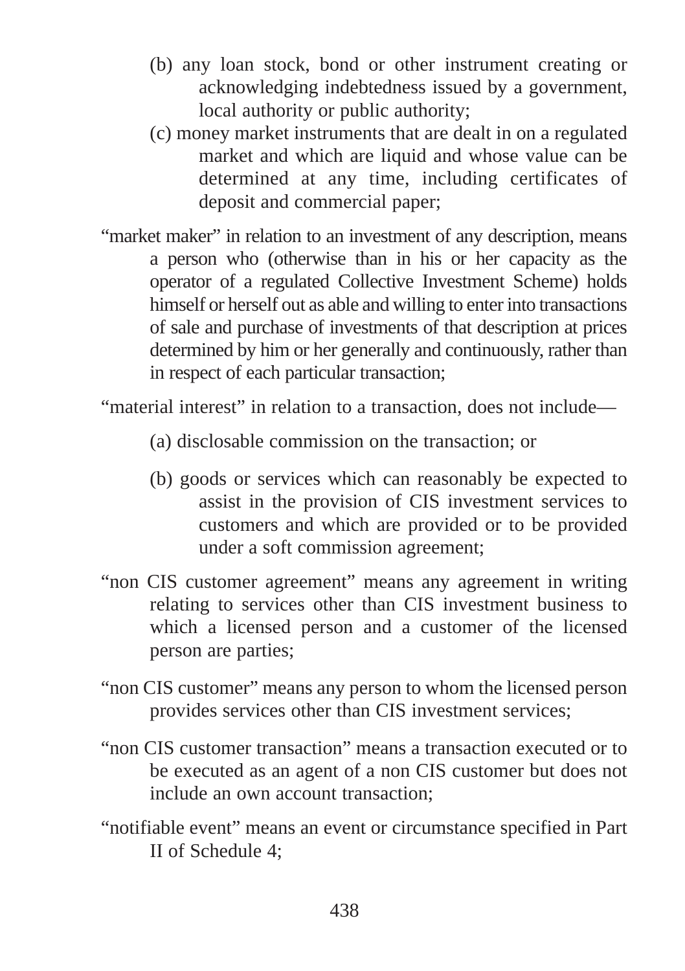- (b) any loan stock, bond or other instrument creating or acknowledging indebtedness issued by a government, local authority or public authority;
- (c) money market instruments that are dealt in on a regulated market and which are liquid and whose value can be determined at any time, including certificates of deposit and commercial paper;
- "market maker" in relation to an investment of any description, means a person who (otherwise than in his or her capacity as the operator of a regulated Collective Investment Scheme) holds himself or herself out as able and willing to enter into transactions of sale and purchase of investments of that description at prices determined by him or her generally and continuously, rather than in respect of each particular transaction;

"material interest" in relation to a transaction, does not include—

- (a) disclosable commission on the transaction; or
- (b) goods or services which can reasonably be expected to assist in the provision of CIS investment services to customers and which are provided or to be provided under a soft commission agreement;
- "non CIS customer agreement" means any agreement in writing relating to services other than CIS investment business to which a licensed person and a customer of the licensed person are parties;
- "non CIS customer" means any person to whom the licensed person provides services other than CIS investment services;
- "non CIS customer transaction" means a transaction executed or to be executed as an agent of a non CIS customer but does not include an own account transaction;
- "notifiable event" means an event or circumstance specified in Part II of Schedule 4;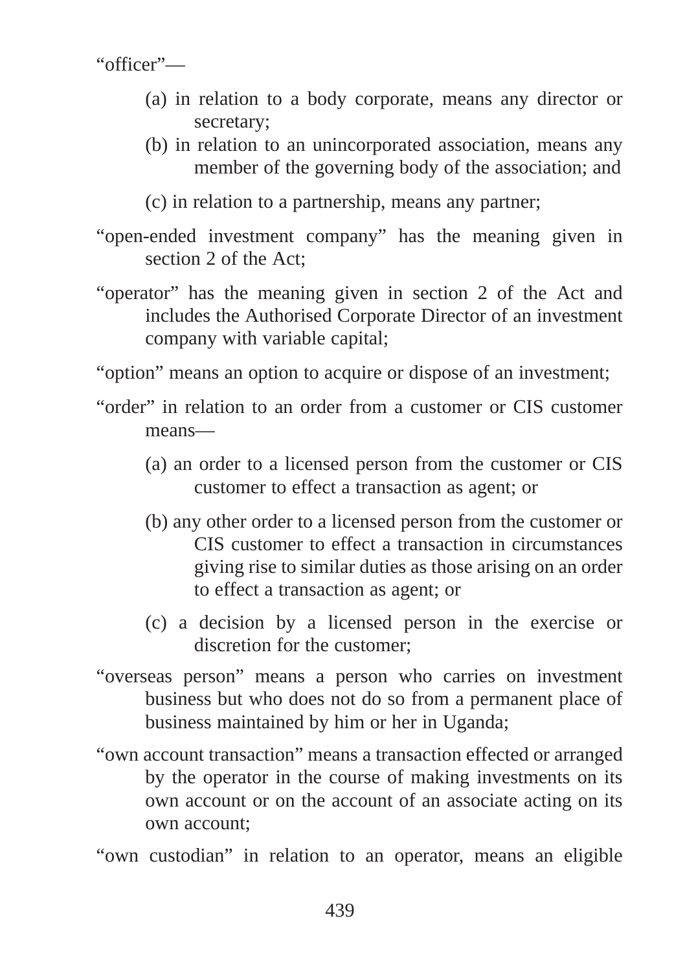"officer"—

- (a) in relation to a body corporate, means any director or secretary;
- (b) in relation to an unincorporated association, means any member of the governing body of the association; and
- (c) in relation to a partnership, means any partner;
- "open-ended investment company" has the meaning given in section 2 of the Act;
- "operator" has the meaning given in section 2 of the Act and includes the Authorised Corporate Director of an investment company with variable capital;

"option" means an option to acquire or dispose of an investment;

- "order" in relation to an order from a customer or CIS customer means—
	- (a) an order to a licensed person from the customer or CIS customer to effect a transaction as agent; or
	- (b) any other order to a licensed person from the customer or CIS customer to effect a transaction in circumstances giving rise to similar duties as those arising on an order to effect a transaction as agent; or
	- (c) a decision by a licensed person in the exercise or discretion for the customer;
- "overseas person" means a person who carries on investment business but who does not do so from a permanent place of business maintained by him or her in Uganda;
- "own account transaction" means a transaction effected or arranged by the operator in the course of making investments on its own account or on the account of an associate acting on its own account;
- "own custodian" in relation to an operator, means an eligible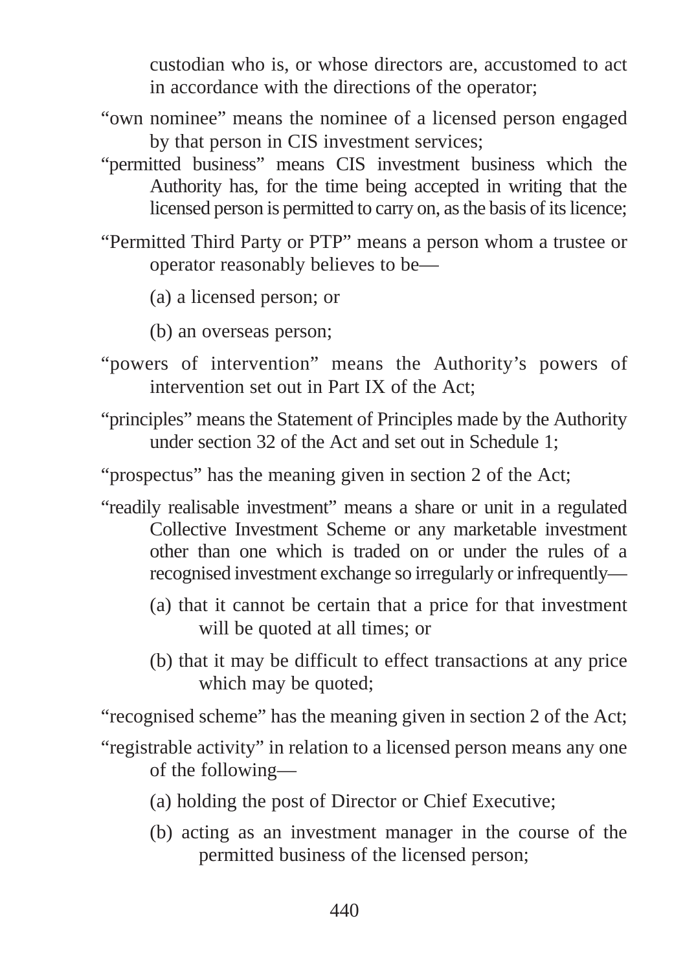custodian who is, or whose directors are, accustomed to act in accordance with the directions of the operator;

- "own nominee" means the nominee of a licensed person engaged by that person in CIS investment services;
- "permitted business" means CIS investment business which the Authority has, for the time being accepted in writing that the licensed person is permitted to carry on, as the basis of its licence;
- "Permitted Third Party or PTP" means a person whom a trustee or operator reasonably believes to be—
	- (a) a licensed person; or
	- (b) an overseas person;
- "powers of intervention" means the Authority's powers of intervention set out in Part IX of the Act;
- "principles" means the Statement of Principles made by the Authority under section 32 of the Act and set out in Schedule 1;
- "prospectus" has the meaning given in section 2 of the Act;
- "readily realisable investment" means a share or unit in a regulated Collective Investment Scheme or any marketable investment other than one which is traded on or under the rules of a recognised investment exchange so irregularly or infrequently—
	- (a) that it cannot be certain that a price for that investment will be quoted at all times; or
	- (b) that it may be difficult to effect transactions at any price which may be quoted;

"recognised scheme" has the meaning given in section 2 of the Act;

- "registrable activity" in relation to a licensed person means any one of the following—
	- (a) holding the post of Director or Chief Executive;
	- (b) acting as an investment manager in the course of the permitted business of the licensed person;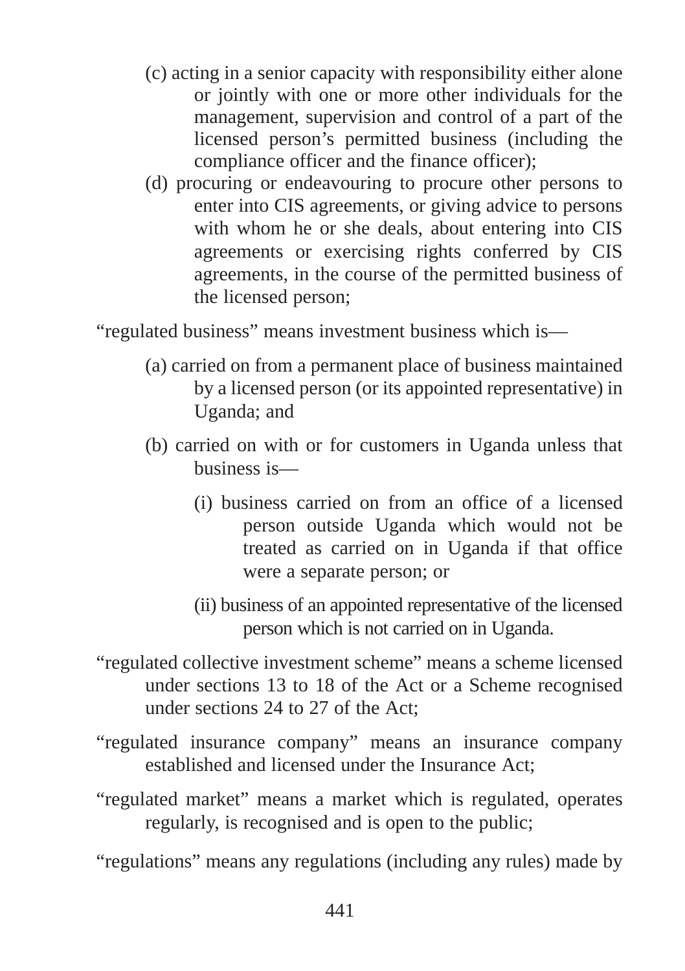- (c) acting in a senior capacity with responsibility either alone or jointly with one or more other individuals for the management, supervision and control of a part of the licensed person's permitted business (including the compliance officer and the finance officer);
- (d) procuring or endeavouring to procure other persons to enter into CIS agreements, or giving advice to persons with whom he or she deals, about entering into CIS agreements or exercising rights conferred by CIS agreements, in the course of the permitted business of the licensed person;

"regulated business" means investment business which is—

- (a) carried on from a permanent place of business maintained by a licensed person (or its appointed representative) in Uganda; and
- (b) carried on with or for customers in Uganda unless that business is—
	- (i) business carried on from an office of a licensed person outside Uganda which would not be treated as carried on in Uganda if that office were a separate person; or
	- (ii) business of an appointed representative of the licensed person which is not carried on in Uganda.
- "regulated collective investment scheme" means a scheme licensed under sections 13 to 18 of the Act or a Scheme recognised under sections 24 to 27 of the Act;
- "regulated insurance company" means an insurance company established and licensed under the Insurance Act;
- "regulated market" means a market which is regulated, operates regularly, is recognised and is open to the public;

"regulations" means any regulations (including any rules) made by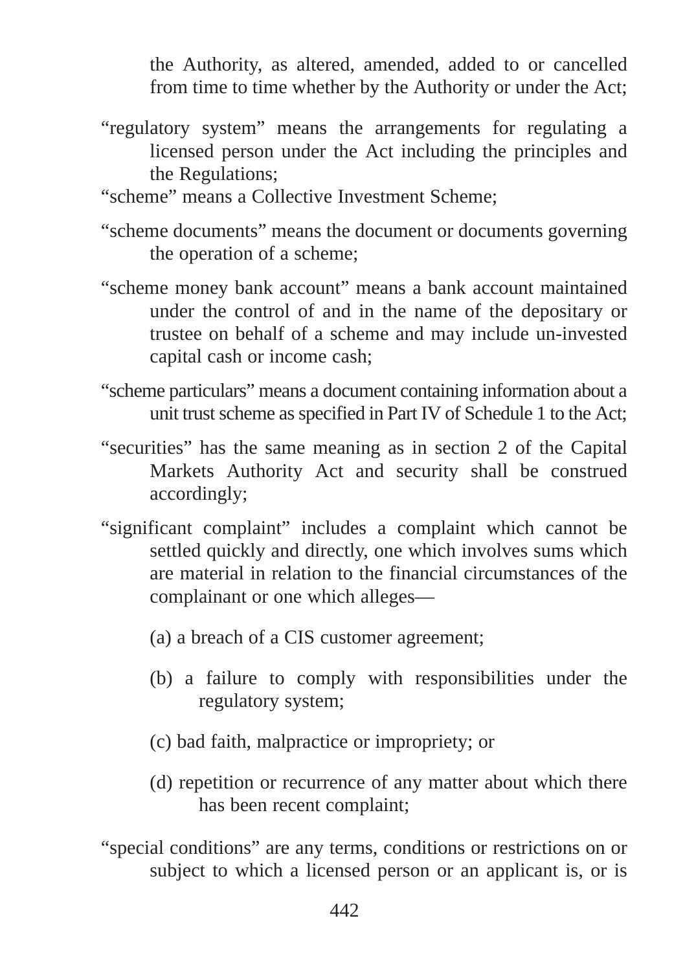the Authority, as altered, amended, added to or cancelled from time to time whether by the Authority or under the Act;

- "regulatory system" means the arrangements for regulating a licensed person under the Act including the principles and the Regulations;
- "scheme" means a Collective Investment Scheme;
- "scheme documents" means the document or documents governing the operation of a scheme;
- "scheme money bank account" means a bank account maintained under the control of and in the name of the depositary or trustee on behalf of a scheme and may include un-invested capital cash or income cash;
- "scheme particulars" means a document containing information about a unit trust scheme as specified in Part IV of Schedule 1 to the Act;
- "securities" has the same meaning as in section 2 of the Capital Markets Authority Act and security shall be construed accordingly;
- "significant complaint" includes a complaint which cannot be settled quickly and directly, one which involves sums which are material in relation to the financial circumstances of the complainant or one which alleges—
	- (a) a breach of a CIS customer agreement;
	- (b) a failure to comply with responsibilities under the regulatory system;
	- (c) bad faith, malpractice or impropriety; or
	- (d) repetition or recurrence of any matter about which there has been recent complaint;
- "special conditions" are any terms, conditions or restrictions on or subject to which a licensed person or an applicant is, or is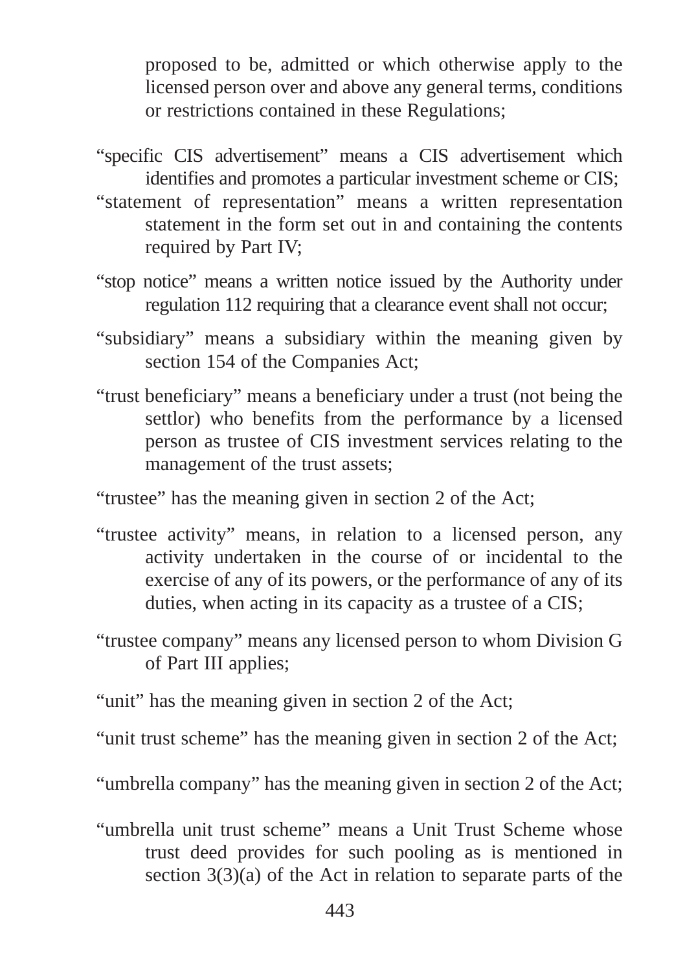proposed to be, admitted or which otherwise apply to the licensed person over and above any general terms, conditions or restrictions contained in these Regulations;

- "specific CIS advertisement" means a CIS advertisement which identifies and promotes a particular investment scheme or CIS;
- "statement of representation" means a written representation statement in the form set out in and containing the contents required by Part IV;
- "stop notice" means a written notice issued by the Authority under regulation 112 requiring that a clearance event shall not occur;
- "subsidiary" means a subsidiary within the meaning given by section 154 of the Companies Act;
- "trust beneficiary" means a beneficiary under a trust (not being the settlor) who benefits from the performance by a licensed person as trustee of CIS investment services relating to the management of the trust assets;

"trustee" has the meaning given in section 2 of the Act;

- "trustee activity" means, in relation to a licensed person, any activity undertaken in the course of or incidental to the exercise of any of its powers, or the performance of any of its duties, when acting in its capacity as a trustee of a CIS;
- "trustee company" means any licensed person to whom Division G of Part III applies;

"unit" has the meaning given in section 2 of the Act;

"unit trust scheme" has the meaning given in section 2 of the Act;

"umbrella company" has the meaning given in section 2 of the Act;

"umbrella unit trust scheme" means a Unit Trust Scheme whose trust deed provides for such pooling as is mentioned in section 3(3)(a) of the Act in relation to separate parts of the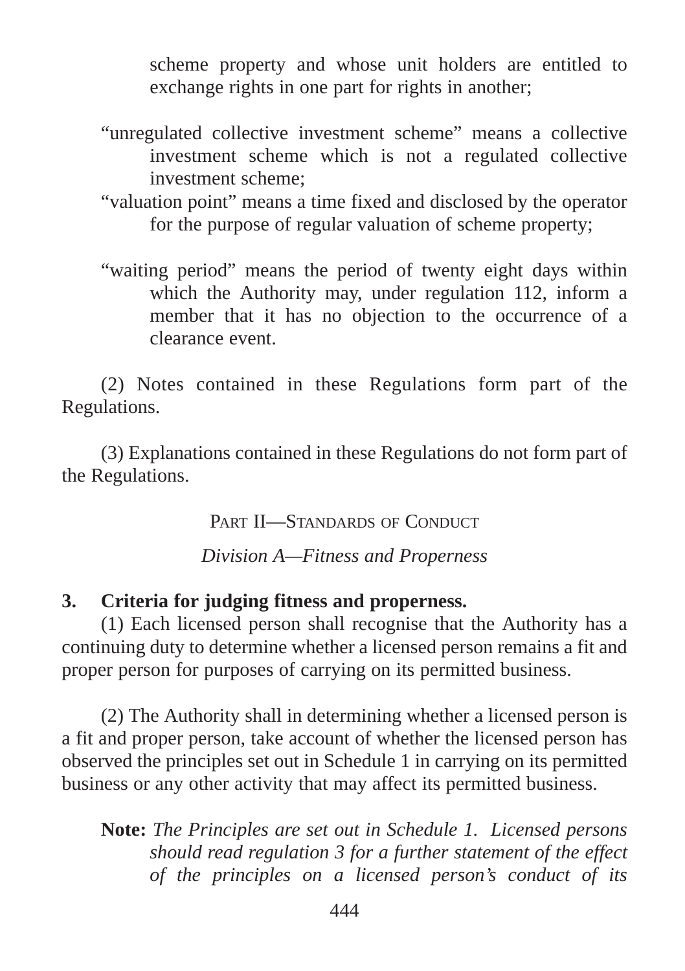scheme property and whose unit holders are entitled to exchange rights in one part for rights in another;

- "unregulated collective investment scheme" means a collective investment scheme which is not a regulated collective investment scheme;
- "valuation point" means a time fixed and disclosed by the operator for the purpose of regular valuation of scheme property;
- "waiting period" means the period of twenty eight days within which the Authority may, under regulation 112, inform a member that it has no objection to the occurrence of a clearance event.

(2) Notes contained in these Regulations form part of the Regulations.

(3) Explanations contained in these Regulations do not form part of the Regulations.

PART II—STANDARDS OF CONDUCT

*Division A—Fitness and Properness*

### **3. Criteria for judging fitness and properness.**

(1) Each licensed person shall recognise that the Authority has a continuing duty to determine whether a licensed person remains a fit and proper person for purposes of carrying on its permitted business.

(2) The Authority shall in determining whether a licensed person is a fit and proper person, take account of whether the licensed person has observed the principles set out in Schedule 1 in carrying on its permitted business or any other activity that may affect its permitted business.

**Note:** *The Principles are set out in Schedule 1. Licensed persons should read regulation 3 for a further statement of the effect of the principles on a licensed person's conduct of its*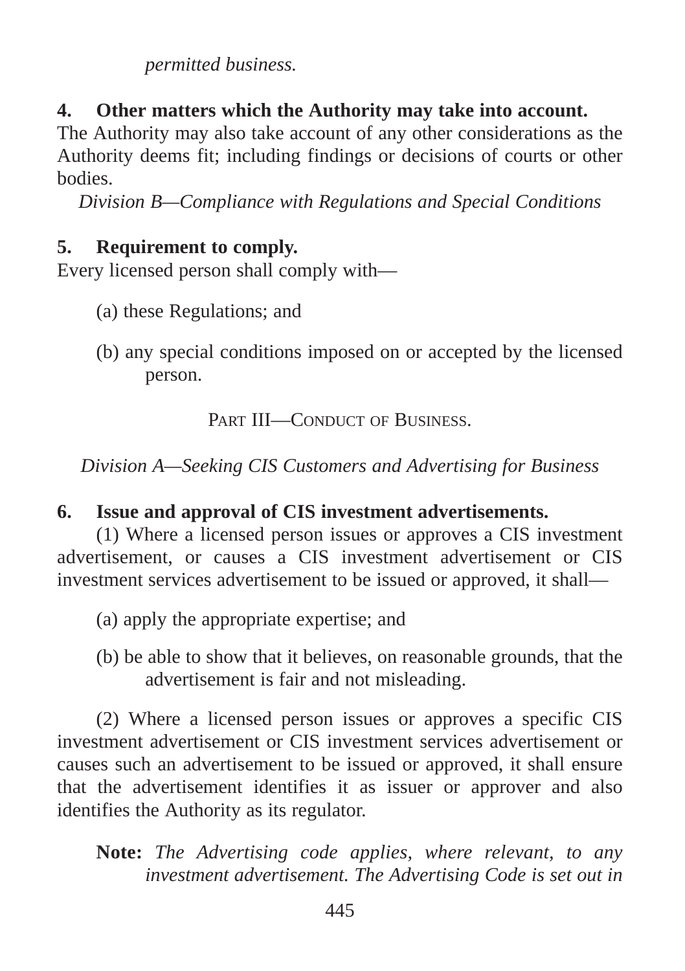*permitted business.*

# **4. Other matters which the Authority may take into account.**

The Authority may also take account of any other considerations as the Authority deems fit; including findings or decisions of courts or other bodies.

*Division B—Compliance with Regulations and Special Conditions*

### **5. Requirement to comply.**

Every licensed person shall comply with—

- (a) these Regulations; and
- (b) any special conditions imposed on or accepted by the licensed person.

PART III—CONDUCT OF BUSINESS

*Division A—Seeking CIS Customers and Advertising for Business*

## **6. Issue and approval of CIS investment advertisements.**

(1) Where a licensed person issues or approves a CIS investment advertisement, or causes a CIS investment advertisement or CIS investment services advertisement to be issued or approved, it shall—

- (a) apply the appropriate expertise; and
- (b) be able to show that it believes, on reasonable grounds, that the advertisement is fair and not misleading.

(2) Where a licensed person issues or approves a specific CIS investment advertisement or CIS investment services advertisement or causes such an advertisement to be issued or approved, it shall ensure that the advertisement identifies it as issuer or approver and also identifies the Authority as its regulator.

**Note:** *The Advertising code applies, where relevant, to any investment advertisement. The Advertising Code is set out in*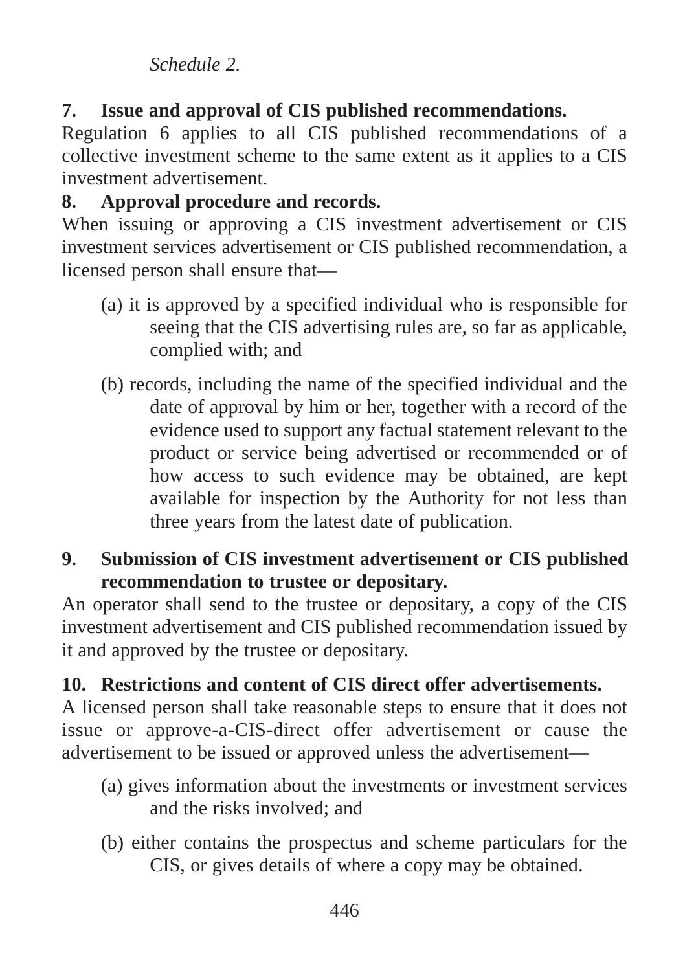### *Schedule 2.*

**7. Issue and approval of CIS published recommendations.**

Regulation 6 applies to all CIS published recommendations of a collective investment scheme to the same extent as it applies to a CIS investment advertisement.

## **8. Approval procedure and records.**

When issuing or approving a CIS investment advertisement or CIS investment services advertisement or CIS published recommendation, a licensed person shall ensure that—

- (a) it is approved by a specified individual who is responsible for seeing that the CIS advertising rules are, so far as applicable, complied with; and
- (b) records, including the name of the specified individual and the date of approval by him or her, together with a record of the evidence used to support any factual statement relevant to the product or service being advertised or recommended or of how access to such evidence may be obtained, are kept available for inspection by the Authority for not less than three years from the latest date of publication.
- **9. Submission of CIS investment advertisement or CIS published recommendation to trustee or depositary.**

An operator shall send to the trustee or depositary, a copy of the CIS investment advertisement and CIS published recommendation issued by it and approved by the trustee or depositary.

### **10. Restrictions and content of CIS direct offer advertisements.**

A licensed person shall take reasonable steps to ensure that it does not issue or approve-a-CIS-direct offer advertisement or cause the advertisement to be issued or approved unless the advertisement—

- (a) gives information about the investments or investment services and the risks involved; and
- (b) either contains the prospectus and scheme particulars for the CIS, or gives details of where a copy may be obtained.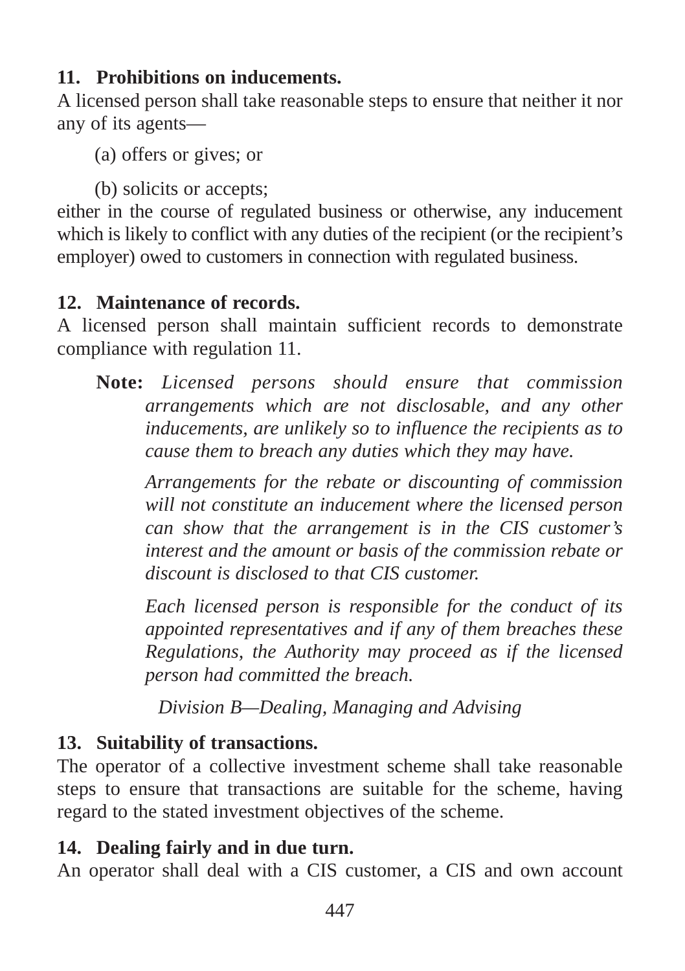# **11. Prohibitions on inducements.**

A licensed person shall take reasonable steps to ensure that neither it nor any of its agents—

(a) offers or gives; or

(b) solicits or accepts;

either in the course of regulated business or otherwise, any inducement which is likely to conflict with any duties of the recipient (or the recipient's employer) owed to customers in connection with regulated business.

# **12. Maintenance of records.**

A licensed person shall maintain sufficient records to demonstrate compliance with regulation 11.

**Note:** *Licensed persons should ensure that commission arrangements which are not disclosable, and any other inducements, are unlikely so to influence the recipients as to cause them to breach any duties which they may have.*

*Arrangements for the rebate or discounting of commission will not constitute an inducement where the licensed person can show that the arrangement is in the CIS customer's interest and the amount or basis of the commission rebate or discount is disclosed to that CIS customer.*

*Each licensed person is responsible for the conduct of its appointed representatives and if any of them breaches these Regulations, the Authority may proceed as if the licensed person had committed the breach.*

*Division B—Dealing, Managing and Advising*

# **13. Suitability of transactions.**

The operator of a collective investment scheme shall take reasonable steps to ensure that transactions are suitable for the scheme, having regard to the stated investment objectives of the scheme.

# **14. Dealing fairly and in due turn.**

An operator shall deal with a CIS customer, a CIS and own account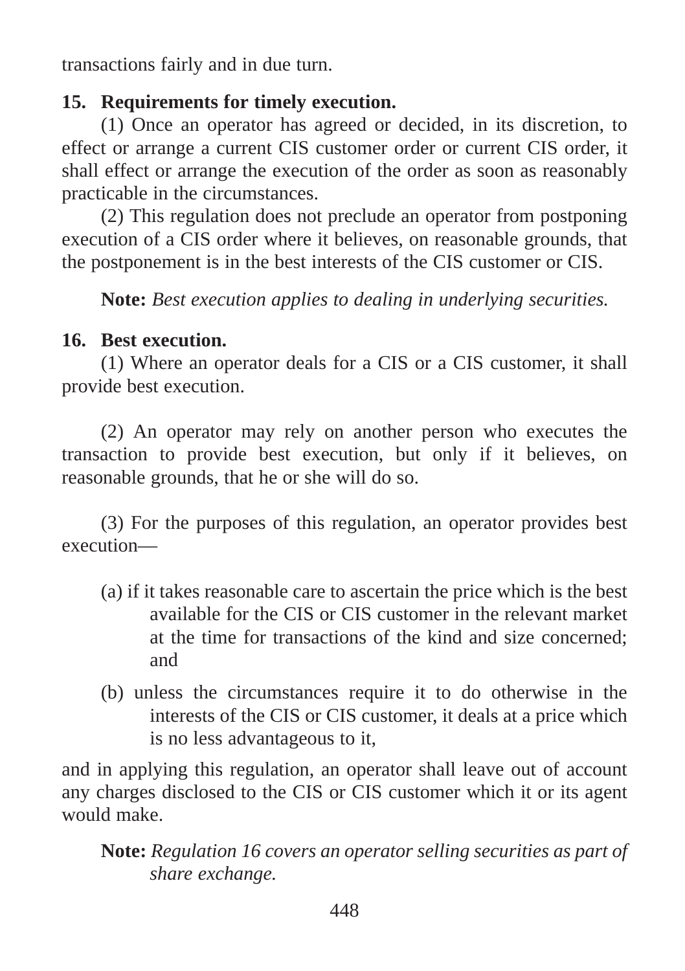transactions fairly and in due turn.

### **15. Requirements for timely execution.**

(1) Once an operator has agreed or decided, in its discretion, to effect or arrange a current CIS customer order or current CIS order, it shall effect or arrange the execution of the order as soon as reasonably practicable in the circumstances.

(2) This regulation does not preclude an operator from postponing execution of a CIS order where it believes, on reasonable grounds, that the postponement is in the best interests of the CIS customer or CIS.

**Note:** *Best execution applies to dealing in underlying securities.*

### **16. Best execution.**

(1) Where an operator deals for a CIS or a CIS customer, it shall provide best execution.

(2) An operator may rely on another person who executes the transaction to provide best execution, but only if it believes, on reasonable grounds, that he or she will do so.

(3) For the purposes of this regulation, an operator provides best execution—

- (a) if it takes reasonable care to ascertain the price which is the best available for the CIS or CIS customer in the relevant market at the time for transactions of the kind and size concerned; and
- (b) unless the circumstances require it to do otherwise in the interests of the CIS or CIS customer, it deals at a price which is no less advantageous to it,

and in applying this regulation, an operator shall leave out of account any charges disclosed to the CIS or CIS customer which it or its agent would make.

**Note:** *Regulation 16 covers an operator selling securities as part of share exchange.*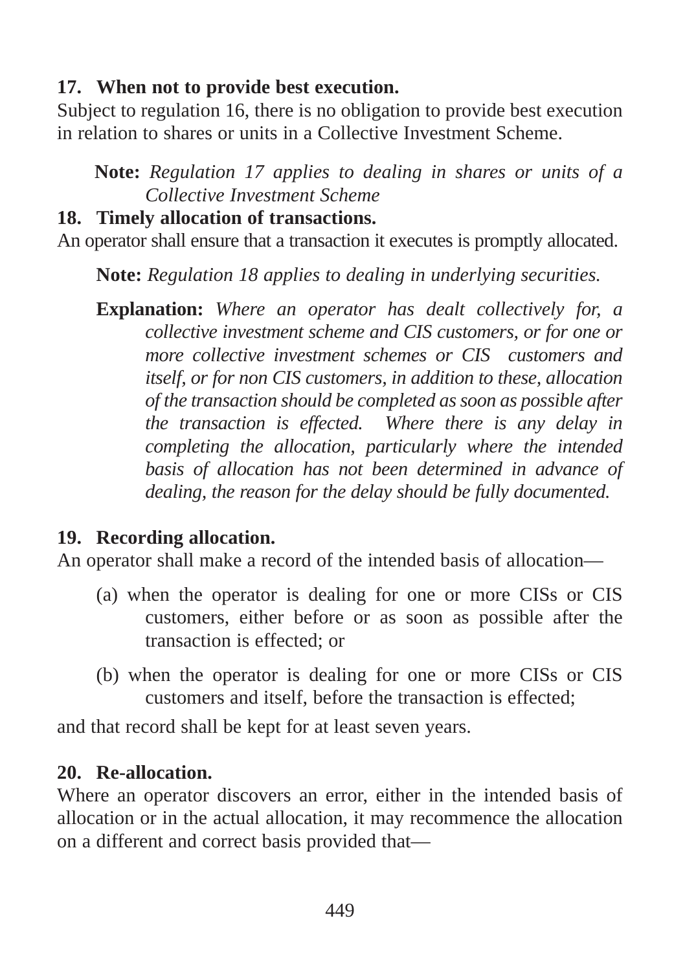## **17. When not to provide best execution.**

Subject to regulation 16, there is no obligation to provide best execution in relation to shares or units in a Collective Investment Scheme.

**Note:** *Regulation 17 applies to dealing in shares or units of a Collective Investment Scheme*

### **18. Timely allocation of transactions.**

An operator shall ensure that a transaction it executes is promptly allocated.

**Note:** *Regulation 18 applies to dealing in underlying securities.*

**Explanation:** *Where an operator has dealt collectively for, a collective investment scheme and CIS customers, or for one or more collective investment schemes or CIS customers and itself, or for non CIS customers, in addition to these, allocation of the transaction should be completed as soon as possible after the transaction is effected. Where there is any delay in completing the allocation, particularly where the intended basis of allocation has not been determined in advance of dealing, the reason for the delay should be fully documented.*

# **19. Recording allocation.**

An operator shall make a record of the intended basis of allocation—

- (a) when the operator is dealing for one or more CISs or CIS customers, either before or as soon as possible after the transaction is effected; or
- (b) when the operator is dealing for one or more CISs or CIS customers and itself, before the transaction is effected;

and that record shall be kept for at least seven years.

# **20. Re-allocation.**

Where an operator discovers an error, either in the intended basis of allocation or in the actual allocation, it may recommence the allocation on a different and correct basis provided that—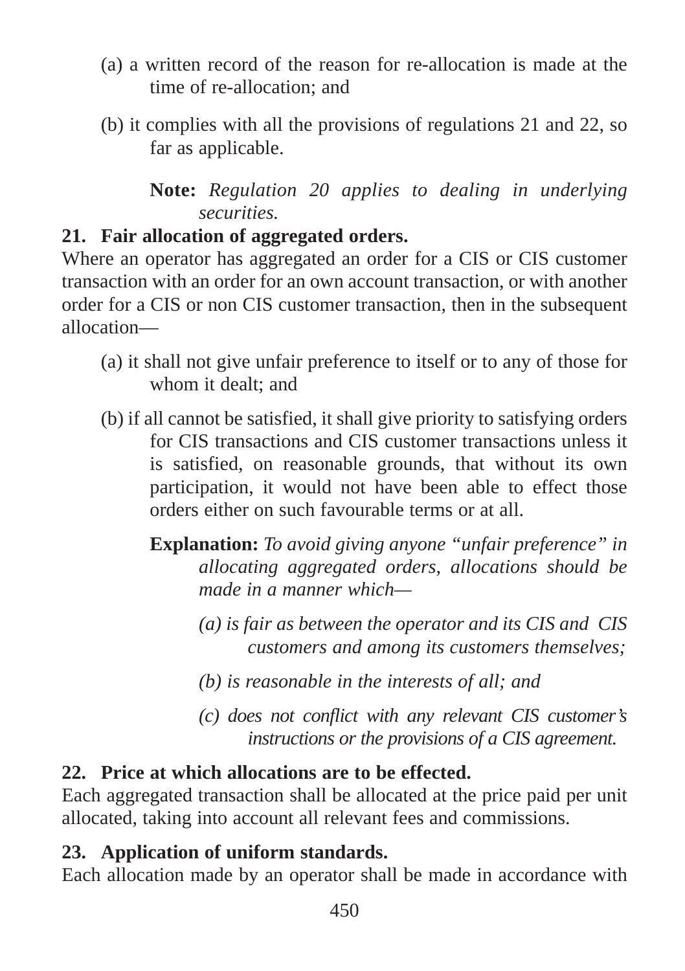- (a) a written record of the reason for re-allocation is made at the time of re-allocation; and
- (b) it complies with all the provisions of regulations 21 and 22, so far as applicable.

**Note:** *Regulation 20 applies to dealing in underlying securities.*

# **21. Fair allocation of aggregated orders.**

Where an operator has aggregated an order for a CIS or CIS customer transaction with an order for an own account transaction, or with another order for a CIS or non CIS customer transaction, then in the subsequent allocation—

- (a) it shall not give unfair preference to itself or to any of those for whom it dealt; and
- (b) if all cannot be satisfied, it shall give priority to satisfying orders for CIS transactions and CIS customer transactions unless it is satisfied, on reasonable grounds, that without its own participation, it would not have been able to effect those orders either on such favourable terms or at all.
	- **Explanation:** *To avoid giving anyone "unfair preference" in allocating aggregated orders, allocations should be made in a manner which—*
		- *(a) is fair as between the operator and its CIS and CIS customers and among its customers themselves;*
		- *(b) is reasonable in the interests of all; and*
		- *(c) does not conflict with any relevant CIS customer's instructions or the provisions of a CIS agreement.*

# **22. Price at which allocations are to be effected.**

Each aggregated transaction shall be allocated at the price paid per unit allocated, taking into account all relevant fees and commissions.

# **23. Application of uniform standards.**

Each allocation made by an operator shall be made in accordance with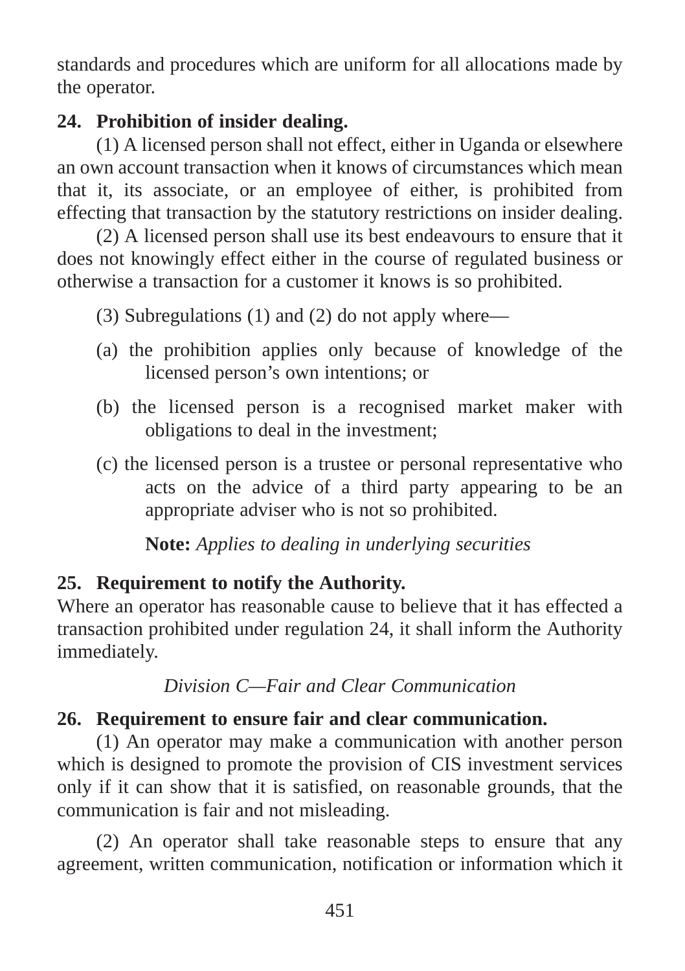standards and procedures which are uniform for all allocations made by the operator.

## **24. Prohibition of insider dealing.**

(1) A licensed person shall not effect, either in Uganda or elsewhere an own account transaction when it knows of circumstances which mean that it, its associate, or an employee of either, is prohibited from effecting that transaction by the statutory restrictions on insider dealing.

(2) A licensed person shall use its best endeavours to ensure that it does not knowingly effect either in the course of regulated business or otherwise a transaction for a customer it knows is so prohibited.

(3) Subregulations (1) and (2) do not apply where—

- (a) the prohibition applies only because of knowledge of the licensed person's own intentions; or
- (b) the licensed person is a recognised market maker with obligations to deal in the investment;
- (c) the licensed person is a trustee or personal representative who acts on the advice of a third party appearing to be an appropriate adviser who is not so prohibited.

**Note:** *Applies to dealing in underlying securities*

# **25. Requirement to notify the Authority.**

Where an operator has reasonable cause to believe that it has effected a transaction prohibited under regulation 24, it shall inform the Authority immediately.

*Division C—Fair and Clear Communication*

# **26. Requirement to ensure fair and clear communication.**

(1) An operator may make a communication with another person which is designed to promote the provision of CIS investment services only if it can show that it is satisfied, on reasonable grounds, that the communication is fair and not misleading.

(2) An operator shall take reasonable steps to ensure that any agreement, written communication, notification or information which it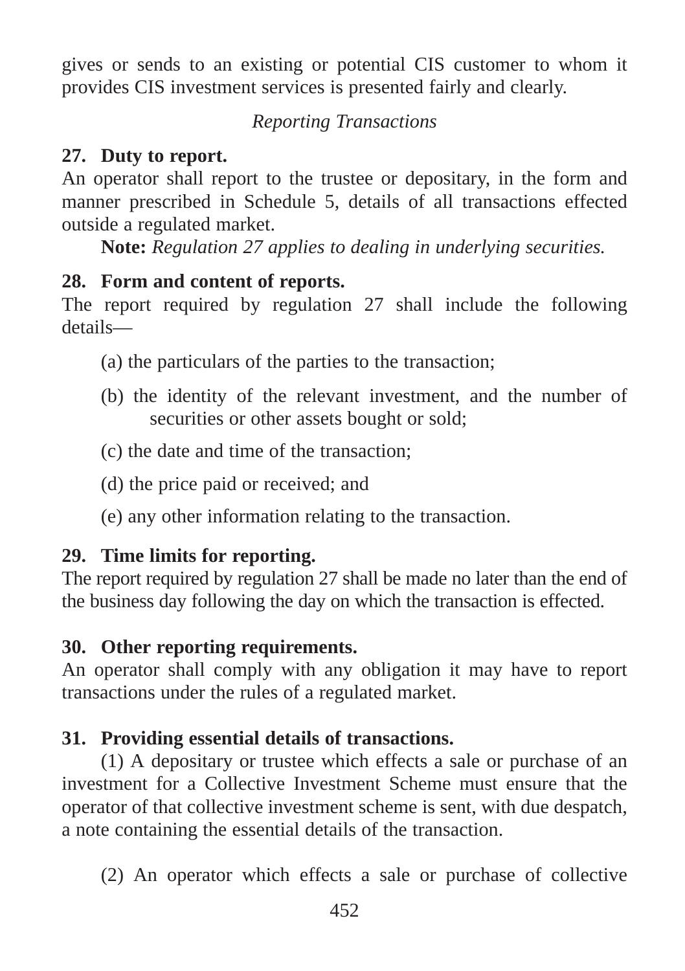gives or sends to an existing or potential CIS customer to whom it provides CIS investment services is presented fairly and clearly.

### *Reporting Transactions*

## **27. Duty to report.**

An operator shall report to the trustee or depositary, in the form and manner prescribed in Schedule 5, details of all transactions effected outside a regulated market.

**Note:** *Regulation 27 applies to dealing in underlying securities.*

### **28. Form and content of reports.**

The report required by regulation 27 shall include the following details—

- (a) the particulars of the parties to the transaction;
- (b) the identity of the relevant investment, and the number of securities or other assets bought or sold:
- (c) the date and time of the transaction;
- (d) the price paid or received; and
- (e) any other information relating to the transaction.

## **29. Time limits for reporting.**

The report required by regulation 27 shall be made no later than the end of the business day following the day on which the transaction is effected.

## **30. Other reporting requirements.**

An operator shall comply with any obligation it may have to report transactions under the rules of a regulated market.

## **31. Providing essential details of transactions.**

(1) A depositary or trustee which effects a sale or purchase of an investment for a Collective Investment Scheme must ensure that the operator of that collective investment scheme is sent, with due despatch, a note containing the essential details of the transaction.

(2) An operator which effects a sale or purchase of collective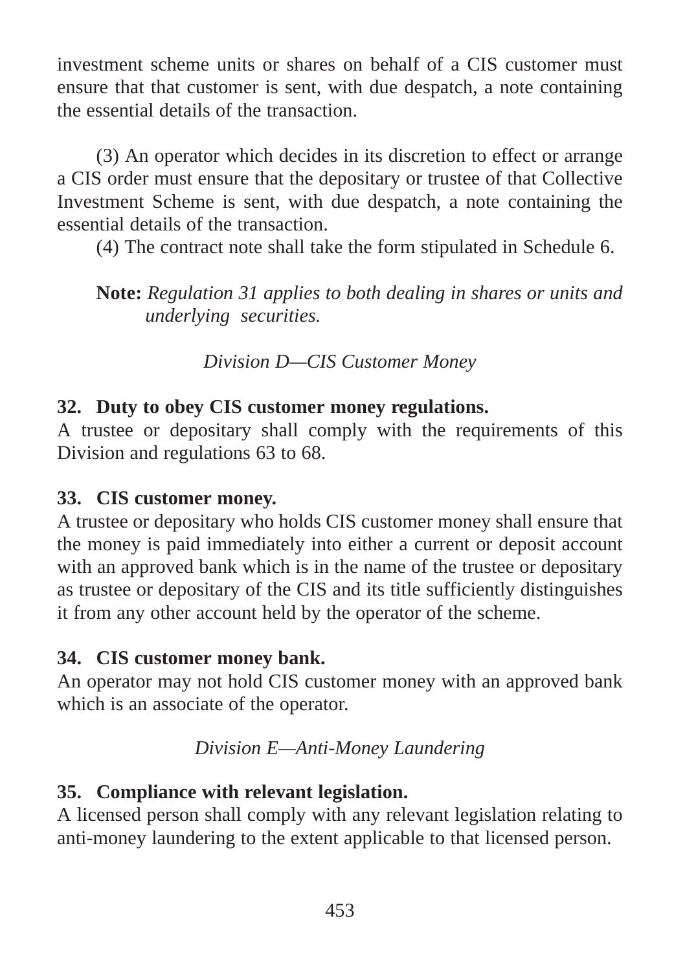investment scheme units or shares on behalf of a CIS customer must ensure that that customer is sent, with due despatch, a note containing the essential details of the transaction.

(3) An operator which decides in its discretion to effect or arrange a CIS order must ensure that the depositary or trustee of that Collective Investment Scheme is sent, with due despatch, a note containing the essential details of the transaction.

(4) The contract note shall take the form stipulated in Schedule 6.

**Note:** *Regulation 31 applies to both dealing in shares or units and underlying securities.* 

*Division D—CIS Customer Money*

### **32. Duty to obey CIS customer money regulations.**

A trustee or depositary shall comply with the requirements of this Division and regulations 63 to 68.

## **33. CIS customer money.**

A trustee or depositary who holds CIS customer money shall ensure that the money is paid immediately into either a current or deposit account with an approved bank which is in the name of the trustee or depositary as trustee or depositary of the CIS and its title sufficiently distinguishes it from any other account held by the operator of the scheme.

## **34. CIS customer money bank.**

An operator may not hold CIS customer money with an approved bank which is an associate of the operator.

## *Division E—Anti-Money Laundering*

# **35. Compliance with relevant legislation.**

A licensed person shall comply with any relevant legislation relating to anti-money laundering to the extent applicable to that licensed person.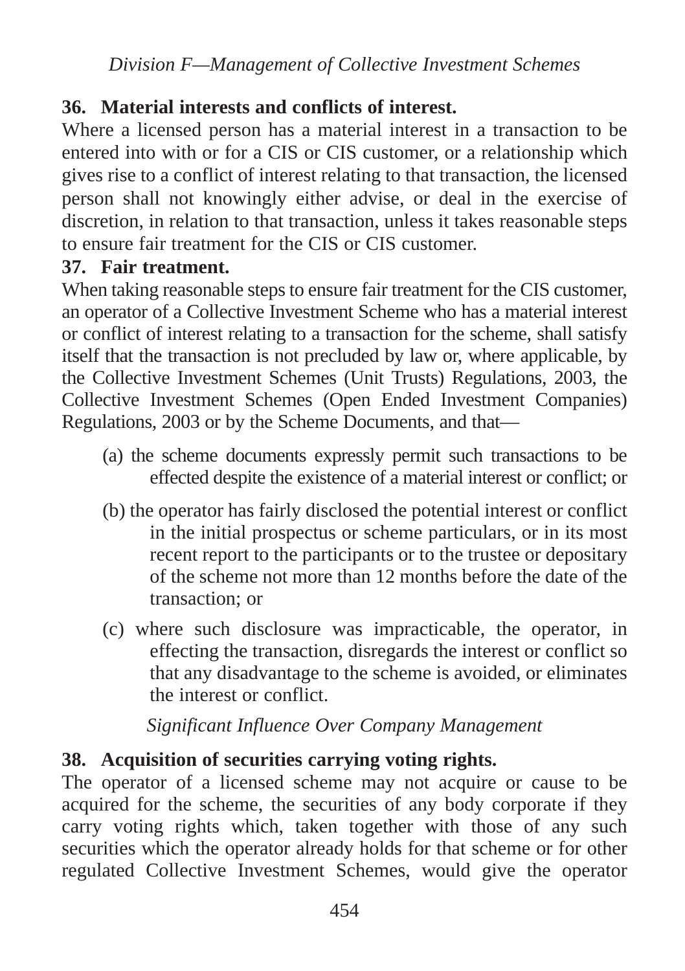*Division F—Management of Collective Investment Schemes*

#### **36. Material interests and conflicts of interest.**

Where a licensed person has a material interest in a transaction to be entered into with or for a CIS or CIS customer, or a relationship which gives rise to a conflict of interest relating to that transaction, the licensed person shall not knowingly either advise, or deal in the exercise of discretion, in relation to that transaction, unless it takes reasonable steps to ensure fair treatment for the CIS or CIS customer.

#### **37. Fair treatment.**

When taking reasonable steps to ensure fair treatment for the CIS customer, an operator of a Collective Investment Scheme who has a material interest or conflict of interest relating to a transaction for the scheme, shall satisfy itself that the transaction is not precluded by law or, where applicable, by the Collective Investment Schemes (Unit Trusts) Regulations, 2003, the Collective Investment Schemes (Open Ended Investment Companies) Regulations, 2003 or by the Scheme Documents, and that—

- (a) the scheme documents expressly permit such transactions to be effected despite the existence of a material interest or conflict; or
- (b) the operator has fairly disclosed the potential interest or conflict in the initial prospectus or scheme particulars, or in its most recent report to the participants or to the trustee or depositary of the scheme not more than 12 months before the date of the transaction; or
- (c) where such disclosure was impracticable, the operator, in effecting the transaction, disregards the interest or conflict so that any disadvantage to the scheme is avoided, or eliminates the interest or conflict.

*Significant Influence Over Company Management*

### **38. Acquisition of securities carrying voting rights.**

The operator of a licensed scheme may not acquire or cause to be acquired for the scheme, the securities of any body corporate if they carry voting rights which, taken together with those of any such securities which the operator already holds for that scheme or for other regulated Collective Investment Schemes, would give the operator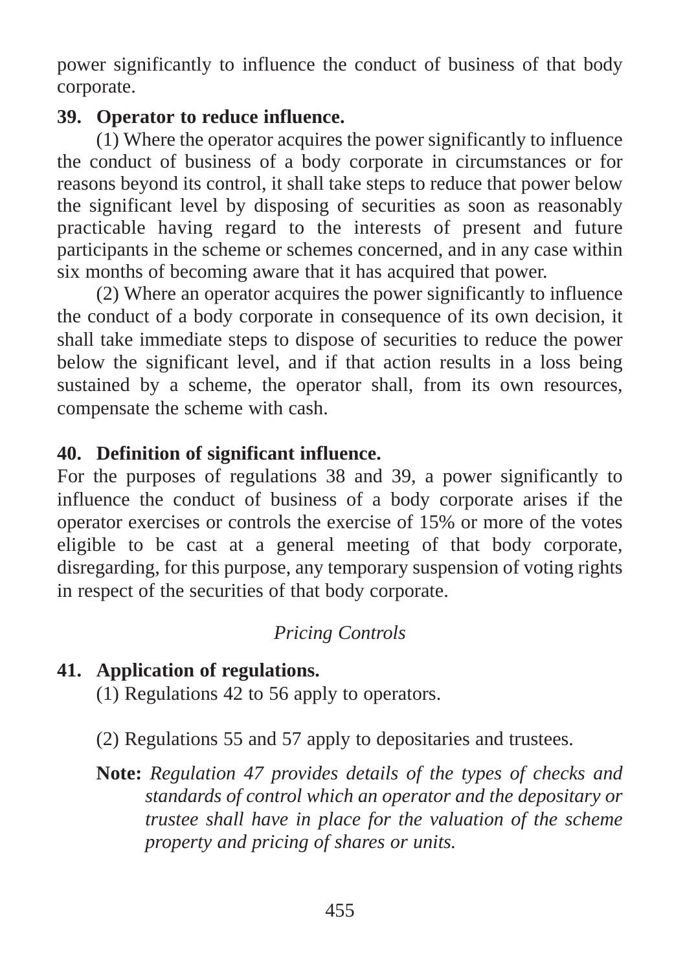power significantly to influence the conduct of business of that body corporate.

#### **39. Operator to reduce influence.**

(1) Where the operator acquires the power significantly to influence the conduct of business of a body corporate in circumstances or for reasons beyond its control, it shall take steps to reduce that power below the significant level by disposing of securities as soon as reasonably practicable having regard to the interests of present and future participants in the scheme or schemes concerned, and in any case within six months of becoming aware that it has acquired that power.

(2) Where an operator acquires the power significantly to influence the conduct of a body corporate in consequence of its own decision, it shall take immediate steps to dispose of securities to reduce the power below the significant level, and if that action results in a loss being sustained by a scheme, the operator shall, from its own resources, compensate the scheme with cash.

### **40. Definition of significant influence.**

For the purposes of regulations 38 and 39, a power significantly to influence the conduct of business of a body corporate arises if the operator exercises or controls the exercise of 15% or more of the votes eligible to be cast at a general meeting of that body corporate, disregarding, for this purpose, any temporary suspension of voting rights in respect of the securities of that body corporate.

# *Pricing Controls*

## **41. Application of regulations.**

(1) Regulations 42 to 56 apply to operators.

- (2) Regulations 55 and 57 apply to depositaries and trustees.
- **Note:** *Regulation 47 provides details of the types of checks and standards of control which an operator and the depositary or trustee shall have in place for the valuation of the scheme property and pricing of shares or units.*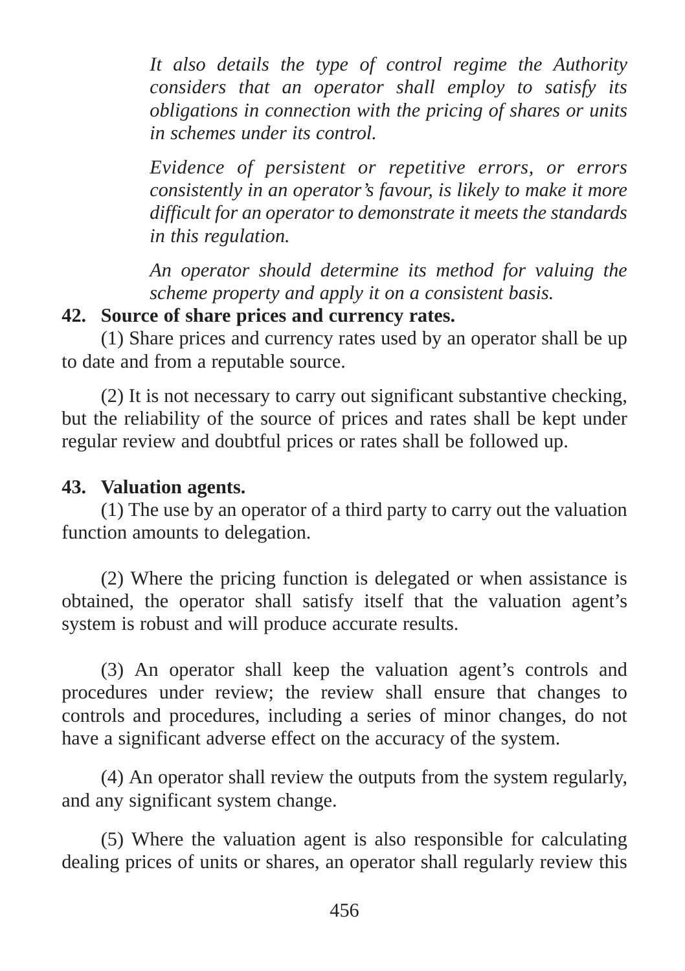*It also details the type of control regime the Authority considers that an operator shall employ to satisfy its obligations in connection with the pricing of shares or units in schemes under its control.*

*Evidence of persistent or repetitive errors, or errors consistently in an operator's favour, is likely to make it more difficult for an operator to demonstrate it meets the standards in this regulation.*

*An operator should determine its method for valuing the scheme property and apply it on a consistent basis.*

### **42. Source of share prices and currency rates.**

(1) Share prices and currency rates used by an operator shall be up to date and from a reputable source.

(2) It is not necessary to carry out significant substantive checking, but the reliability of the source of prices and rates shall be kept under regular review and doubtful prices or rates shall be followed up.

#### **43. Valuation agents.**

(1) The use by an operator of a third party to carry out the valuation function amounts to delegation.

(2) Where the pricing function is delegated or when assistance is obtained, the operator shall satisfy itself that the valuation agent's system is robust and will produce accurate results.

(3) An operator shall keep the valuation agent's controls and procedures under review; the review shall ensure that changes to controls and procedures, including a series of minor changes, do not have a significant adverse effect on the accuracy of the system.

(4) An operator shall review the outputs from the system regularly, and any significant system change.

(5) Where the valuation agent is also responsible for calculating dealing prices of units or shares, an operator shall regularly review this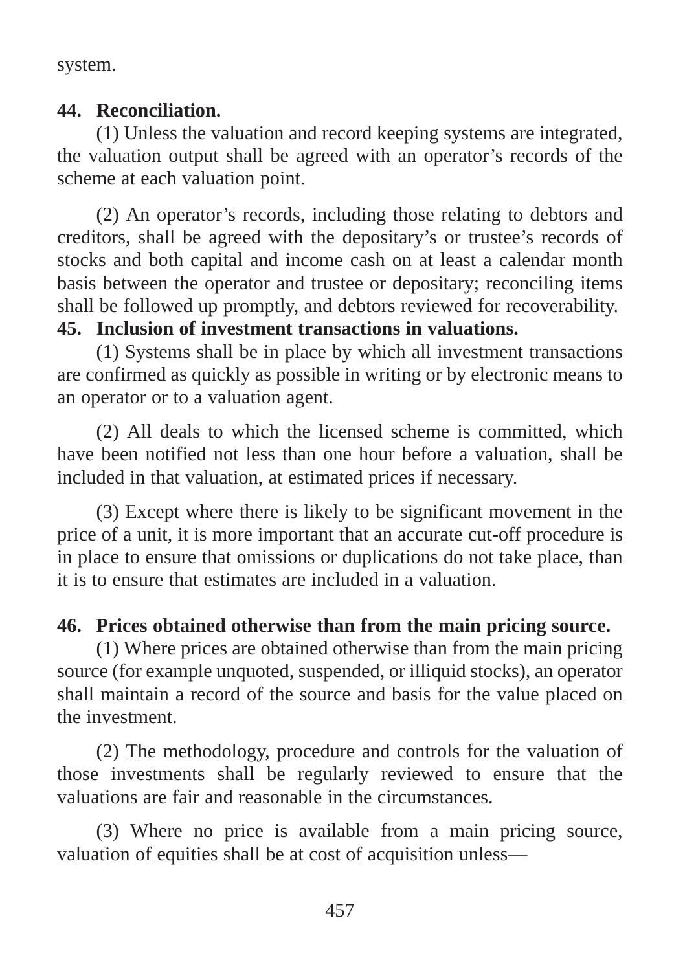system.

#### **44. Reconciliation.**

(1) Unless the valuation and record keeping systems are integrated, the valuation output shall be agreed with an operator's records of the scheme at each valuation point.

(2) An operator's records, including those relating to debtors and creditors, shall be agreed with the depositary's or trustee's records of stocks and both capital and income cash on at least a calendar month basis between the operator and trustee or depositary; reconciling items shall be followed up promptly, and debtors reviewed for recoverability.

#### **45. Inclusion of investment transactions in valuations.**

(1) Systems shall be in place by which all investment transactions are confirmed as quickly as possible in writing or by electronic means to an operator or to a valuation agent.

(2) All deals to which the licensed scheme is committed, which have been notified not less than one hour before a valuation, shall be included in that valuation, at estimated prices if necessary.

(3) Except where there is likely to be significant movement in the price of a unit, it is more important that an accurate cut-off procedure is in place to ensure that omissions or duplications do not take place, than it is to ensure that estimates are included in a valuation.

#### **46. Prices obtained otherwise than from the main pricing source.**

(1) Where prices are obtained otherwise than from the main pricing source (for example unquoted, suspended, or illiquid stocks), an operator shall maintain a record of the source and basis for the value placed on the investment.

(2) The methodology, procedure and controls for the valuation of those investments shall be regularly reviewed to ensure that the valuations are fair and reasonable in the circumstances.

(3) Where no price is available from a main pricing source, valuation of equities shall be at cost of acquisition unless—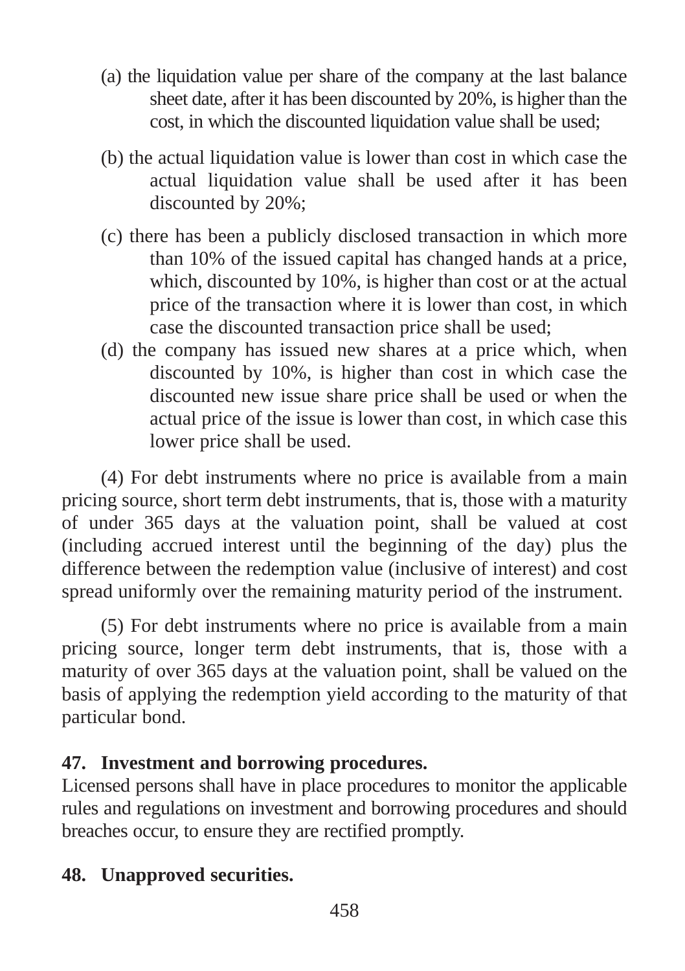- (a) the liquidation value per share of the company at the last balance sheet date, after it has been discounted by 20%, is higher than the cost, in which the discounted liquidation value shall be used;
- (b) the actual liquidation value is lower than cost in which case the actual liquidation value shall be used after it has been discounted by 20%;
- (c) there has been a publicly disclosed transaction in which more than 10% of the issued capital has changed hands at a price, which, discounted by 10%, is higher than cost or at the actual price of the transaction where it is lower than cost, in which case the discounted transaction price shall be used;
- (d) the company has issued new shares at a price which, when discounted by 10%, is higher than cost in which case the discounted new issue share price shall be used or when the actual price of the issue is lower than cost, in which case this lower price shall be used.

(4) For debt instruments where no price is available from a main pricing source, short term debt instruments, that is, those with a maturity of under 365 days at the valuation point, shall be valued at cost (including accrued interest until the beginning of the day) plus the difference between the redemption value (inclusive of interest) and cost spread uniformly over the remaining maturity period of the instrument.

(5) For debt instruments where no price is available from a main pricing source, longer term debt instruments, that is, those with a maturity of over 365 days at the valuation point, shall be valued on the basis of applying the redemption yield according to the maturity of that particular bond.

## **47. Investment and borrowing procedures.**

Licensed persons shall have in place procedures to monitor the applicable rules and regulations on investment and borrowing procedures and should breaches occur, to ensure they are rectified promptly.

## **48. Unapproved securities.**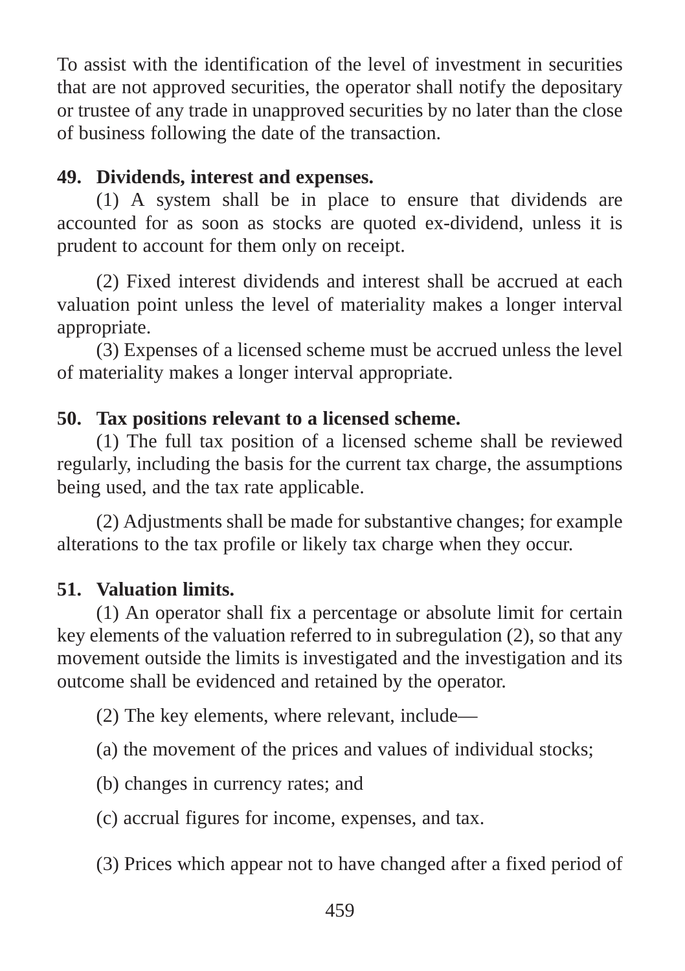To assist with the identification of the level of investment in securities that are not approved securities, the operator shall notify the depositary or trustee of any trade in unapproved securities by no later than the close of business following the date of the transaction.

#### **49. Dividends, interest and expenses.**

(1) A system shall be in place to ensure that dividends are accounted for as soon as stocks are quoted ex-dividend, unless it is prudent to account for them only on receipt.

(2) Fixed interest dividends and interest shall be accrued at each valuation point unless the level of materiality makes a longer interval appropriate.

(3) Expenses of a licensed scheme must be accrued unless the level of materiality makes a longer interval appropriate.

#### **50. Tax positions relevant to a licensed scheme.**

(1) The full tax position of a licensed scheme shall be reviewed regularly, including the basis for the current tax charge, the assumptions being used, and the tax rate applicable.

(2) Adjustments shall be made for substantive changes; for example alterations to the tax profile or likely tax charge when they occur.

#### **51. Valuation limits.**

(1) An operator shall fix a percentage or absolute limit for certain key elements of the valuation referred to in subregulation (2), so that any movement outside the limits is investigated and the investigation and its outcome shall be evidenced and retained by the operator.

(2) The key elements, where relevant, include—

(a) the movement of the prices and values of individual stocks;

(b) changes in currency rates; and

(c) accrual figures for income, expenses, and tax.

(3) Prices which appear not to have changed after a fixed period of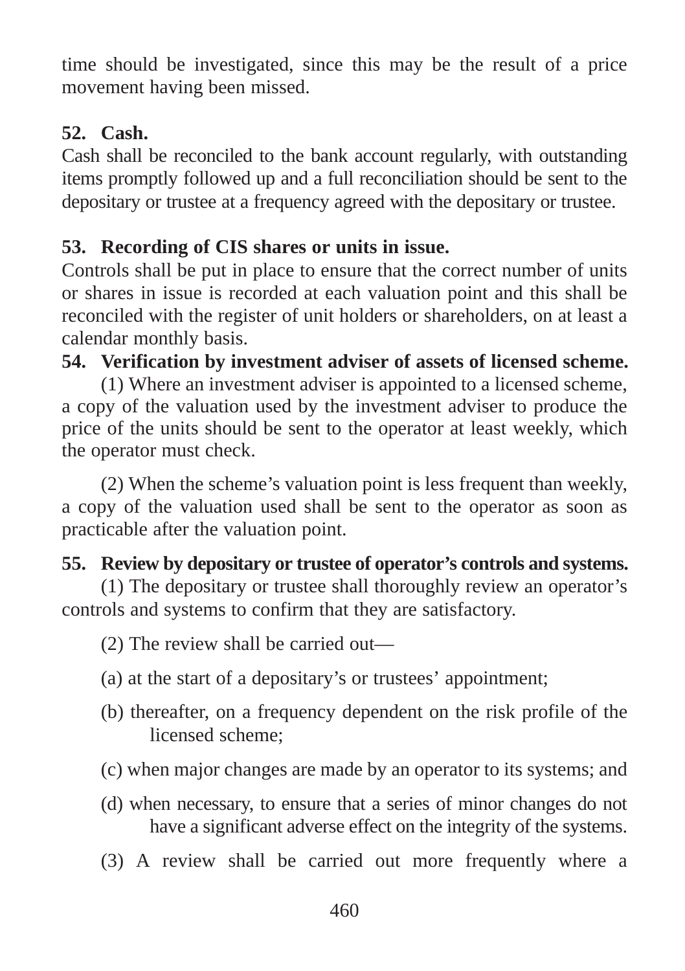time should be investigated, since this may be the result of a price movement having been missed.

### **52. Cash.**

Cash shall be reconciled to the bank account regularly, with outstanding items promptly followed up and a full reconciliation should be sent to the depositary or trustee at a frequency agreed with the depositary or trustee.

### **53. Recording of CIS shares or units in issue.**

Controls shall be put in place to ensure that the correct number of units or shares in issue is recorded at each valuation point and this shall be reconciled with the register of unit holders or shareholders, on at least a calendar monthly basis.

### **54. Verification by investment adviser of assets of licensed scheme.**

(1) Where an investment adviser is appointed to a licensed scheme, a copy of the valuation used by the investment adviser to produce the price of the units should be sent to the operator at least weekly, which the operator must check.

(2) When the scheme's valuation point is less frequent than weekly, a copy of the valuation used shall be sent to the operator as soon as practicable after the valuation point.

### **55. Review by depositary or trustee of operator's controls and systems.**

(1) The depositary or trustee shall thoroughly review an operator's controls and systems to confirm that they are satisfactory.

(2) The review shall be carried out—

- (a) at the start of a depositary's or trustees' appointment;
- (b) thereafter, on a frequency dependent on the risk profile of the licensed scheme;
- (c) when major changes are made by an operator to its systems; and
- (d) when necessary, to ensure that a series of minor changes do not have a significant adverse effect on the integrity of the systems.
- (3) A review shall be carried out more frequently where a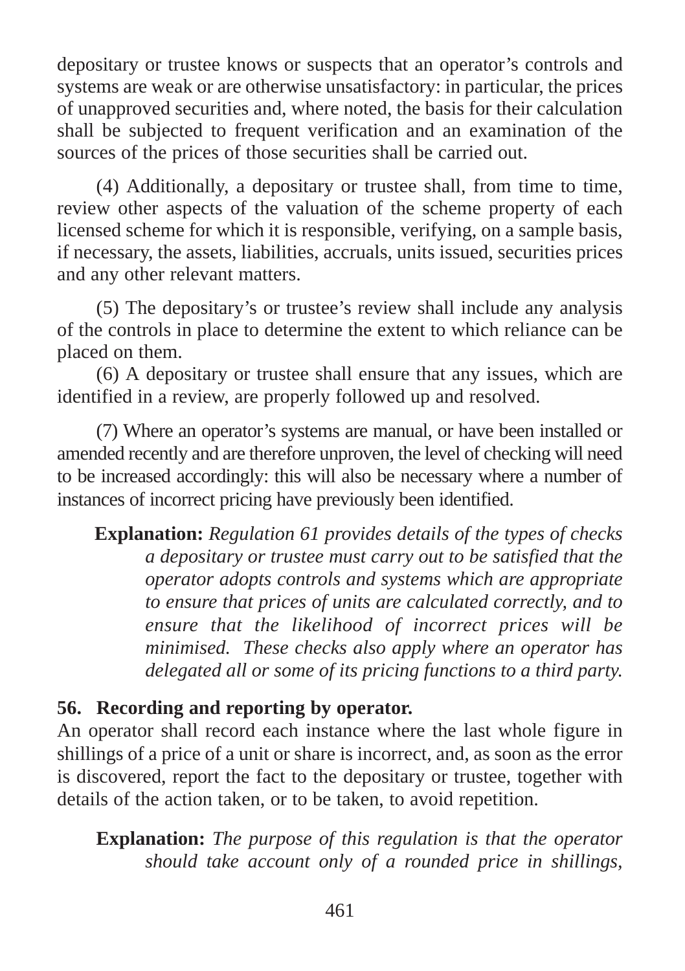depositary or trustee knows or suspects that an operator's controls and systems are weak or are otherwise unsatisfactory: in particular, the prices of unapproved securities and, where noted, the basis for their calculation shall be subjected to frequent verification and an examination of the sources of the prices of those securities shall be carried out.

(4) Additionally, a depositary or trustee shall, from time to time, review other aspects of the valuation of the scheme property of each licensed scheme for which it is responsible, verifying, on a sample basis, if necessary, the assets, liabilities, accruals, units issued, securities prices and any other relevant matters.

(5) The depositary's or trustee's review shall include any analysis of the controls in place to determine the extent to which reliance can be placed on them.

(6) A depositary or trustee shall ensure that any issues, which are identified in a review, are properly followed up and resolved.

(7) Where an operator's systems are manual, or have been installed or amended recently and are therefore unproven, the level of checking will need to be increased accordingly: this will also be necessary where a number of instances of incorrect pricing have previously been identified.

**Explanation:** *Regulation 61 provides details of the types of checks a depositary or trustee must carry out to be satisfied that the operator adopts controls and systems which are appropriate to ensure that prices of units are calculated correctly, and to ensure that the likelihood of incorrect prices will be minimised. These checks also apply where an operator has delegated all or some of its pricing functions to a third party.*

#### **56. Recording and reporting by operator.**

An operator shall record each instance where the last whole figure in shillings of a price of a unit or share is incorrect, and, as soon as the error is discovered, report the fact to the depositary or trustee, together with details of the action taken, or to be taken, to avoid repetition.

**Explanation:** *The purpose of this regulation is that the operator should take account only of a rounded price in shillings,*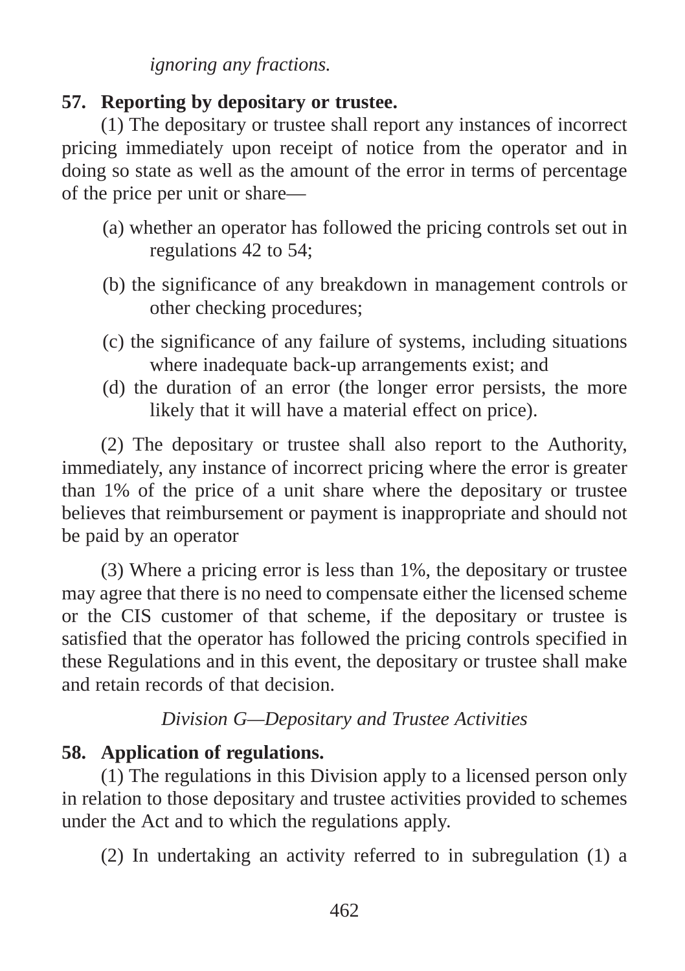*ignoring any fractions.*

#### **57. Reporting by depositary or trustee.**

(1) The depositary or trustee shall report any instances of incorrect pricing immediately upon receipt of notice from the operator and in doing so state as well as the amount of the error in terms of percentage of the price per unit or share—

- (a) whether an operator has followed the pricing controls set out in regulations 42 to 54;
- (b) the significance of any breakdown in management controls or other checking procedures;
- (c) the significance of any failure of systems, including situations where inadequate back-up arrangements exist; and
- (d) the duration of an error (the longer error persists, the more likely that it will have a material effect on price).

(2) The depositary or trustee shall also report to the Authority, immediately, any instance of incorrect pricing where the error is greater than 1% of the price of a unit share where the depositary or trustee believes that reimbursement or payment is inappropriate and should not be paid by an operator

(3) Where a pricing error is less than 1%, the depositary or trustee may agree that there is no need to compensate either the licensed scheme or the CIS customer of that scheme, if the depositary or trustee is satisfied that the operator has followed the pricing controls specified in these Regulations and in this event, the depositary or trustee shall make and retain records of that decision.

### *Division G—Depositary and Trustee Activities*

## **58. Application of regulations.**

(1) The regulations in this Division apply to a licensed person only in relation to those depositary and trustee activities provided to schemes under the Act and to which the regulations apply.

(2) In undertaking an activity referred to in subregulation (1) a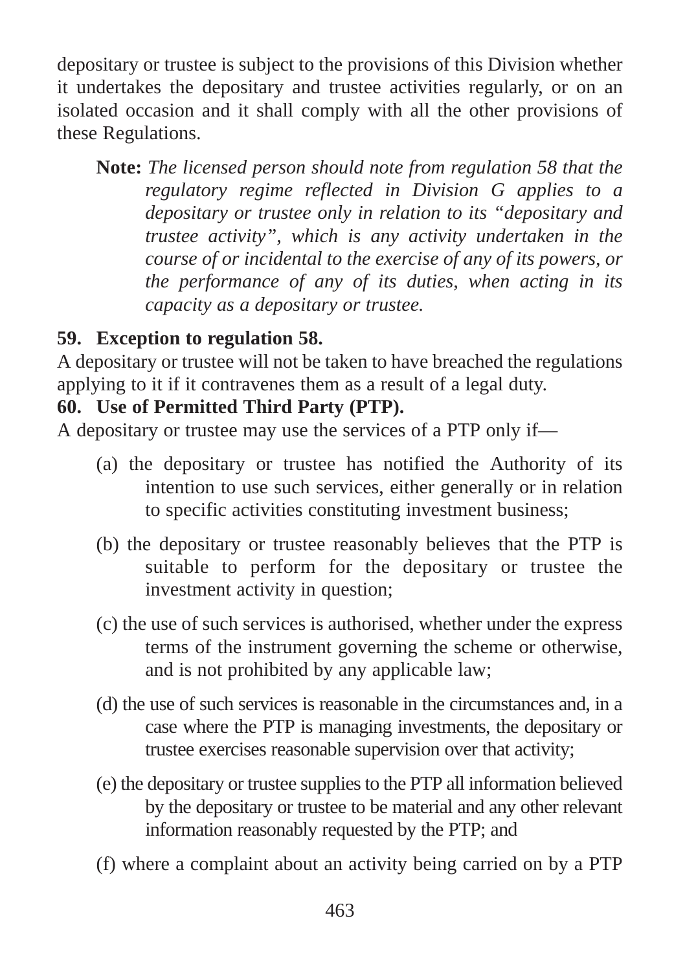depositary or trustee is subject to the provisions of this Division whether it undertakes the depositary and trustee activities regularly, or on an isolated occasion and it shall comply with all the other provisions of these Regulations.

**Note:** *The licensed person should note from regulation 58 that the regulatory regime reflected in Division G applies to a depositary or trustee only in relation to its "depositary and trustee activity", which is any activity undertaken in the course of or incidental to the exercise of any of its powers, or the performance of any of its duties, when acting in its capacity as a depositary or trustee.*

## **59. Exception to regulation 58.**

A depositary or trustee will not be taken to have breached the regulations applying to it if it contravenes them as a result of a legal duty.

### **60. Use of Permitted Third Party (PTP).**

A depositary or trustee may use the services of a PTP only if—

- (a) the depositary or trustee has notified the Authority of its intention to use such services, either generally or in relation to specific activities constituting investment business;
- (b) the depositary or trustee reasonably believes that the PTP is suitable to perform for the depositary or trustee the investment activity in question;
- (c) the use of such services is authorised, whether under the express terms of the instrument governing the scheme or otherwise, and is not prohibited by any applicable law;
- (d) the use of such services is reasonable in the circumstances and, in a case where the PTP is managing investments, the depositary or trustee exercises reasonable supervision over that activity;
- (e) the depositary or trustee supplies to the PTP all information believed by the depositary or trustee to be material and any other relevant information reasonably requested by the PTP; and
- (f) where a complaint about an activity being carried on by a PTP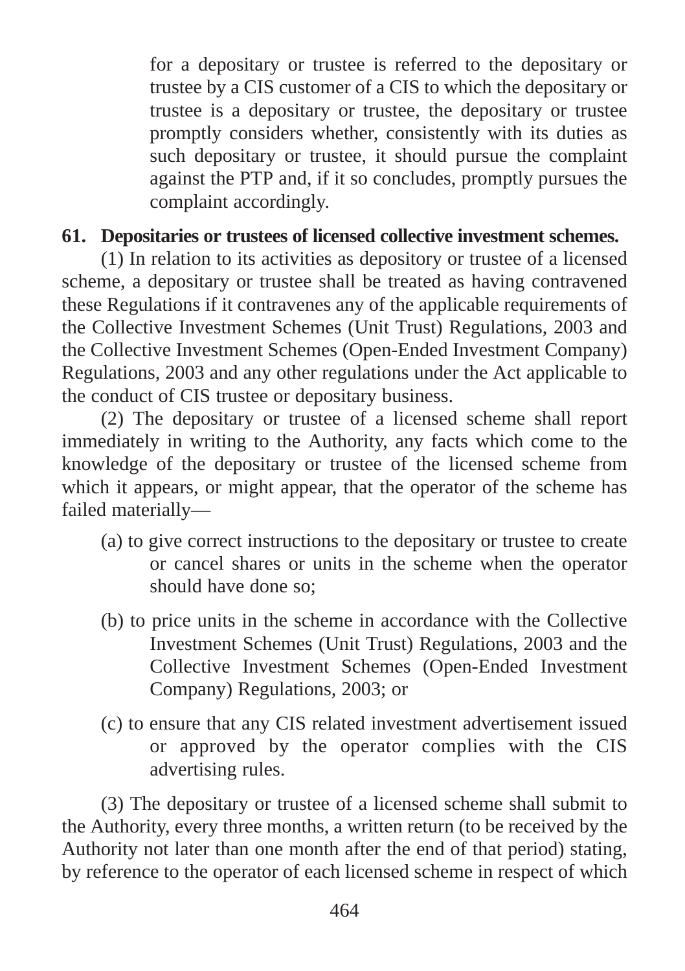for a depositary or trustee is referred to the depositary or trustee by a CIS customer of a CIS to which the depositary or trustee is a depositary or trustee, the depositary or trustee promptly considers whether, consistently with its duties as such depositary or trustee, it should pursue the complaint against the PTP and, if it so concludes, promptly pursues the complaint accordingly.

#### **61. Depositaries or trustees of licensed collective investment schemes.**

(1) In relation to its activities as depository or trustee of a licensed scheme, a depositary or trustee shall be treated as having contravened these Regulations if it contravenes any of the applicable requirements of the Collective Investment Schemes (Unit Trust) Regulations, 2003 and the Collective Investment Schemes (Open-Ended Investment Company) Regulations, 2003 and any other regulations under the Act applicable to the conduct of CIS trustee or depositary business.

(2) The depositary or trustee of a licensed scheme shall report immediately in writing to the Authority, any facts which come to the knowledge of the depositary or trustee of the licensed scheme from which it appears, or might appear, that the operator of the scheme has failed materially—

- (a) to give correct instructions to the depositary or trustee to create or cancel shares or units in the scheme when the operator should have done so;
- (b) to price units in the scheme in accordance with the Collective Investment Schemes (Unit Trust) Regulations, 2003 and the Collective Investment Schemes (Open-Ended Investment Company) Regulations, 2003; or
- (c) to ensure that any CIS related investment advertisement issued or approved by the operator complies with the CIS advertising rules.

(3) The depositary or trustee of a licensed scheme shall submit to the Authority, every three months, a written return (to be received by the Authority not later than one month after the end of that period) stating, by reference to the operator of each licensed scheme in respect of which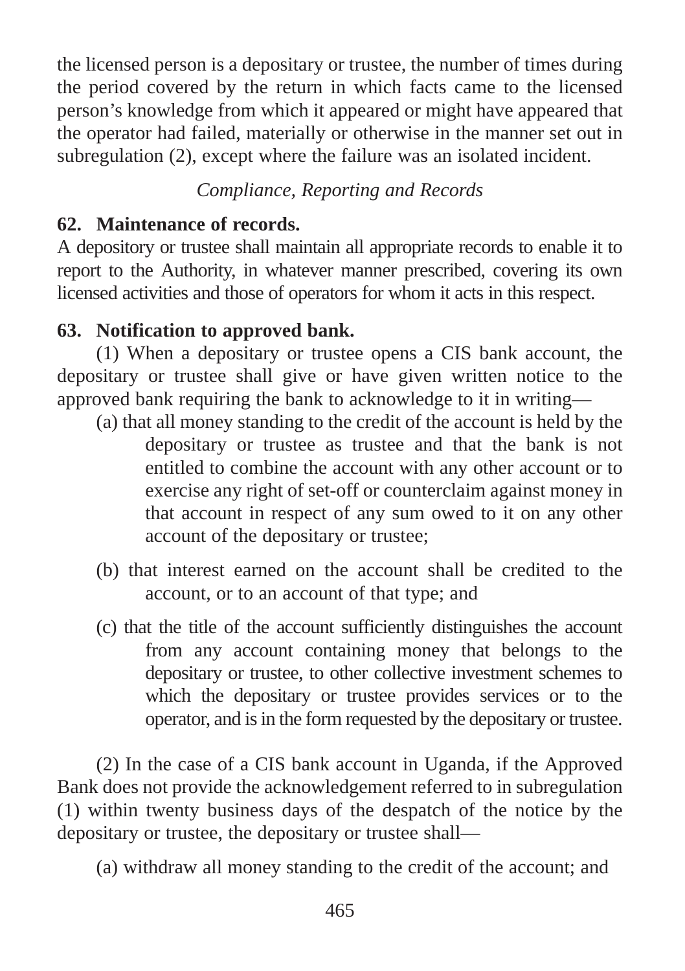the licensed person is a depositary or trustee, the number of times during the period covered by the return in which facts came to the licensed person's knowledge from which it appeared or might have appeared that the operator had failed, materially or otherwise in the manner set out in subregulation (2), except where the failure was an isolated incident.

### *Compliance, Reporting and Records*

#### **62. Maintenance of records.**

A depository or trustee shall maintain all appropriate records to enable it to report to the Authority, in whatever manner prescribed, covering its own licensed activities and those of operators for whom it acts in this respect.

### **63. Notification to approved bank.**

(1) When a depositary or trustee opens a CIS bank account, the depositary or trustee shall give or have given written notice to the approved bank requiring the bank to acknowledge to it in writing—

- (a) that all money standing to the credit of the account is held by the depositary or trustee as trustee and that the bank is not entitled to combine the account with any other account or to exercise any right of set-off or counterclaim against money in that account in respect of any sum owed to it on any other account of the depositary or trustee;
- (b) that interest earned on the account shall be credited to the account, or to an account of that type; and
- (c) that the title of the account sufficiently distinguishes the account from any account containing money that belongs to the depositary or trustee, to other collective investment schemes to which the depositary or trustee provides services or to the operator, and is in the form requested by the depositary or trustee.

(2) In the case of a CIS bank account in Uganda, if the Approved Bank does not provide the acknowledgement referred to in subregulation (1) within twenty business days of the despatch of the notice by the depositary or trustee, the depositary or trustee shall—

(a) withdraw all money standing to the credit of the account; and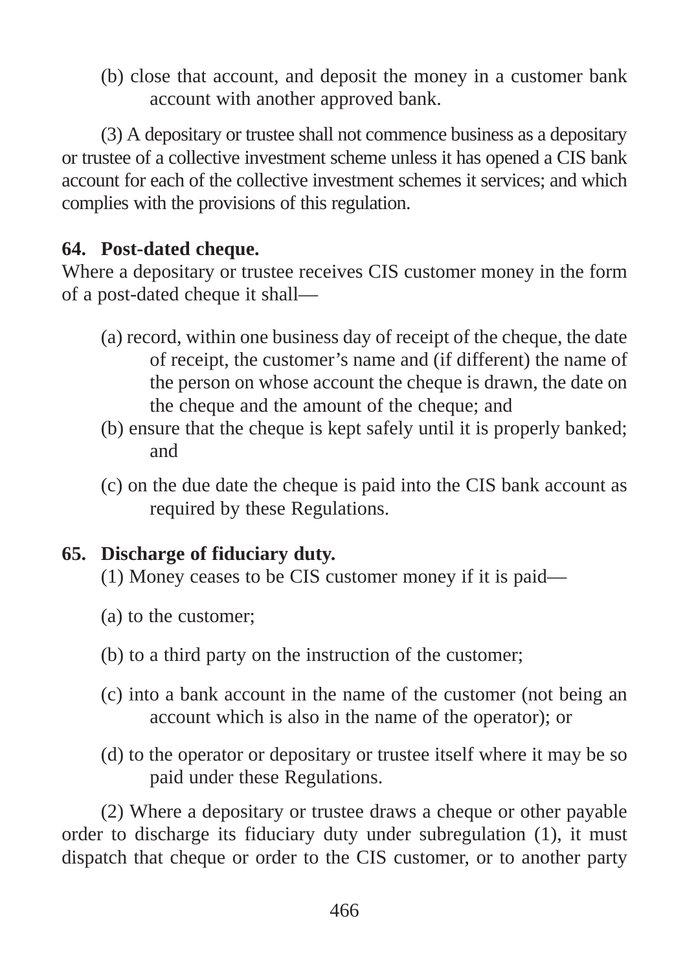(b) close that account, and deposit the money in a customer bank account with another approved bank.

(3) A depositary or trustee shall not commence business as a depositary or trustee of a collective investment scheme unless it has opened a CIS bank account for each of the collective investment schemes it services; and which complies with the provisions of this regulation.

### **64. Post-dated cheque.**

Where a depositary or trustee receives CIS customer money in the form of a post-dated cheque it shall—

- (a) record, within one business day of receipt of the cheque, the date of receipt, the customer's name and (if different) the name of the person on whose account the cheque is drawn, the date on the cheque and the amount of the cheque; and
- (b) ensure that the cheque is kept safely until it is properly banked; and
- (c) on the due date the cheque is paid into the CIS bank account as required by these Regulations.

## **65. Discharge of fiduciary duty.**

- (1) Money ceases to be CIS customer money if it is paid—
- (a) to the customer;
- (b) to a third party on the instruction of the customer;
- (c) into a bank account in the name of the customer (not being an account which is also in the name of the operator); or
- (d) to the operator or depositary or trustee itself where it may be so paid under these Regulations.

(2) Where a depositary or trustee draws a cheque or other payable order to discharge its fiduciary duty under subregulation (1), it must dispatch that cheque or order to the CIS customer, or to another party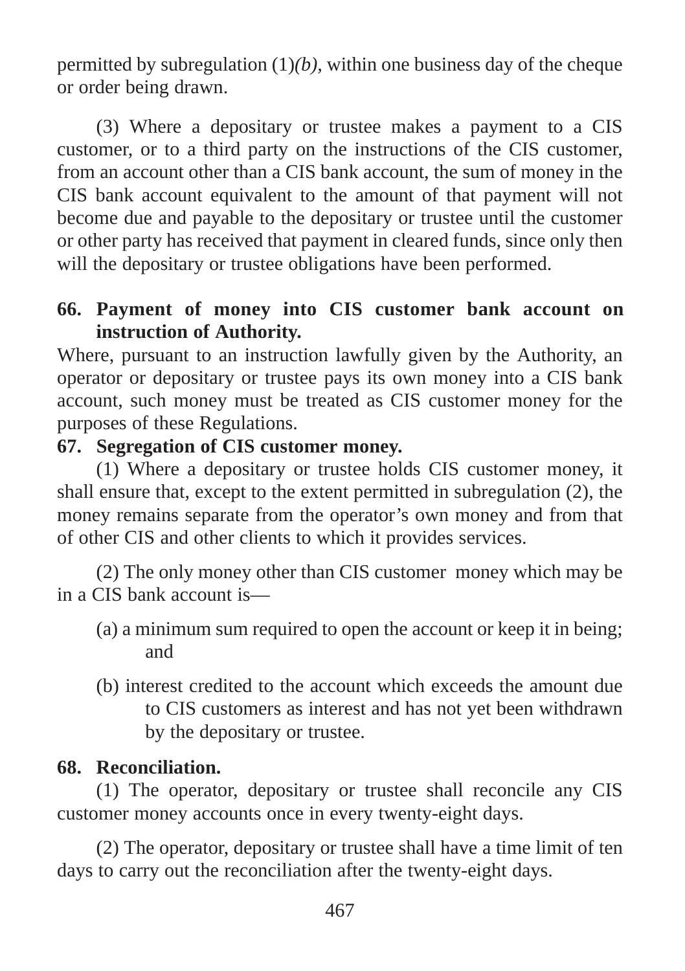permitted by subregulation (1)*(b),* within one business day of the cheque or order being drawn.

(3) Where a depositary or trustee makes a payment to a CIS customer, or to a third party on the instructions of the CIS customer, from an account other than a CIS bank account, the sum of money in the CIS bank account equivalent to the amount of that payment will not become due and payable to the depositary or trustee until the customer or other party has received that payment in cleared funds, since only then will the depositary or trustee obligations have been performed.

#### **66. Payment of money into CIS customer bank account on instruction of Authority.**

Where, pursuant to an instruction lawfully given by the Authority, an operator or depositary or trustee pays its own money into a CIS bank account, such money must be treated as CIS customer money for the purposes of these Regulations.

#### **67. Segregation of CIS customer money.**

(1) Where a depositary or trustee holds CIS customer money, it shall ensure that, except to the extent permitted in subregulation (2), the money remains separate from the operator's own money and from that of other CIS and other clients to which it provides services.

(2) The only money other than CIS customer money which may be in a CIS bank account is—

- (a) a minimum sum required to open the account or keep it in being; and
- (b) interest credited to the account which exceeds the amount due to CIS customers as interest and has not yet been withdrawn by the depositary or trustee.

#### **68. Reconciliation.**

(1) The operator, depositary or trustee shall reconcile any CIS customer money accounts once in every twenty-eight days.

(2) The operator, depositary or trustee shall have a time limit of ten days to carry out the reconciliation after the twenty-eight days.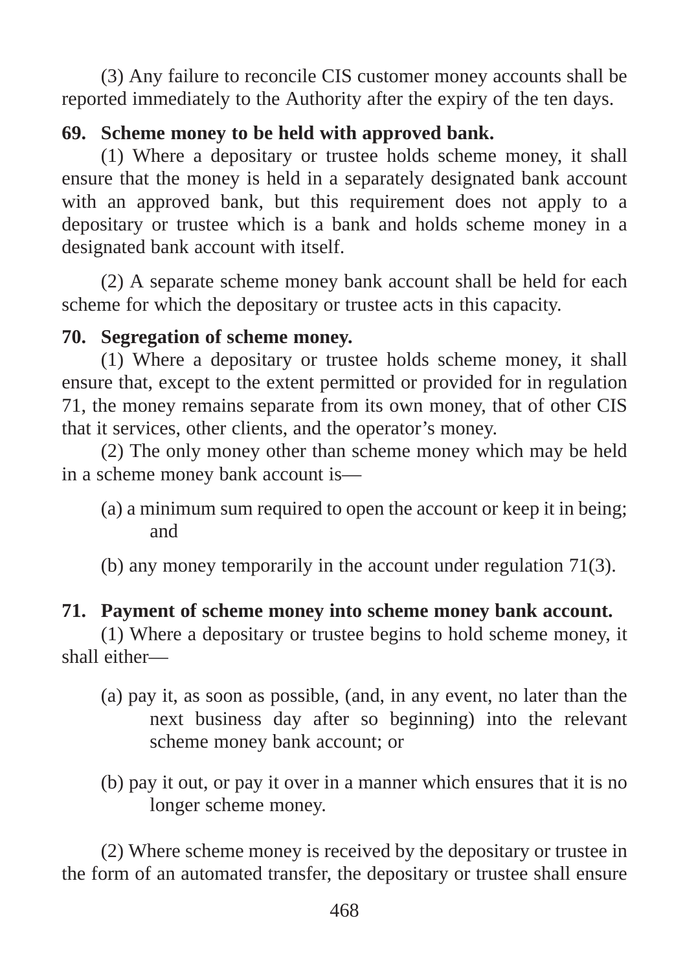(3) Any failure to reconcile CIS customer money accounts shall be reported immediately to the Authority after the expiry of the ten days.

### **69. Scheme money to be held with approved bank.**

(1) Where a depositary or trustee holds scheme money, it shall ensure that the money is held in a separately designated bank account with an approved bank, but this requirement does not apply to a depositary or trustee which is a bank and holds scheme money in a designated bank account with itself.

(2) A separate scheme money bank account shall be held for each scheme for which the depositary or trustee acts in this capacity.

### **70. Segregation of scheme money.**

(1) Where a depositary or trustee holds scheme money, it shall ensure that, except to the extent permitted or provided for in regulation 71, the money remains separate from its own money, that of other CIS that it services, other clients, and the operator's money.

(2) The only money other than scheme money which may be held in a scheme money bank account is—

(a) a minimum sum required to open the account or keep it in being; and

(b) any money temporarily in the account under regulation 71(3).

### **71. Payment of scheme money into scheme money bank account.**

(1) Where a depositary or trustee begins to hold scheme money, it shall either—

- (a) pay it, as soon as possible, (and, in any event, no later than the next business day after so beginning) into the relevant scheme money bank account; or
- (b) pay it out, or pay it over in a manner which ensures that it is no longer scheme money.

(2) Where scheme money is received by the depositary or trustee in the form of an automated transfer, the depositary or trustee shall ensure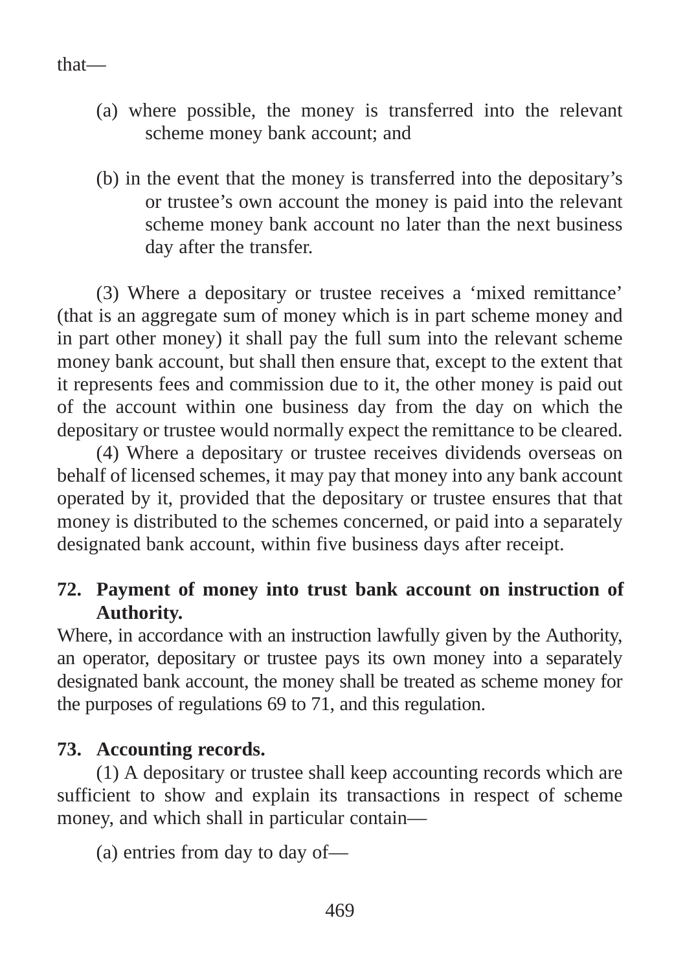#### that—

- (a) where possible, the money is transferred into the relevant scheme money bank account; and
- (b) in the event that the money is transferred into the depositary's or trustee's own account the money is paid into the relevant scheme money bank account no later than the next business day after the transfer.

(3) Where a depositary or trustee receives a 'mixed remittance' (that is an aggregate sum of money which is in part scheme money and in part other money) it shall pay the full sum into the relevant scheme money bank account, but shall then ensure that, except to the extent that it represents fees and commission due to it, the other money is paid out of the account within one business day from the day on which the depositary or trustee would normally expect the remittance to be cleared.

(4) Where a depositary or trustee receives dividends overseas on behalf of licensed schemes, it may pay that money into any bank account operated by it, provided that the depositary or trustee ensures that that money is distributed to the schemes concerned, or paid into a separately designated bank account, within five business days after receipt.

#### **72. Payment of money into trust bank account on instruction of Authority.**

Where, in accordance with an instruction lawfully given by the Authority, an operator, depositary or trustee pays its own money into a separately designated bank account, the money shall be treated as scheme money for the purposes of regulations 69 to 71, and this regulation.

#### **73. Accounting records.**

(1) A depositary or trustee shall keep accounting records which are sufficient to show and explain its transactions in respect of scheme money, and which shall in particular contain—

(a) entries from day to day of—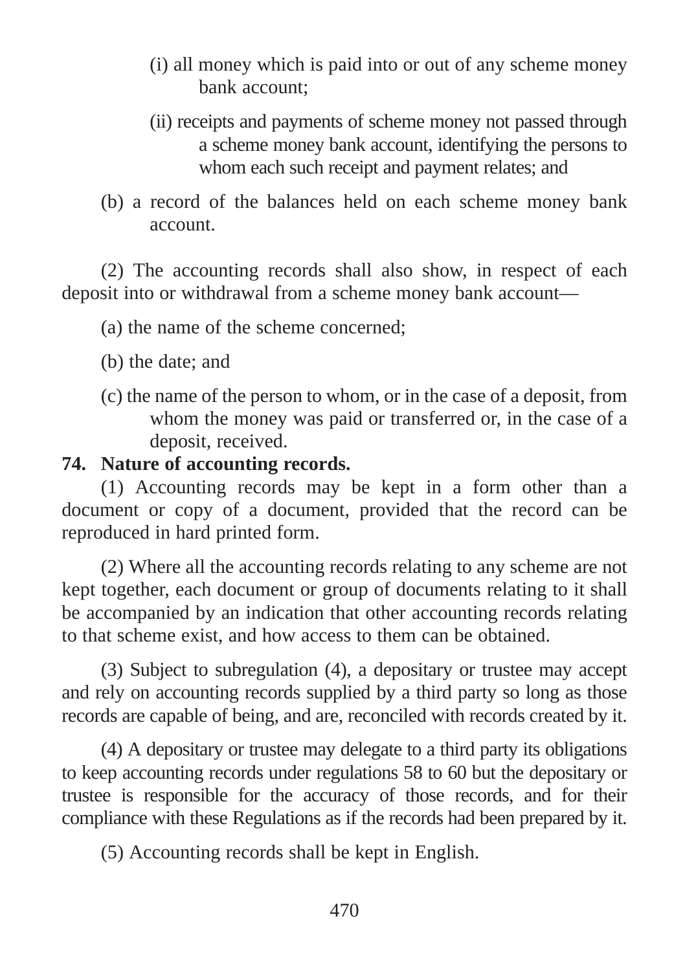- (i) all money which is paid into or out of any scheme money bank account;
- (ii) receipts and payments of scheme money not passed through a scheme money bank account, identifying the persons to whom each such receipt and payment relates; and
- (b) a record of the balances held on each scheme money bank account.

(2) The accounting records shall also show, in respect of each deposit into or withdrawal from a scheme money bank account—

- (a) the name of the scheme concerned;
- (b) the date; and
- (c) the name of the person to whom, or in the case of a deposit, from whom the money was paid or transferred or, in the case of a deposit, received.

#### **74. Nature of accounting records.**

(1) Accounting records may be kept in a form other than a document or copy of a document, provided that the record can be reproduced in hard printed form.

(2) Where all the accounting records relating to any scheme are not kept together, each document or group of documents relating to it shall be accompanied by an indication that other accounting records relating to that scheme exist, and how access to them can be obtained.

(3) Subject to subregulation (4), a depositary or trustee may accept and rely on accounting records supplied by a third party so long as those records are capable of being, and are, reconciled with records created by it.

(4) A depositary or trustee may delegate to a third party its obligations to keep accounting records under regulations 58 to 60 but the depositary or trustee is responsible for the accuracy of those records, and for their compliance with these Regulations as if the records had been prepared by it.

(5) Accounting records shall be kept in English.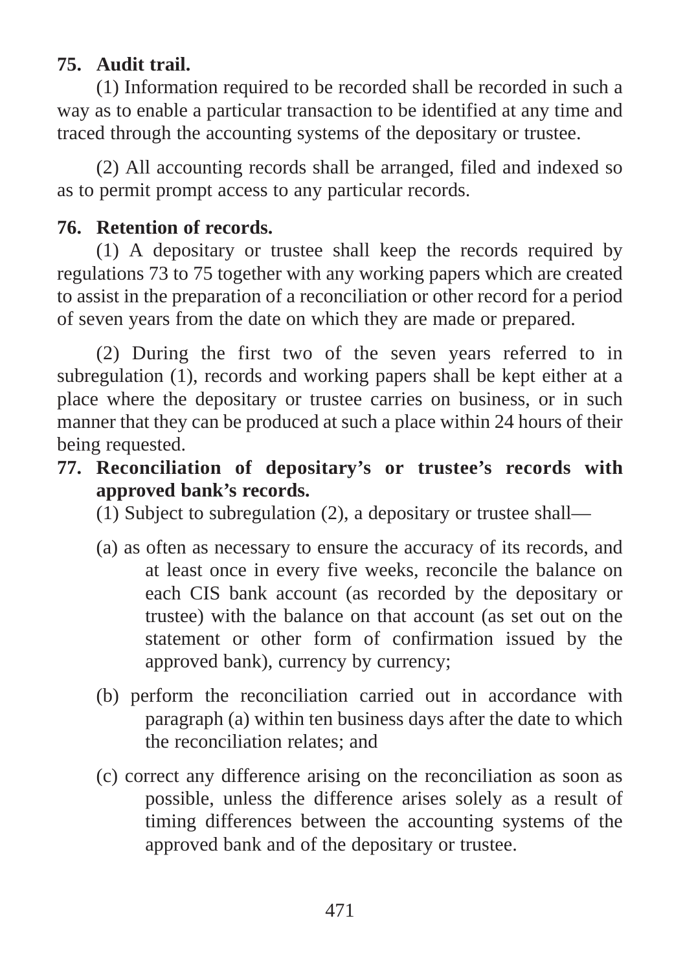### **75. Audit trail.**

(1) Information required to be recorded shall be recorded in such a way as to enable a particular transaction to be identified at any time and traced through the accounting systems of the depositary or trustee.

(2) All accounting records shall be arranged, filed and indexed so as to permit prompt access to any particular records.

### **76. Retention of records.**

(1) A depositary or trustee shall keep the records required by regulations 73 to 75 together with any working papers which are created to assist in the preparation of a reconciliation or other record for a period of seven years from the date on which they are made or prepared.

(2) During the first two of the seven years referred to in subregulation (1), records and working papers shall be kept either at a place where the depositary or trustee carries on business, or in such manner that they can be produced at such a place within 24 hours of their being requested.

- **77. Reconciliation of depositary's or trustee's records with approved bank's records.**
	- (1) Subject to subregulation (2), a depositary or trustee shall—
	- (a) as often as necessary to ensure the accuracy of its records, and at least once in every five weeks, reconcile the balance on each CIS bank account (as recorded by the depositary or trustee) with the balance on that account (as set out on the statement or other form of confirmation issued by the approved bank), currency by currency;
	- (b) perform the reconciliation carried out in accordance with paragraph (a) within ten business days after the date to which the reconciliation relates; and
	- (c) correct any difference arising on the reconciliation as soon as possible, unless the difference arises solely as a result of timing differences between the accounting systems of the approved bank and of the depositary or trustee.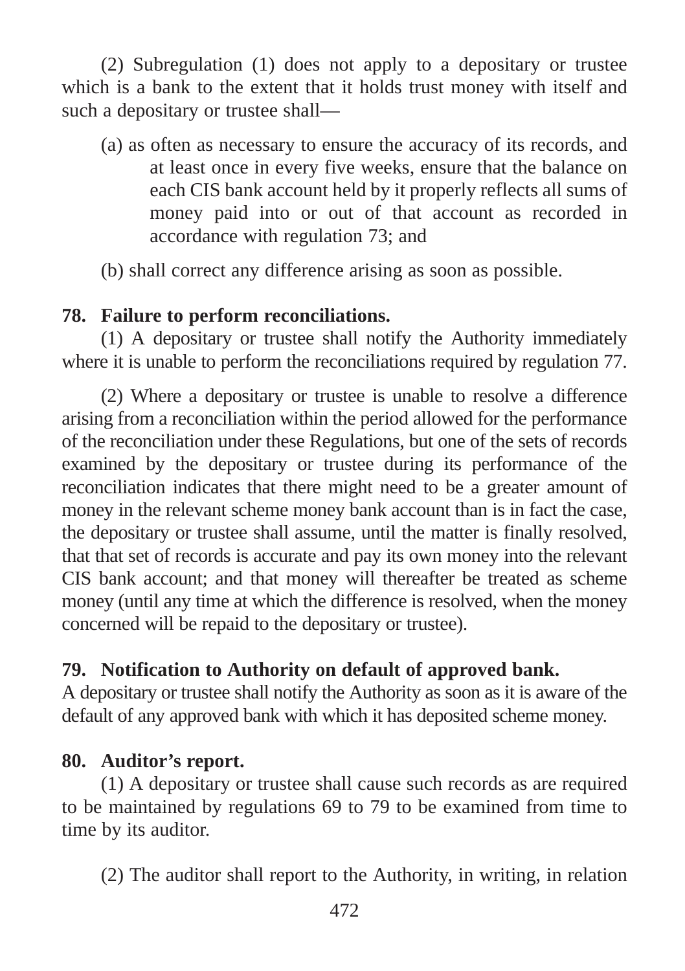(2) Subregulation (1) does not apply to a depositary or trustee which is a bank to the extent that it holds trust money with itself and such a depositary or trustee shall—

(a) as often as necessary to ensure the accuracy of its records, and at least once in every five weeks, ensure that the balance on each CIS bank account held by it properly reflects all sums of money paid into or out of that account as recorded in accordance with regulation 73; and

(b) shall correct any difference arising as soon as possible.

#### **78. Failure to perform reconciliations.**

(1) A depositary or trustee shall notify the Authority immediately where it is unable to perform the reconciliations required by regulation 77.

(2) Where a depositary or trustee is unable to resolve a difference arising from a reconciliation within the period allowed for the performance of the reconciliation under these Regulations, but one of the sets of records examined by the depositary or trustee during its performance of the reconciliation indicates that there might need to be a greater amount of money in the relevant scheme money bank account than is in fact the case, the depositary or trustee shall assume, until the matter is finally resolved, that that set of records is accurate and pay its own money into the relevant CIS bank account; and that money will thereafter be treated as scheme money (until any time at which the difference is resolved, when the money concerned will be repaid to the depositary or trustee).

### **79. Notification to Authority on default of approved bank.**

A depositary or trustee shall notify the Authority as soon as it is aware of the default of any approved bank with which it has deposited scheme money.

#### **80. Auditor's report.**

(1) A depositary or trustee shall cause such records as are required to be maintained by regulations 69 to 79 to be examined from time to time by its auditor.

(2) The auditor shall report to the Authority, in writing, in relation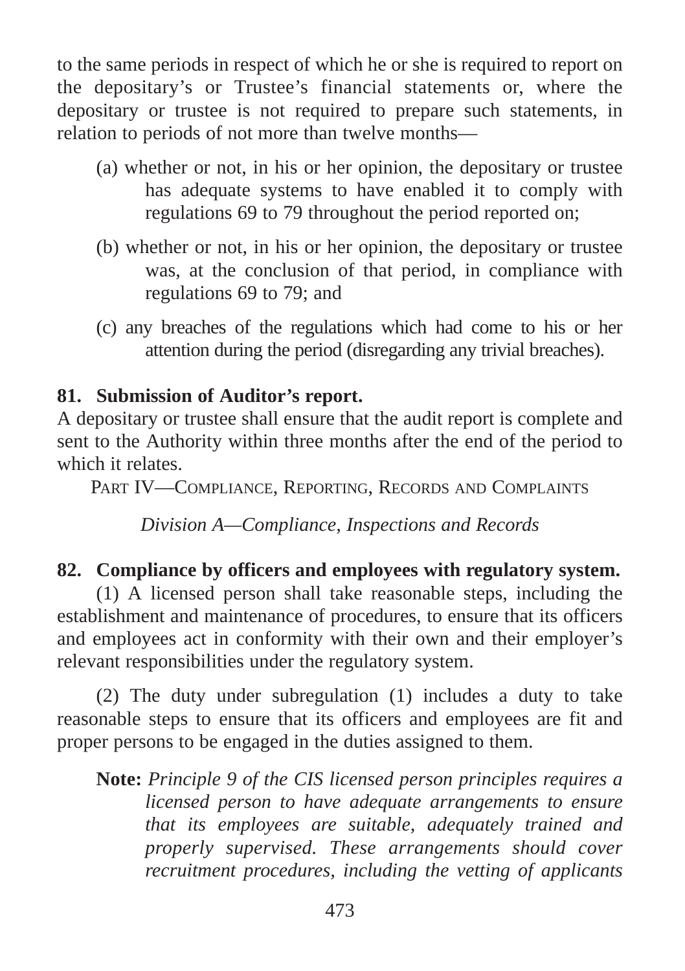to the same periods in respect of which he or she is required to report on the depositary's or Trustee's financial statements or, where the depositary or trustee is not required to prepare such statements, in relation to periods of not more than twelve months—

- (a) whether or not, in his or her opinion, the depositary or trustee has adequate systems to have enabled it to comply with regulations 69 to 79 throughout the period reported on;
- (b) whether or not, in his or her opinion, the depositary or trustee was, at the conclusion of that period, in compliance with regulations 69 to 79; and
- (c) any breaches of the regulations which had come to his or her attention during the period (disregarding any trivial breaches).

#### **81. Submission of Auditor's report.**

A depositary or trustee shall ensure that the audit report is complete and sent to the Authority within three months after the end of the period to which it relates.

PART IV—COMPLIANCE, REPORTING, RECORDS AND COMPLAINTS

*Division A—Compliance, Inspections and Records*

### **82. Compliance by officers and employees with regulatory system.**

(1) A licensed person shall take reasonable steps, including the establishment and maintenance of procedures, to ensure that its officers and employees act in conformity with their own and their employer's relevant responsibilities under the regulatory system.

(2) The duty under subregulation (1) includes a duty to take reasonable steps to ensure that its officers and employees are fit and proper persons to be engaged in the duties assigned to them.

**Note:** *Principle 9 of the CIS licensed person principles requires a licensed person to have adequate arrangements to ensure that its employees are suitable, adequately trained and properly supervised. These arrangements should cover recruitment procedures, including the vetting of applicants*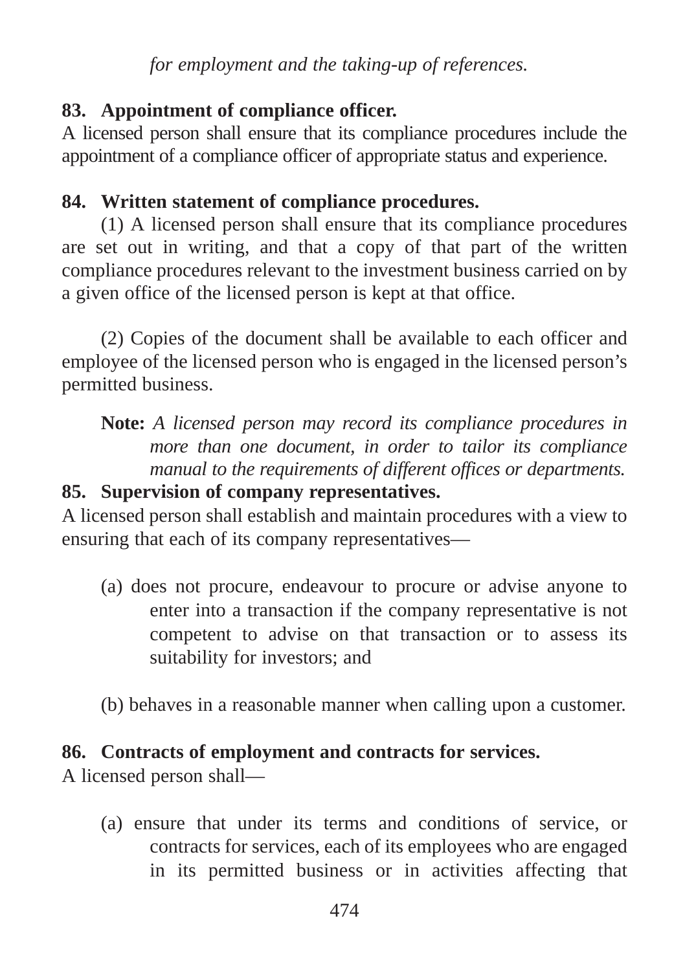*for employment and the taking-up of references.*

## **83. Appointment of compliance officer.**

A licensed person shall ensure that its compliance procedures include the appointment of a compliance officer of appropriate status and experience.

## **84. Written statement of compliance procedures.**

(1) A licensed person shall ensure that its compliance procedures are set out in writing, and that a copy of that part of the written compliance procedures relevant to the investment business carried on by a given office of the licensed person is kept at that office.

(2) Copies of the document shall be available to each officer and employee of the licensed person who is engaged in the licensed person's permitted business.

# **Note:** *A licensed person may record its compliance procedures in more than one document, in order to tailor its compliance manual to the requirements of different offices or departments.*

### **85. Supervision of company representatives.**

A licensed person shall establish and maintain procedures with a view to ensuring that each of its company representatives—

- (a) does not procure, endeavour to procure or advise anyone to enter into a transaction if the company representative is not competent to advise on that transaction or to assess its suitability for investors; and
- (b) behaves in a reasonable manner when calling upon a customer.

## **86. Contracts of employment and contracts for services.**

A licensed person shall—

(a) ensure that under its terms and conditions of service, or contracts for services, each of its employees who are engaged in its permitted business or in activities affecting that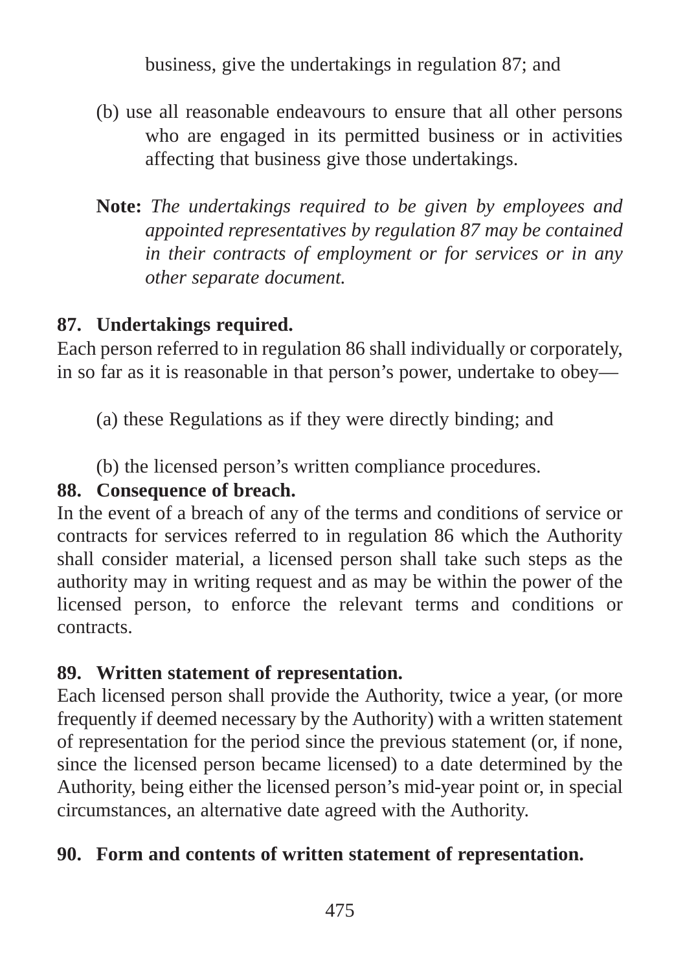business, give the undertakings in regulation 87; and

- (b) use all reasonable endeavours to ensure that all other persons who are engaged in its permitted business or in activities affecting that business give those undertakings.
- **Note:** *The undertakings required to be given by employees and appointed representatives by regulation 87 may be contained in their contracts of employment or for services or in any other separate document.*

### **87. Undertakings required.**

Each person referred to in regulation 86 shall individually or corporately, in so far as it is reasonable in that person's power, undertake to obey—

(a) these Regulations as if they were directly binding; and

(b) the licensed person's written compliance procedures.

## **88. Consequence of breach.**

In the event of a breach of any of the terms and conditions of service or contracts for services referred to in regulation 86 which the Authority shall consider material, a licensed person shall take such steps as the authority may in writing request and as may be within the power of the licensed person, to enforce the relevant terms and conditions or contracts.

## **89. Written statement of representation.**

Each licensed person shall provide the Authority, twice a year, (or more frequently if deemed necessary by the Authority) with a written statement of representation for the period since the previous statement (or, if none, since the licensed person became licensed) to a date determined by the Authority, being either the licensed person's mid-year point or, in special circumstances, an alternative date agreed with the Authority.

## **90. Form and contents of written statement of representation.**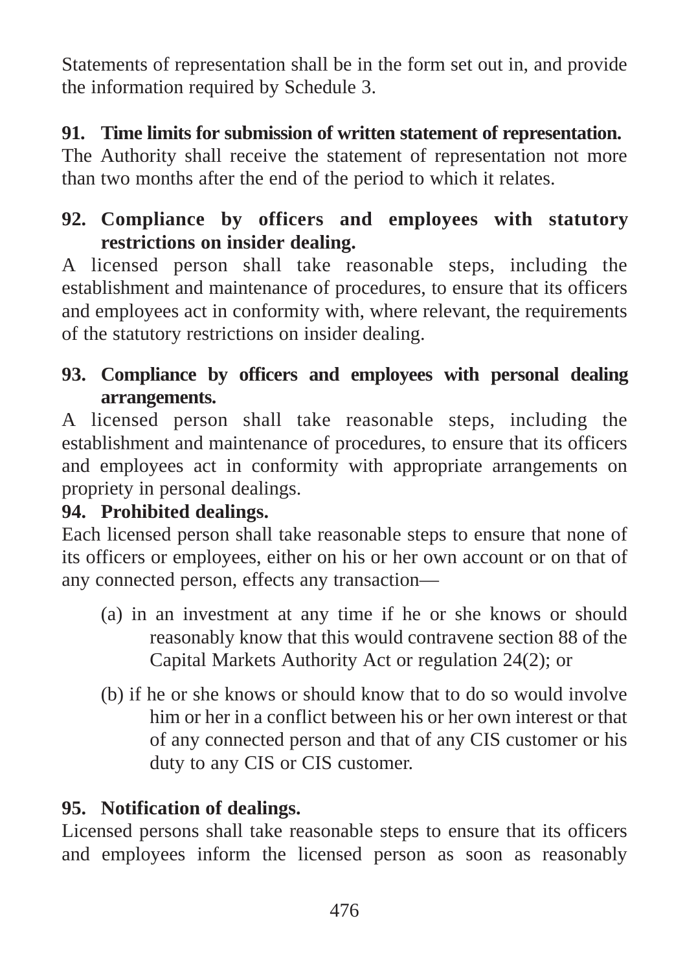Statements of representation shall be in the form set out in, and provide the information required by Schedule 3.

## **91. Time limits for submission of written statement of representation.**

The Authority shall receive the statement of representation not more than two months after the end of the period to which it relates.

### **92. Compliance by officers and employees with statutory restrictions on insider dealing.**

A licensed person shall take reasonable steps, including the establishment and maintenance of procedures, to ensure that its officers and employees act in conformity with, where relevant, the requirements of the statutory restrictions on insider dealing.

## **93. Compliance by officers and employees with personal dealing arrangements.**

A licensed person shall take reasonable steps, including the establishment and maintenance of procedures, to ensure that its officers and employees act in conformity with appropriate arrangements on propriety in personal dealings.

# **94. Prohibited dealings.**

Each licensed person shall take reasonable steps to ensure that none of its officers or employees, either on his or her own account or on that of any connected person, effects any transaction—

- (a) in an investment at any time if he or she knows or should reasonably know that this would contravene section 88 of the Capital Markets Authority Act or regulation 24(2); or
- (b) if he or she knows or should know that to do so would involve him or her in a conflict between his or her own interest or that of any connected person and that of any CIS customer or his duty to any CIS or CIS customer.

# **95. Notification of dealings.**

Licensed persons shall take reasonable steps to ensure that its officers and employees inform the licensed person as soon as reasonably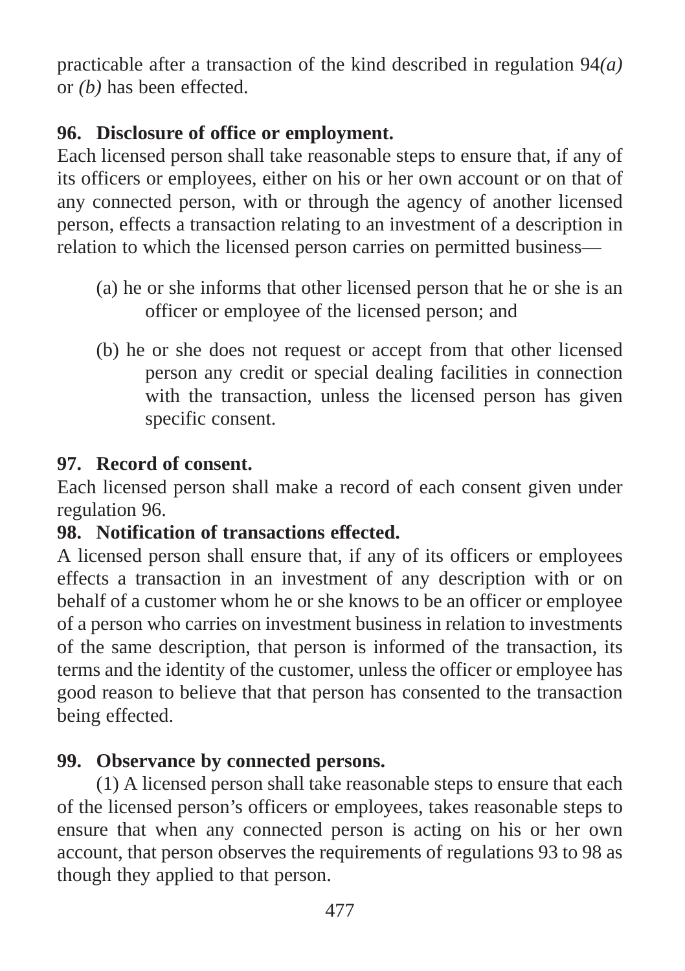practicable after a transaction of the kind described in regulation 94*(a)* or *(b)* has been effected.

## **96. Disclosure of office or employment.**

Each licensed person shall take reasonable steps to ensure that, if any of its officers or employees, either on his or her own account or on that of any connected person, with or through the agency of another licensed person, effects a transaction relating to an investment of a description in relation to which the licensed person carries on permitted business—

- (a) he or she informs that other licensed person that he or she is an officer or employee of the licensed person; and
- (b) he or she does not request or accept from that other licensed person any credit or special dealing facilities in connection with the transaction, unless the licensed person has given specific consent.

## **97. Record of consent.**

Each licensed person shall make a record of each consent given under regulation 96.

## **98. Notification of transactions effected.**

A licensed person shall ensure that, if any of its officers or employees effects a transaction in an investment of any description with or on behalf of a customer whom he or she knows to be an officer or employee of a person who carries on investment business in relation to investments of the same description, that person is informed of the transaction, its terms and the identity of the customer, unless the officer or employee has good reason to believe that that person has consented to the transaction being effected.

# **99. Observance by connected persons.**

(1) A licensed person shall take reasonable steps to ensure that each of the licensed person's officers or employees, takes reasonable steps to ensure that when any connected person is acting on his or her own account, that person observes the requirements of regulations 93 to 98 as though they applied to that person.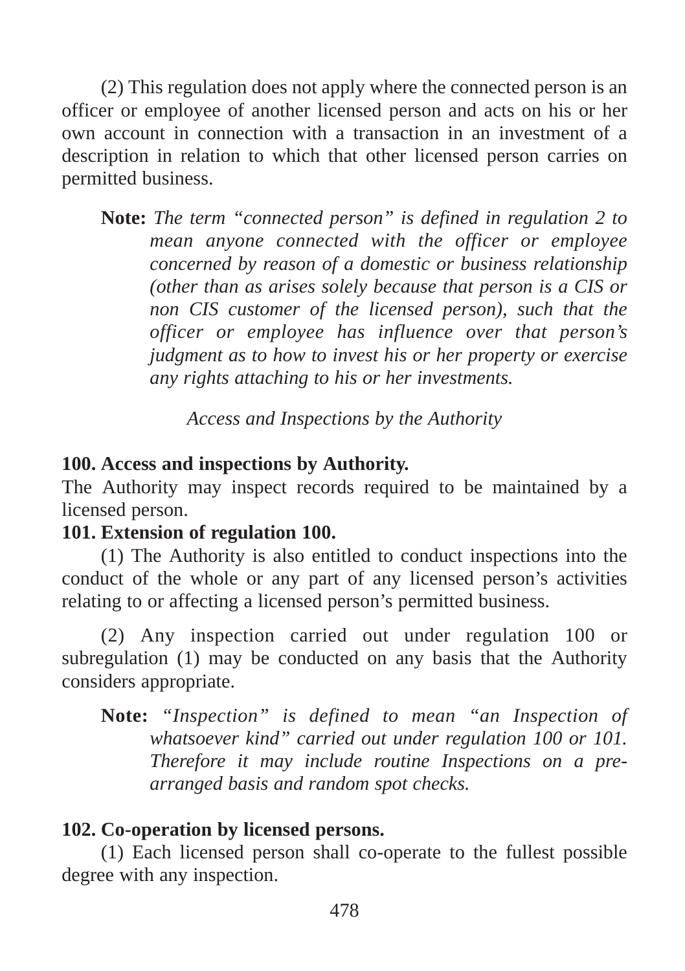(2) This regulation does not apply where the connected person is an officer or employee of another licensed person and acts on his or her own account in connection with a transaction in an investment of a description in relation to which that other licensed person carries on permitted business.

**Note:** *The term "connected person" is defined in regulation 2 to mean anyone connected with the officer or employee concerned by reason of a domestic or business relationship (other than as arises solely because that person is a CIS or non CIS customer of the licensed person), such that the officer or employee has influence over that person's judgment as to how to invest his or her property or exercise any rights attaching to his or her investments.*

*Access and Inspections by the Authority*

#### **100. Access and inspections by Authority.**

The Authority may inspect records required to be maintained by a licensed person.

#### **101. Extension of regulation 100.**

(1) The Authority is also entitled to conduct inspections into the conduct of the whole or any part of any licensed person's activities relating to or affecting a licensed person's permitted business.

(2) Any inspection carried out under regulation 100 or subregulation (1) may be conducted on any basis that the Authority considers appropriate.

**Note:** *"Inspection" is defined to mean "an Inspection of whatsoever kind" carried out under regulation 100 or 101. Therefore it may include routine Inspections on a prearranged basis and random spot checks.*

#### **102. Co-operation by licensed persons.**

(1) Each licensed person shall co-operate to the fullest possible degree with any inspection.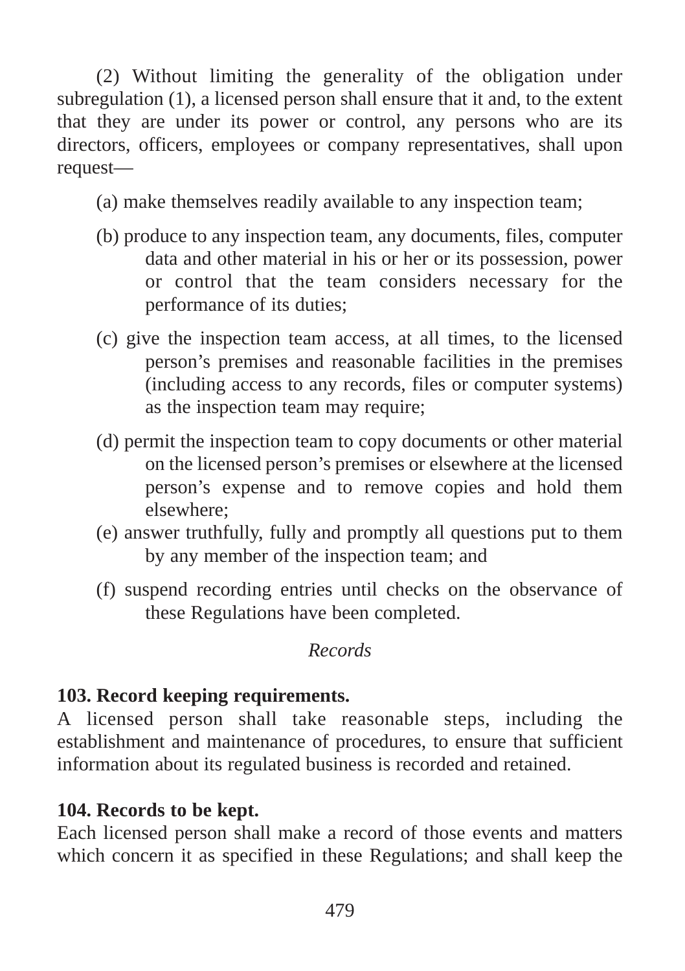(2) Without limiting the generality of the obligation under subregulation (1), a licensed person shall ensure that it and, to the extent that they are under its power or control, any persons who are its directors, officers, employees or company representatives, shall upon request—

(a) make themselves readily available to any inspection team;

- (b) produce to any inspection team, any documents, files, computer data and other material in his or her or its possession, power or control that the team considers necessary for the performance of its duties;
- (c) give the inspection team access, at all times, to the licensed person's premises and reasonable facilities in the premises (including access to any records, files or computer systems) as the inspection team may require;
- (d) permit the inspection team to copy documents or other material on the licensed person's premises or elsewhere at the licensed person's expense and to remove copies and hold them elsewhere;
- (e) answer truthfully, fully and promptly all questions put to them by any member of the inspection team; and
- (f) suspend recording entries until checks on the observance of these Regulations have been completed.

#### *Records*

### **103. Record keeping requirements.**

A licensed person shall take reasonable steps, including the establishment and maintenance of procedures, to ensure that sufficient information about its regulated business is recorded and retained.

#### **104. Records to be kept.**

Each licensed person shall make a record of those events and matters which concern it as specified in these Regulations; and shall keep the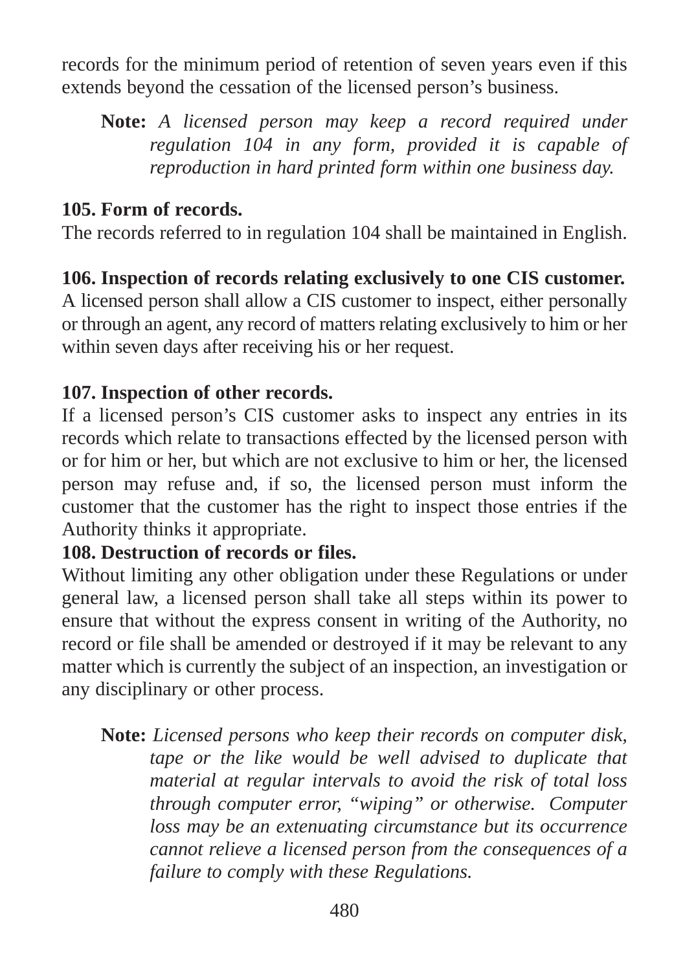records for the minimum period of retention of seven years even if this extends beyond the cessation of the licensed person's business.

**Note:** *A licensed person may keep a record required under regulation 104 in any form, provided it is capable of reproduction in hard printed form within one business day.*

#### **105. Form of records.**

The records referred to in regulation 104 shall be maintained in English.

**106. Inspection of records relating exclusively to one CIS customer.** A licensed person shall allow a CIS customer to inspect, either personally or through an agent, any record of matters relating exclusively to him or her within seven days after receiving his or her request.

#### **107. Inspection of other records.**

If a licensed person's CIS customer asks to inspect any entries in its records which relate to transactions effected by the licensed person with or for him or her, but which are not exclusive to him or her, the licensed person may refuse and, if so, the licensed person must inform the customer that the customer has the right to inspect those entries if the Authority thinks it appropriate.

### **108. Destruction of records or files.**

Without limiting any other obligation under these Regulations or under general law, a licensed person shall take all steps within its power to ensure that without the express consent in writing of the Authority, no record or file shall be amended or destroyed if it may be relevant to any matter which is currently the subject of an inspection, an investigation or any disciplinary or other process.

**Note:** *Licensed persons who keep their records on computer disk, tape or the like would be well advised to duplicate that material at regular intervals to avoid the risk of total loss through computer error, "wiping" or otherwise. Computer loss may be an extenuating circumstance but its occurrence cannot relieve a licensed person from the consequences of a failure to comply with these Regulations.*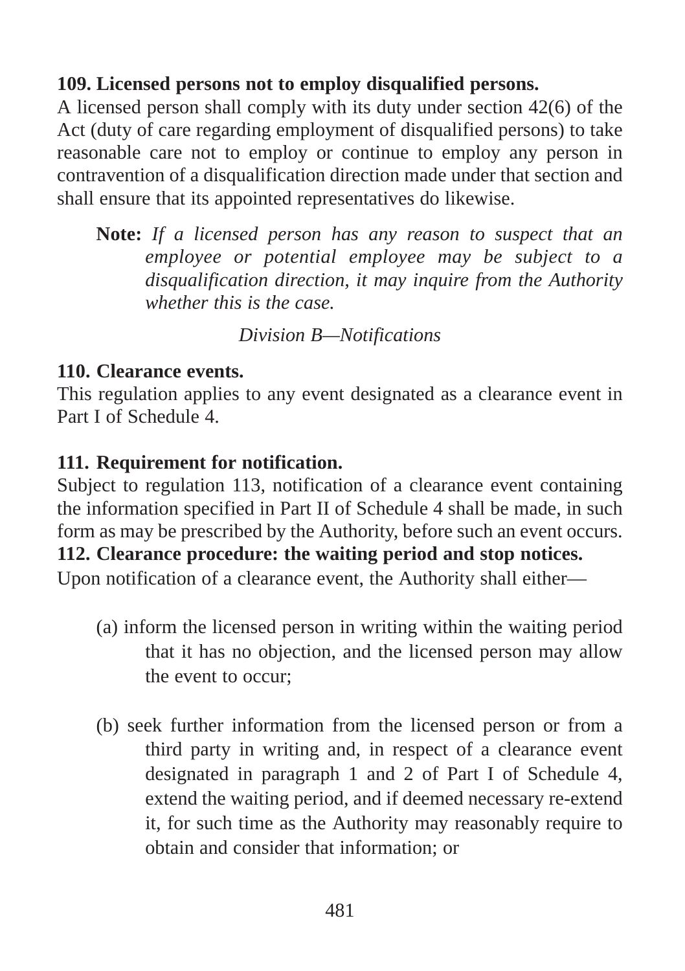#### **109. Licensed persons not to employ disqualified persons.**

A licensed person shall comply with its duty under section 42(6) of the Act (duty of care regarding employment of disqualified persons) to take reasonable care not to employ or continue to employ any person in contravention of a disqualification direction made under that section and shall ensure that its appointed representatives do likewise.

**Note:** *If a licensed person has any reason to suspect that an employee or potential employee may be subject to a disqualification direction, it may inquire from the Authority whether this is the case.*

*Division B—Notifications*

#### **110. Clearance events.**

This regulation applies to any event designated as a clearance event in Part I of Schedule 4.

#### **111. Requirement for notification.**

Subject to regulation 113, notification of a clearance event containing the information specified in Part II of Schedule 4 shall be made, in such form as may be prescribed by the Authority, before such an event occurs. **112. Clearance procedure: the waiting period and stop notices.**

Upon notification of a clearance event, the Authority shall either—

- (a) inform the licensed person in writing within the waiting period that it has no objection, and the licensed person may allow the event to occur;
- (b) seek further information from the licensed person or from a third party in writing and, in respect of a clearance event designated in paragraph 1 and 2 of Part I of Schedule 4, extend the waiting period, and if deemed necessary re-extend it, for such time as the Authority may reasonably require to obtain and consider that information; or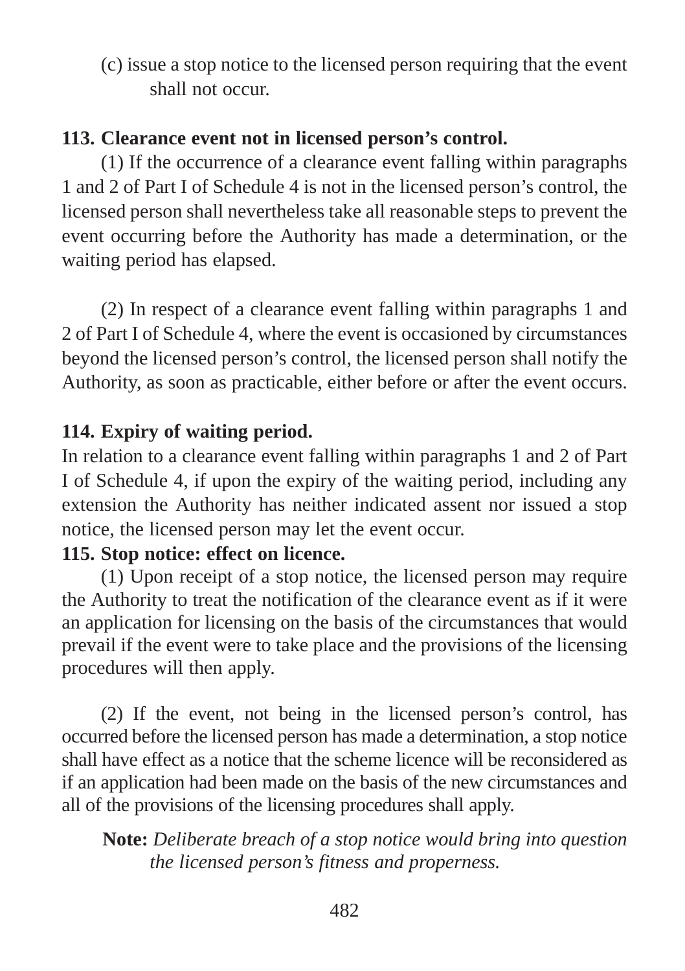(c) issue a stop notice to the licensed person requiring that the event shall not occur.

### **113. Clearance event not in licensed person's control.**

(1) If the occurrence of a clearance event falling within paragraphs 1 and 2 of Part I of Schedule 4 is not in the licensed person's control, the licensed person shall nevertheless take all reasonable steps to prevent the event occurring before the Authority has made a determination, or the waiting period has elapsed.

(2) In respect of a clearance event falling within paragraphs 1 and 2 of Part I of Schedule 4, where the event is occasioned by circumstances beyond the licensed person's control, the licensed person shall notify the Authority, as soon as practicable, either before or after the event occurs.

#### **114. Expiry of waiting period.**

In relation to a clearance event falling within paragraphs 1 and 2 of Part I of Schedule 4, if upon the expiry of the waiting period, including any extension the Authority has neither indicated assent nor issued a stop notice, the licensed person may let the event occur.

### **115. Stop notice: effect on licence.**

(1) Upon receipt of a stop notice, the licensed person may require the Authority to treat the notification of the clearance event as if it were an application for licensing on the basis of the circumstances that would prevail if the event were to take place and the provisions of the licensing procedures will then apply.

(2) If the event, not being in the licensed person's control, has occurred before the licensed person has made a determination, a stop notice shall have effect as a notice that the scheme licence will be reconsidered as if an application had been made on the basis of the new circumstances and all of the provisions of the licensing procedures shall apply.

**Note:** *Deliberate breach of a stop notice would bring into question the licensed person's fitness and properness.*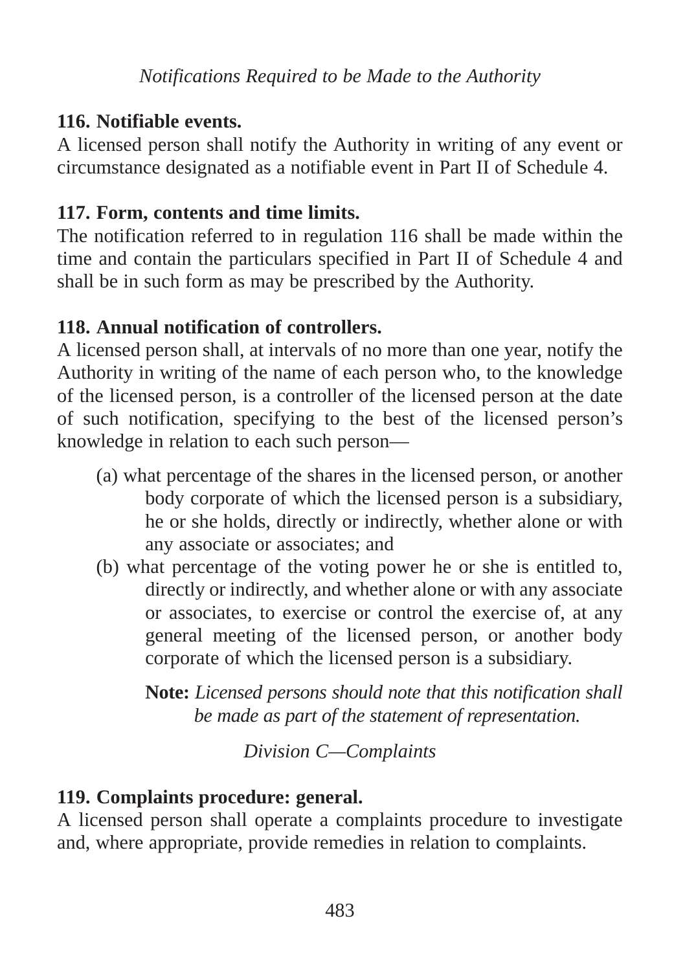*Notifications Required to be Made to the Authority*

### **116. Notifiable events.**

A licensed person shall notify the Authority in writing of any event or circumstance designated as a notifiable event in Part II of Schedule 4.

# **117. Form, contents and time limits.**

The notification referred to in regulation 116 shall be made within the time and contain the particulars specified in Part II of Schedule 4 and shall be in such form as may be prescribed by the Authority.

# **118. Annual notification of controllers.**

A licensed person shall, at intervals of no more than one year, notify the Authority in writing of the name of each person who, to the knowledge of the licensed person, is a controller of the licensed person at the date of such notification, specifying to the best of the licensed person's knowledge in relation to each such person—

- (a) what percentage of the shares in the licensed person, or another body corporate of which the licensed person is a subsidiary, he or she holds, directly or indirectly, whether alone or with any associate or associates; and
- (b) what percentage of the voting power he or she is entitled to, directly or indirectly, and whether alone or with any associate or associates, to exercise or control the exercise of, at any general meeting of the licensed person, or another body corporate of which the licensed person is a subsidiary.

**Note:** *Licensed persons should note that this notification shall be made as part of the statement of representation.*

*Division C—Complaints*

# **119. Complaints procedure: general.**

A licensed person shall operate a complaints procedure to investigate and, where appropriate, provide remedies in relation to complaints.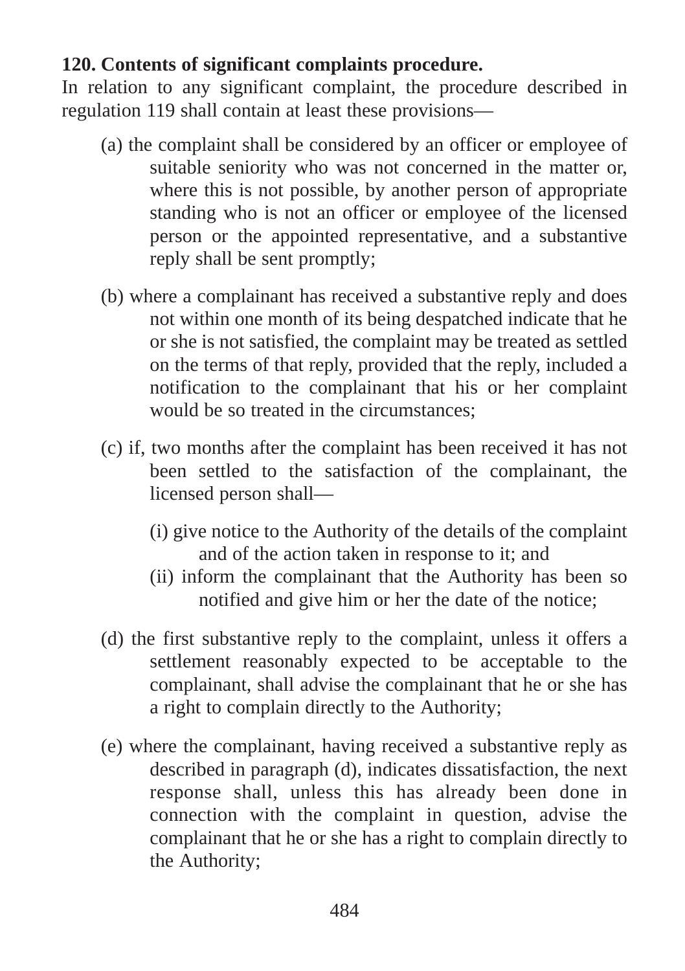### **120. Contents of significant complaints procedure.**

In relation to any significant complaint, the procedure described in regulation 119 shall contain at least these provisions—

- (a) the complaint shall be considered by an officer or employee of suitable seniority who was not concerned in the matter or, where this is not possible, by another person of appropriate standing who is not an officer or employee of the licensed person or the appointed representative, and a substantive reply shall be sent promptly;
- (b) where a complainant has received a substantive reply and does not within one month of its being despatched indicate that he or she is not satisfied, the complaint may be treated as settled on the terms of that reply, provided that the reply, included a notification to the complainant that his or her complaint would be so treated in the circumstances;
- (c) if, two months after the complaint has been received it has not been settled to the satisfaction of the complainant, the licensed person shall—
	- (i) give notice to the Authority of the details of the complaint and of the action taken in response to it; and
	- (ii) inform the complainant that the Authority has been so notified and give him or her the date of the notice;
- (d) the first substantive reply to the complaint, unless it offers a settlement reasonably expected to be acceptable to the complainant, shall advise the complainant that he or she has a right to complain directly to the Authority;
- (e) where the complainant, having received a substantive reply as described in paragraph (d), indicates dissatisfaction, the next response shall, unless this has already been done in connection with the complaint in question, advise the complainant that he or she has a right to complain directly to the Authority;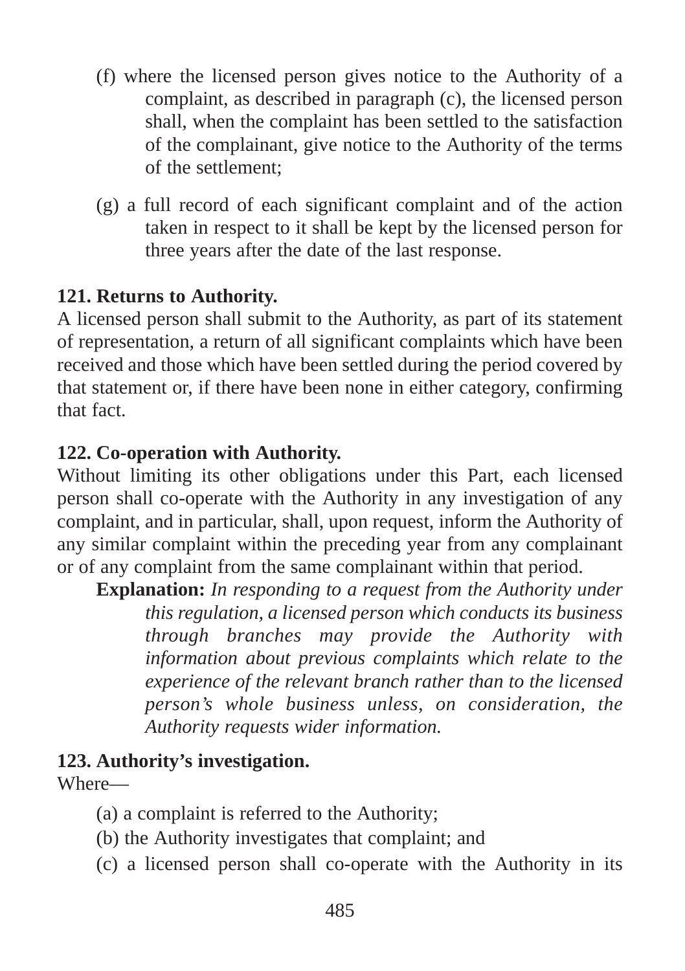- (f) where the licensed person gives notice to the Authority of a complaint, as described in paragraph (c), the licensed person shall, when the complaint has been settled to the satisfaction of the complainant, give notice to the Authority of the terms of the settlement;
- (g) a full record of each significant complaint and of the action taken in respect to it shall be kept by the licensed person for three years after the date of the last response.

### **121. Returns to Authority.**

A licensed person shall submit to the Authority, as part of its statement of representation, a return of all significant complaints which have been received and those which have been settled during the period covered by that statement or, if there have been none in either category, confirming that fact.

### **122. Co-operation with Authority.**

Without limiting its other obligations under this Part, each licensed person shall co-operate with the Authority in any investigation of any complaint, and in particular, shall, upon request, inform the Authority of any similar complaint within the preceding year from any complainant or of any complaint from the same complainant within that period.

**Explanation:** *In responding to a request from the Authority under this regulation, a licensed person which conducts its business through branches may provide the Authority with information about previous complaints which relate to the experience of the relevant branch rather than to the licensed person's whole business unless, on consideration, the Authority requests wider information.*

#### **123. Authority's investigation.**

Where—

- (a) a complaint is referred to the Authority;
- (b) the Authority investigates that complaint; and
- (c) a licensed person shall co-operate with the Authority in its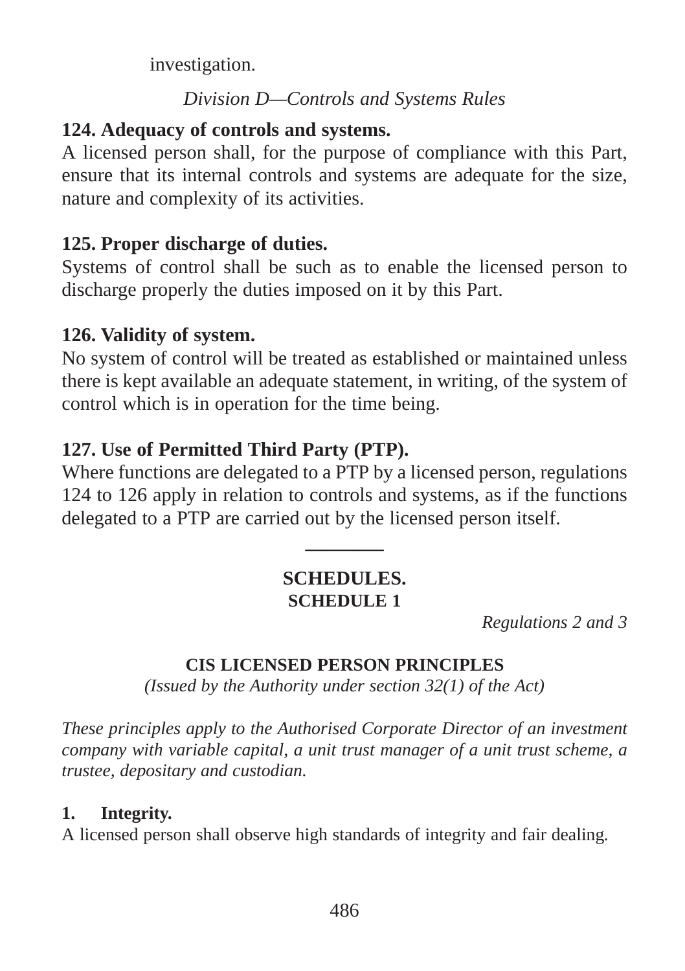investigation.

### *Division D—Controls and Systems Rules*

## **124. Adequacy of controls and systems.**

A licensed person shall, for the purpose of compliance with this Part, ensure that its internal controls and systems are adequate for the size, nature and complexity of its activities.

## **125. Proper discharge of duties.**

Systems of control shall be such as to enable the licensed person to discharge properly the duties imposed on it by this Part.

# **126. Validity of system.**

No system of control will be treated as established or maintained unless there is kept available an adequate statement, in writing, of the system of control which is in operation for the time being.

# **127. Use of Permitted Third Party (PTP).**

Where functions are delegated to a PTP by a licensed person, regulations 124 to 126 apply in relation to controls and systems, as if the functions delegated to a PTP are carried out by the licensed person itself.

## **SCHEDULES. SCHEDULE 1**

**\_\_\_\_\_\_\_\_**

*Regulations 2 and 3*

## **CIS LICENSED PERSON PRINCIPLES**

*(Issued by the Authority under section 32(1) of the Act)*

*These principles apply to the Authorised Corporate Director of an investment company with variable capital, a unit trust manager of a unit trust scheme, a trustee, depositary and custodian.*

### **1. Integrity.**

A licensed person shall observe high standards of integrity and fair dealing*.*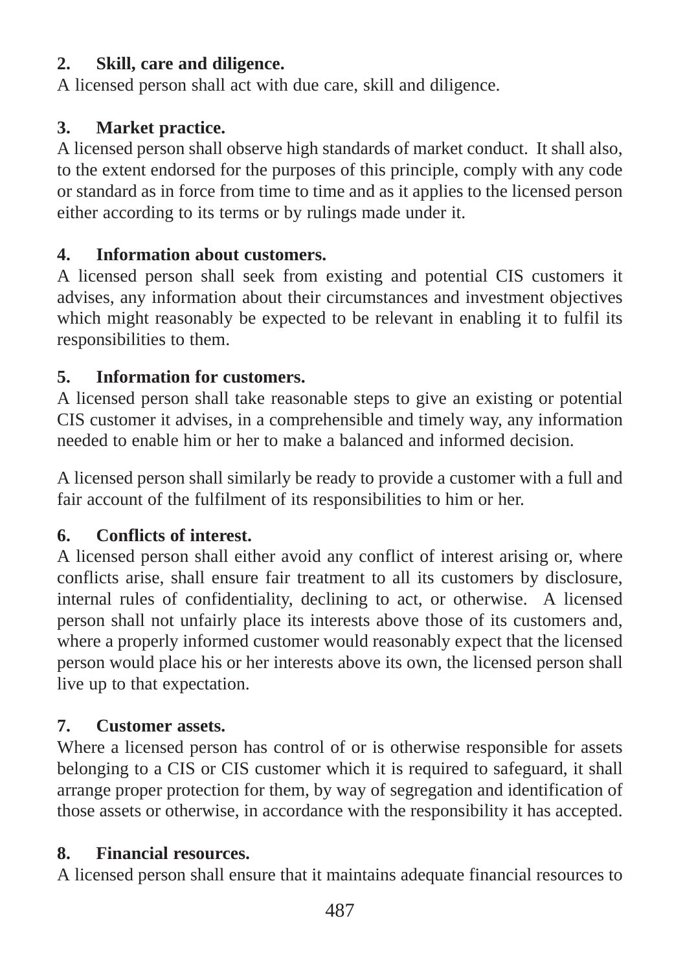## **2. Skill, care and diligence.**

A licensed person shall act with due care, skill and diligence.

## **3. Market practice.**

A licensed person shall observe high standards of market conduct. It shall also, to the extent endorsed for the purposes of this principle, comply with any code or standard as in force from time to time and as it applies to the licensed person either according to its terms or by rulings made under it.

## **4. Information about customers.**

A licensed person shall seek from existing and potential CIS customers it advises, any information about their circumstances and investment objectives which might reasonably be expected to be relevant in enabling it to fulfil its responsibilities to them.

## **5. Information for customers.**

A licensed person shall take reasonable steps to give an existing or potential CIS customer it advises, in a comprehensible and timely way, any information needed to enable him or her to make a balanced and informed decision.

A licensed person shall similarly be ready to provide a customer with a full and fair account of the fulfilment of its responsibilities to him or her.

## **6. Conflicts of interest.**

A licensed person shall either avoid any conflict of interest arising or, where conflicts arise, shall ensure fair treatment to all its customers by disclosure, internal rules of confidentiality, declining to act, or otherwise. A licensed person shall not unfairly place its interests above those of its customers and, where a properly informed customer would reasonably expect that the licensed person would place his or her interests above its own, the licensed person shall live up to that expectation.

## **7. Customer assets.**

Where a licensed person has control of or is otherwise responsible for assets belonging to a CIS or CIS customer which it is required to safeguard, it shall arrange proper protection for them, by way of segregation and identification of those assets or otherwise, in accordance with the responsibility it has accepted.

## **8. Financial resources.**

A licensed person shall ensure that it maintains adequate financial resources to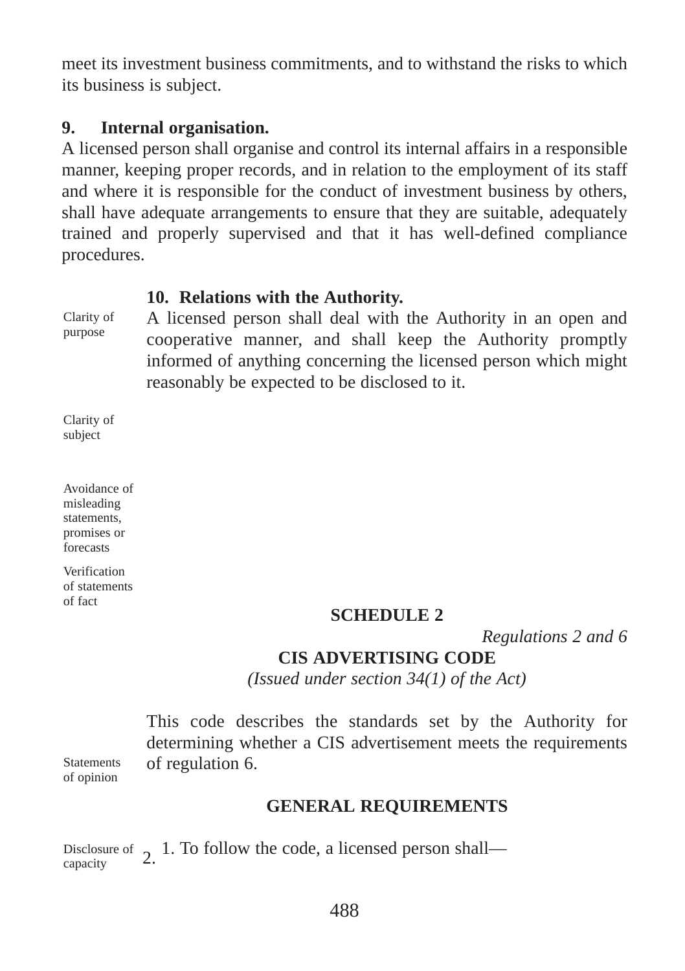meet its investment business commitments, and to withstand the risks to which its business is subject.

## **9. Internal organisation.**

A licensed person shall organise and control its internal affairs in a responsible manner, keeping proper records, and in relation to the employment of its staff and where it is responsible for the conduct of investment business by others, shall have adequate arrangements to ensure that they are suitable, adequately trained and properly supervised and that it has well-defined compliance procedures.

### **10. Relations with the Authority.**

Clarity of purpose

A licensed person shall deal with the Authority in an open and cooperative manner, and shall keep the Authority promptly informed of anything concerning the licensed person which might reasonably be expected to be disclosed to it.

Clarity of subject

Avoidance of misleading statements, promises or forecasts

Verification of statements of fact

#### **SCHEDULE 2**

*Regulations 2 and 6*

## **CIS ADVERTISING CODE**

*(Issued under section 34(1) of the Act)*

This code describes the standards set by the Authority for determining whether a CIS advertisement meets the requirements of regulation 6.

**Statements** of opinion

## **GENERAL REQUIREMENTS**

Disclosure of 2. 1. To follow the code, a licensed person shall—<br>capacity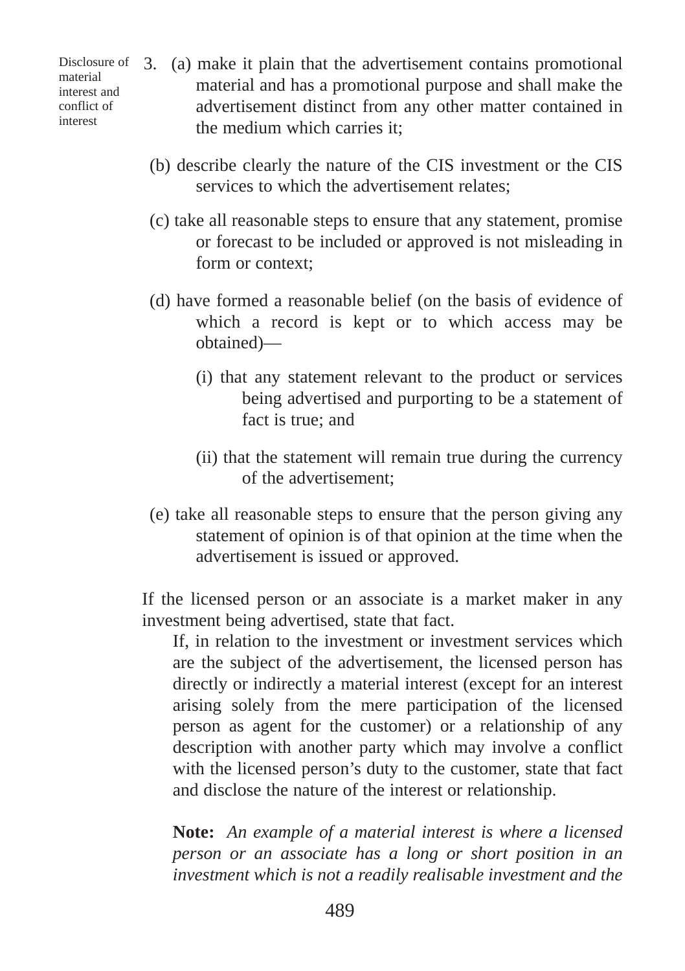Disclosure of material interest and conflict of interest

- (a) make it plain that the advertisement contains promotional 3.material and has a promotional purpose and shall make the advertisement distinct from any other matter contained in the medium which carries it;
- (b) describe clearly the nature of the CIS investment or the CIS services to which the advertisement relates;
- (c) take all reasonable steps to ensure that any statement, promise or forecast to be included or approved is not misleading in form or context;
- (d) have formed a reasonable belief (on the basis of evidence of which a record is kept or to which access may be obtained)—
	- (i) that any statement relevant to the product or services being advertised and purporting to be a statement of fact is true; and
	- (ii) that the statement will remain true during the currency of the advertisement;
- (e) take all reasonable steps to ensure that the person giving any statement of opinion is of that opinion at the time when the advertisement is issued or approved.

If the licensed person or an associate is a market maker in any investment being advertised, state that fact.

If, in relation to the investment or investment services which are the subject of the advertisement, the licensed person has directly or indirectly a material interest (except for an interest arising solely from the mere participation of the licensed person as agent for the customer) or a relationship of any description with another party which may involve a conflict with the licensed person's duty to the customer, state that fact and disclose the nature of the interest or relationship.

**Note:** *An example of a material interest is where a licensed person or an associate has a long or short position in an investment which is not a readily realisable investment and the*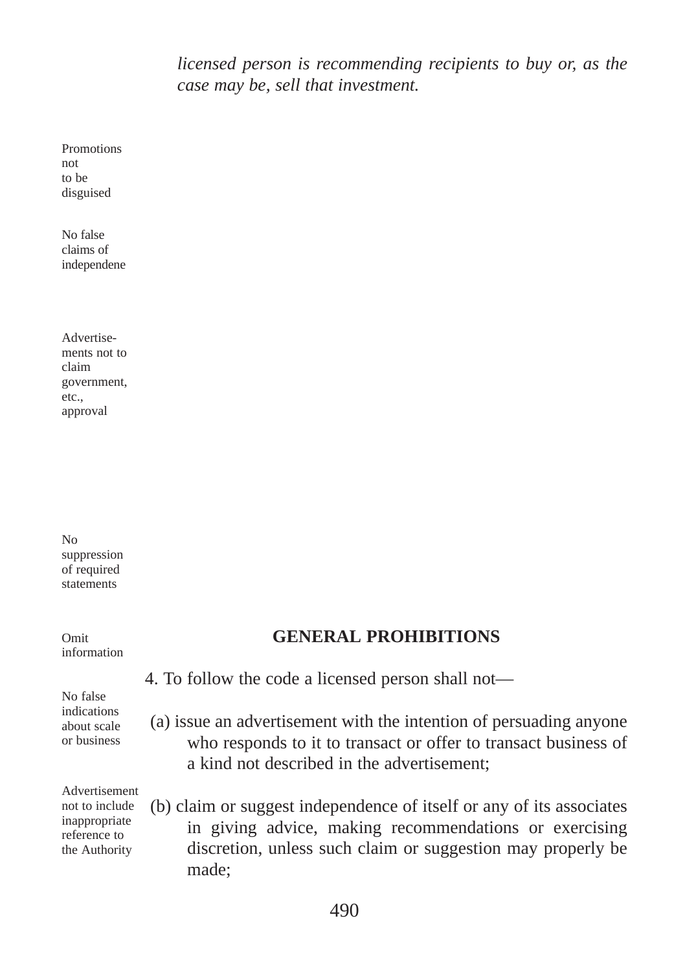*licensed person is recommending recipients to buy or, as the case may be, sell that investment.*

Promotions not to be disguised

No false claims of independene

| Advertise-   |  |  |  |
|--------------|--|--|--|
| ments not to |  |  |  |
| claim        |  |  |  |
| government,  |  |  |  |
| etc.,        |  |  |  |
| approval     |  |  |  |

No suppression of required statements

Omit information

## **GENERAL PROHIBITIONS**

4. To follow the code a licensed person shall not—

No false indications about scale or business

(a) issue an advertisement with the intention of persuading anyone who responds to it to transact or offer to transact business of a kind not described in the advertisement;

Advertisement not to include inappropriate reference to the Authority

(b) claim or suggest independence of itself or any of its associates in giving advice, making recommendations or exercising discretion, unless such claim or suggestion may properly be made;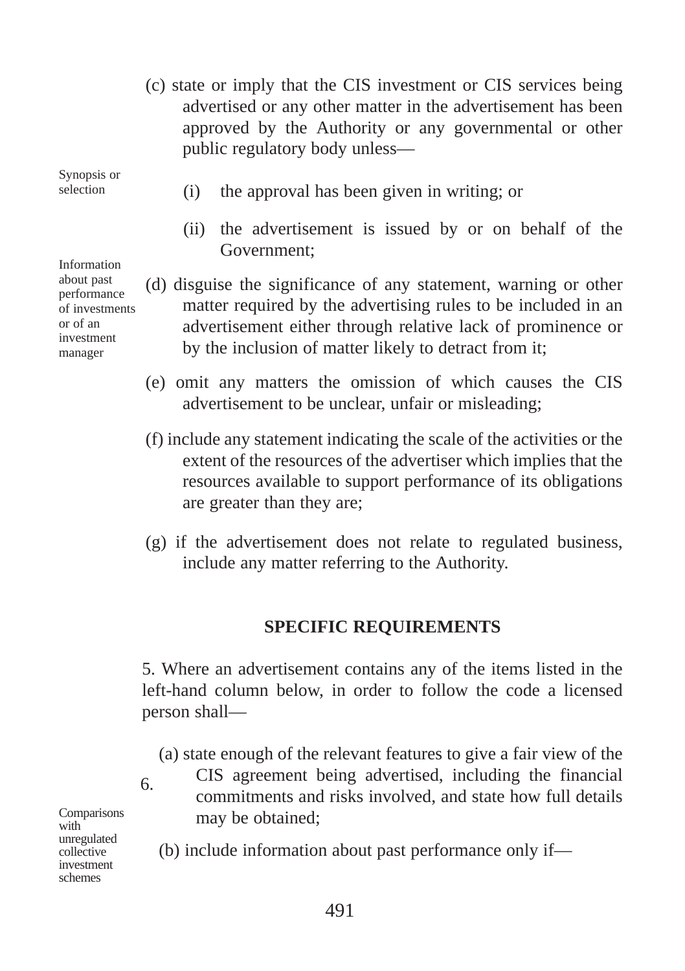(c) state or imply that the CIS investment or CIS services being advertised or any other matter in the advertisement has been approved by the Authority or any governmental or other public regulatory body unless—

Synopsis or selection

(i) the approval has been given in writing; or

- (ii) the advertisement is issued by or on behalf of the Government;
- (d) disguise the significance of any statement, warning or other matter required by the advertising rules to be included in an advertisement either through relative lack of prominence or by the inclusion of matter likely to detract from it;
- (e) omit any matters the omission of which causes the CIS advertisement to be unclear, unfair or misleading;
- (f) include any statement indicating the scale of the activities or the extent of the resources of the advertiser which implies that the resources available to support performance of its obligations are greater than they are;
- (g) if the advertisement does not relate to regulated business, include any matter referring to the Authority.

#### **SPECIFIC REQUIREMENTS**

5. Where an advertisement contains any of the items listed in the left-hand column below, in order to follow the code a licensed person shall—

- (a) state enough of the relevant features to give a fair view of the
- CIS agreement being advertised, including the financial commitments and risks involved, and state how full details may be obtained;

(b) include information about past performance only if—

Information about past performance of investments or of an investment manager

**Comparisons** with<sup>1</sup> unregulated collective investment schemes

6.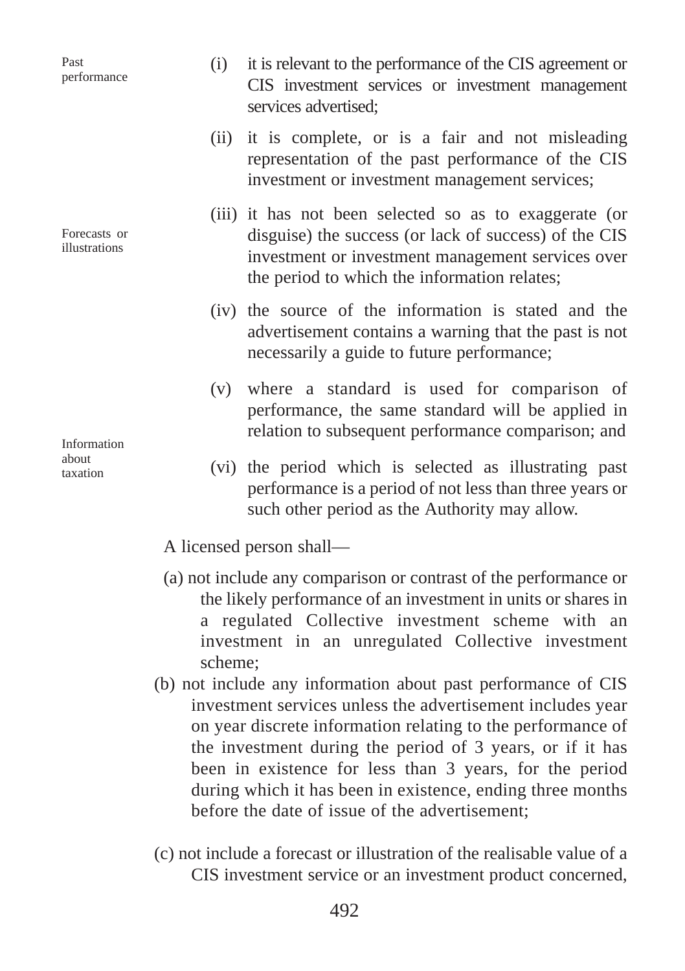Past performance

Forecasts or illustrations

Information about taxation

- (i) it is relevant to the performance of the CIS agreement or CIS investment services or investment management services advertised;
- (ii) it is complete, or is a fair and not misleading representation of the past performance of the CIS investment or investment management services;
- (iii) it has not been selected so as to exaggerate (or disguise) the success (or lack of success) of the CIS investment or investment management services over the period to which the information relates;
- (iv) the source of the information is stated and the advertisement contains a warning that the past is not necessarily a guide to future performance;
- (v) where a standard is used for comparison of performance, the same standard will be applied in relation to subsequent performance comparison; and
- (vi) the period which is selected as illustrating past performance is a period of not less than three years or such other period as the Authority may allow.

A licensed person shall—

- (a) not include any comparison or contrast of the performance or the likely performance of an investment in units or shares in a regulated Collective investment scheme with an investment in an unregulated Collective investment scheme;
- (b) not include any information about past performance of CIS investment services unless the advertisement includes year on year discrete information relating to the performance of the investment during the period of 3 years, or if it has been in existence for less than 3 years, for the period during which it has been in existence, ending three months before the date of issue of the advertisement;
- (c) not include a forecast or illustration of the realisable value of a CIS investment service or an investment product concerned,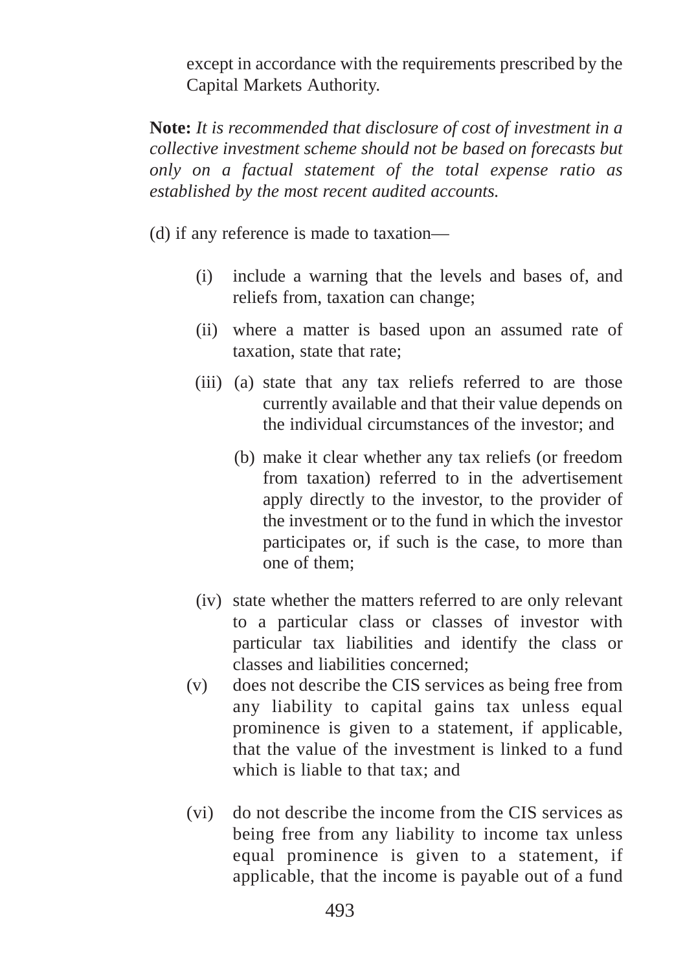except in accordance with the requirements prescribed by the Capital Markets Authority.

**Note:** *It is recommended that disclosure of cost of investment in a collective investment scheme should not be based on forecasts but only on a factual statement of the total expense ratio as established by the most recent audited accounts.*

(d) if any reference is made to taxation—

- (i) include a warning that the levels and bases of, and reliefs from, taxation can change;
- (ii) where a matter is based upon an assumed rate of taxation, state that rate;
- (iii) (a) state that any tax reliefs referred to are those currently available and that their value depends on the individual circumstances of the investor; and
	- (b) make it clear whether any tax reliefs (or freedom from taxation) referred to in the advertisement apply directly to the investor, to the provider of the investment or to the fund in which the investor participates or, if such is the case, to more than one of them;
- (iv) state whether the matters referred to are only relevant to a particular class or classes of investor with particular tax liabilities and identify the class or classes and liabilities concerned;
- (v) does not describe the CIS services as being free from any liability to capital gains tax unless equal prominence is given to a statement, if applicable, that the value of the investment is linked to a fund which is liable to that tax; and
- (vi) do not describe the income from the CIS services as being free from any liability to income tax unless equal prominence is given to a statement, if applicable, that the income is payable out of a fund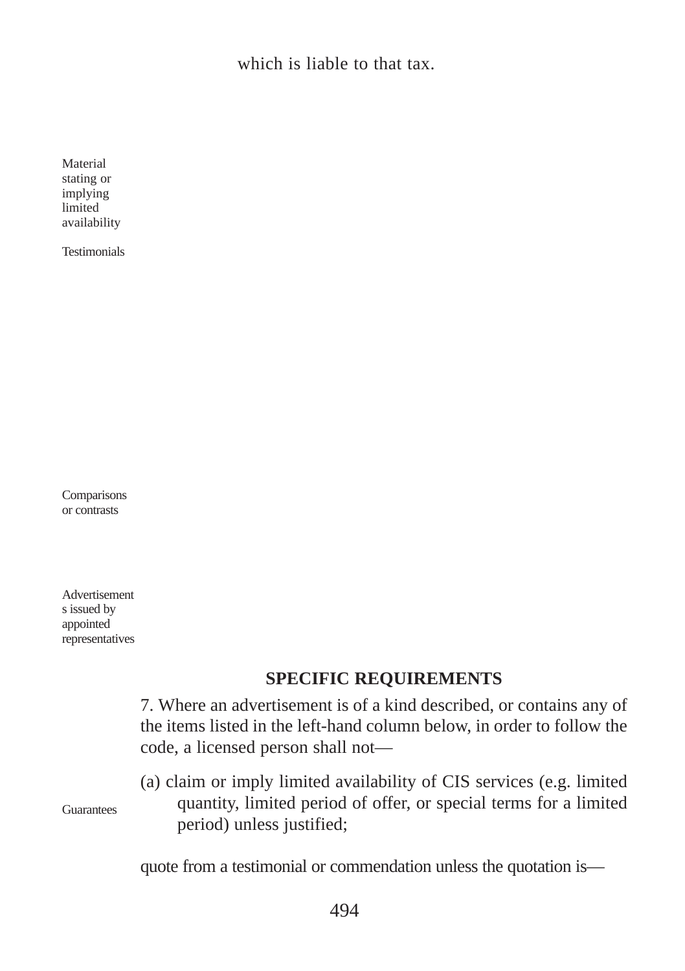which is liable to that tax.

Material stating or implying limited availability

Testimonials

Comparisons or contrasts

Advertisement s issued by appointed representatives

# **SPECIFIC REQUIREMENTS**

|            | 7. Where an advertisement is of a kind described, or contains any of<br>the items listed in the left-hand column below, in order to follow the<br>code, a licensed person shall not— |
|------------|--------------------------------------------------------------------------------------------------------------------------------------------------------------------------------------|
| Guarantees | (a) claim or imply limited availability of CIS services (e.g. limited<br>quantity, limited period of offer, or special terms for a limited<br>period) unless justified;              |
|            | quote from a testimonial or commendation unless the quotation is—                                                                                                                    |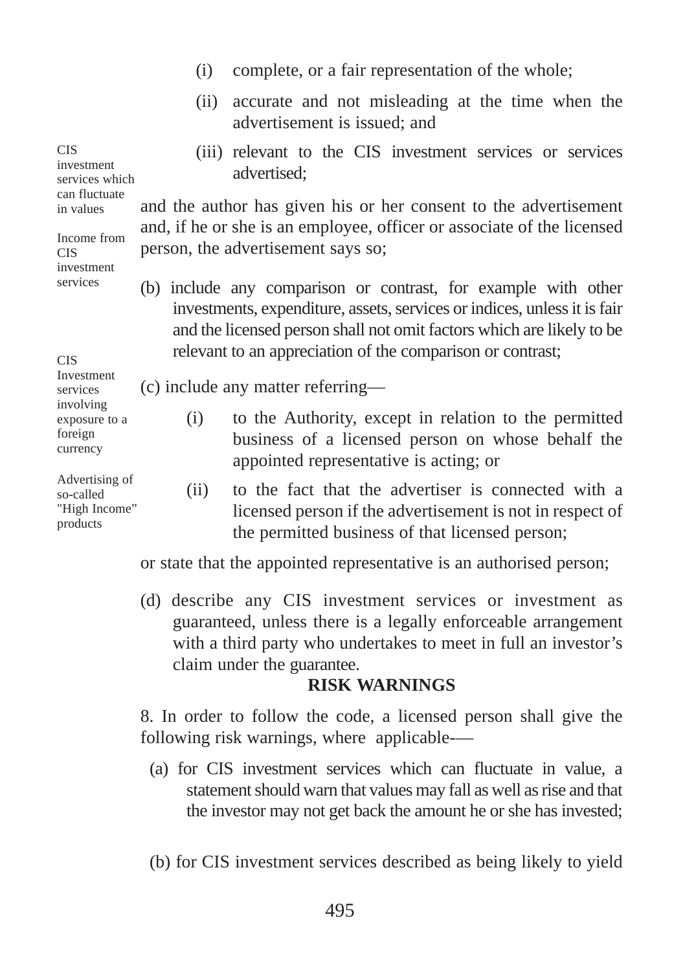- (i) complete, or a fair representation of the whole;
- (ii) accurate and not misleading at the time when the advertisement is issued; and
- (iii) relevant to the CIS investment services or services advertised;

and the author has given his or her consent to the advertisement and, if he or she is an employee, officer or associate of the licensed person, the advertisement says so;

(b) include any comparison or contrast, for example with other investments, expenditure, assets, services or indices, unless it is fair and the licensed person shall not omit factors which are likely to be relevant to an appreciation of the comparison or contrast;

(c) include any matter referring—

- (i) to the Authority, except in relation to the permitted business of a licensed person on whose behalf the appointed representative is acting; or
	- (ii) to the fact that the advertiser is connected with a licensed person if the advertisement is not in respect of the permitted business of that licensed person;

or state that the appointed representative is an authorised person;

(d) describe any CIS investment services or investment as guaranteed, unless there is a legally enforceable arrangement with a third party who undertakes to meet in full an investor's claim under the guarantee.

#### **RISK WARNINGS**

8. In order to follow the code, a licensed person shall give the following risk warnings, where applicable-—

- (a) for CIS investment services which can fluctuate in value, a statement should warn that values may fall as well as rise and that the investor may not get back the amount he or she has invested;
- (b) for CIS investment services described as being likely to yield

investment services which can fluctuate in values Income from CIS investment

**CIS** 

services

**CIS** 

services involving exposure to a foreign currency

Investment

Advertising of so-called

"High Income" products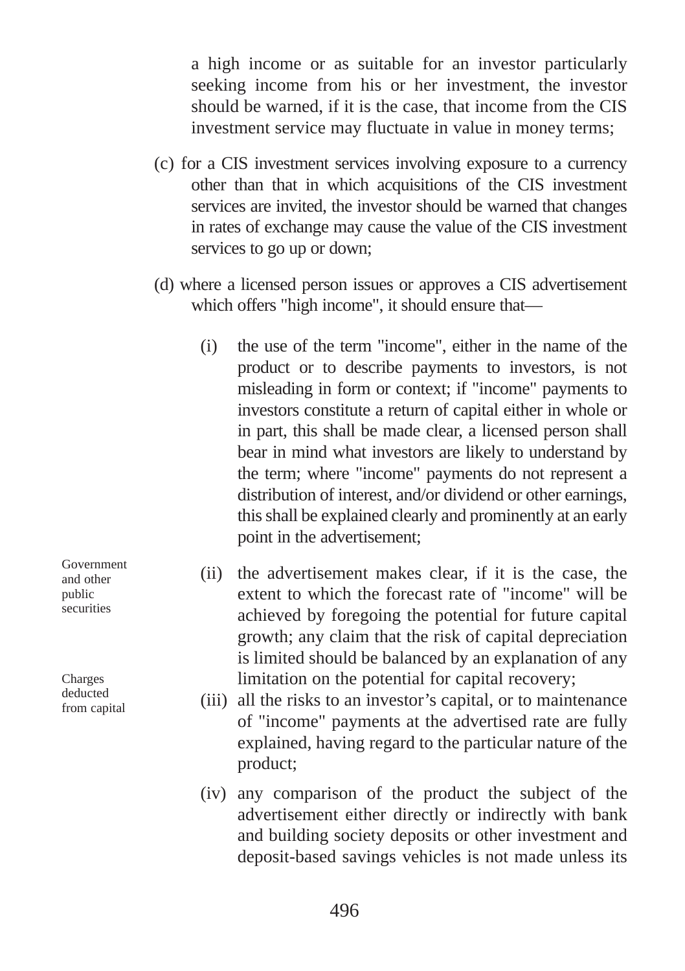a high income or as suitable for an investor particularly seeking income from his or her investment, the investor should be warned, if it is the case, that income from the CIS investment service may fluctuate in value in money terms;

- (c) for a CIS investment services involving exposure to a currency other than that in which acquisitions of the CIS investment services are invited, the investor should be warned that changes in rates of exchange may cause the value of the CIS investment services to go up or down;
- (d) where a licensed person issues or approves a CIS advertisement which offers "high income", it should ensure that—
	- (i) the use of the term "income", either in the name of the product or to describe payments to investors, is not misleading in form or context; if "income" payments to investors constitute a return of capital either in whole or in part, this shall be made clear, a licensed person shall bear in mind what investors are likely to understand by the term; where "income" payments do not represent a distribution of interest, and/or dividend or other earnings, this shall be explained clearly and prominently at an early point in the advertisement;
	- (ii) the advertisement makes clear, if it is the case, the extent to which the forecast rate of "income" will be achieved by foregoing the potential for future capital growth; any claim that the risk of capital depreciation is limited should be balanced by an explanation of any limitation on the potential for capital recovery;
	- (iii) all the risks to an investor's capital, or to maintenance of "income" payments at the advertised rate are fully explained, having regard to the particular nature of the product;
	- (iv) any comparison of the product the subject of the advertisement either directly or indirectly with bank and building society deposits or other investment and deposit-based savings vehicles is not made unless its

Government and other public securities

Charges deducted from capital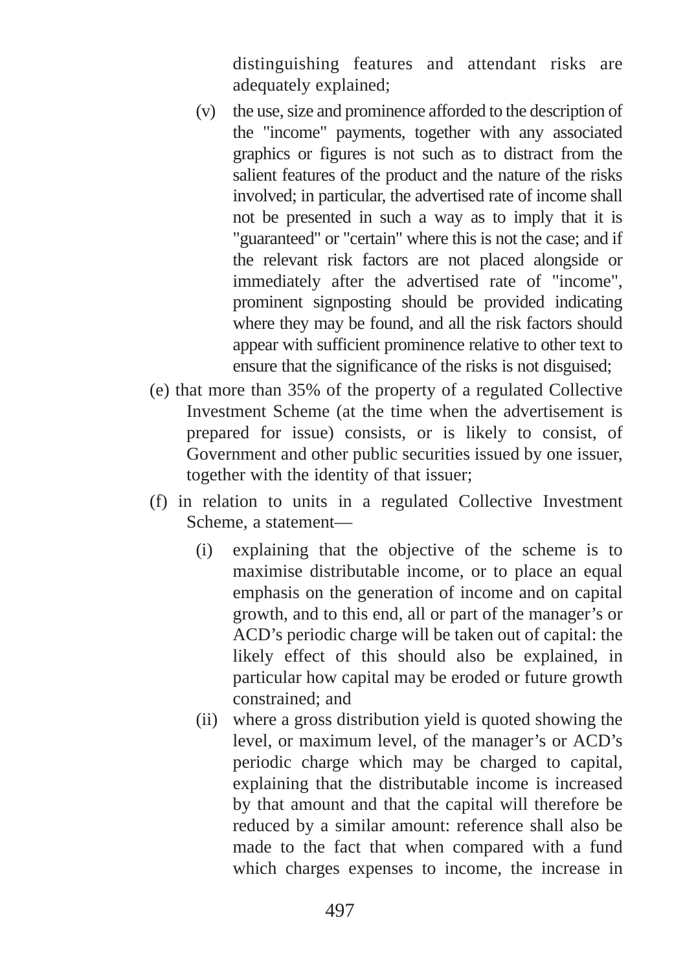distinguishing features and attendant risks are adequately explained;

- (v) the use, size and prominence afforded to the description of the "income" payments, together with any associated graphics or figures is not such as to distract from the salient features of the product and the nature of the risks involved; in particular, the advertised rate of income shall not be presented in such a way as to imply that it is "guaranteed" or "certain" where this is not the case; and if the relevant risk factors are not placed alongside or immediately after the advertised rate of "income", prominent signposting should be provided indicating where they may be found, and all the risk factors should appear with sufficient prominence relative to other text to ensure that the significance of the risks is not disguised;
- (e) that more than 35% of the property of a regulated Collective Investment Scheme (at the time when the advertisement is prepared for issue) consists, or is likely to consist, of Government and other public securities issued by one issuer, together with the identity of that issuer;
- (f) in relation to units in a regulated Collective Investment Scheme, a statement—
	- (i) explaining that the objective of the scheme is to maximise distributable income, or to place an equal emphasis on the generation of income and on capital growth, and to this end, all or part of the manager's or ACD's periodic charge will be taken out of capital: the likely effect of this should also be explained, in particular how capital may be eroded or future growth constrained; and
	- (ii) where a gross distribution yield is quoted showing the level, or maximum level, of the manager's or ACD's periodic charge which may be charged to capital, explaining that the distributable income is increased by that amount and that the capital will therefore be reduced by a similar amount: reference shall also be made to the fact that when compared with a fund which charges expenses to income, the increase in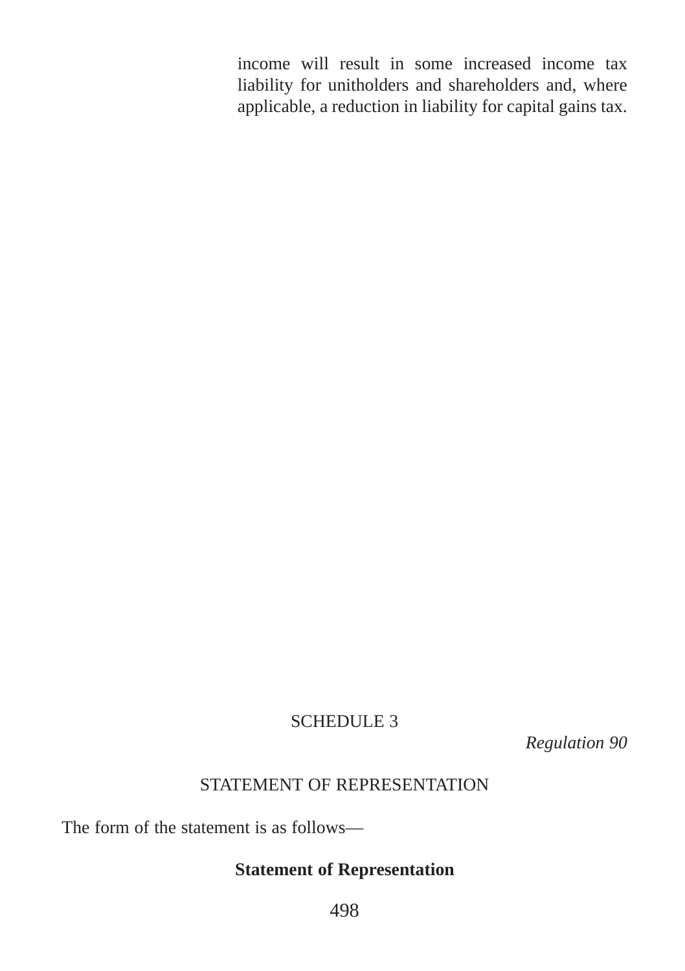income will result in some increased income tax liability for unitholders and shareholders and, where applicable, a reduction in liability for capital gains tax.

### SCHEDULE 3

*Regulation 90*

## STATEMENT OF REPRESENTATION

The form of the statement is as follows—

## **Statement of Representation**

498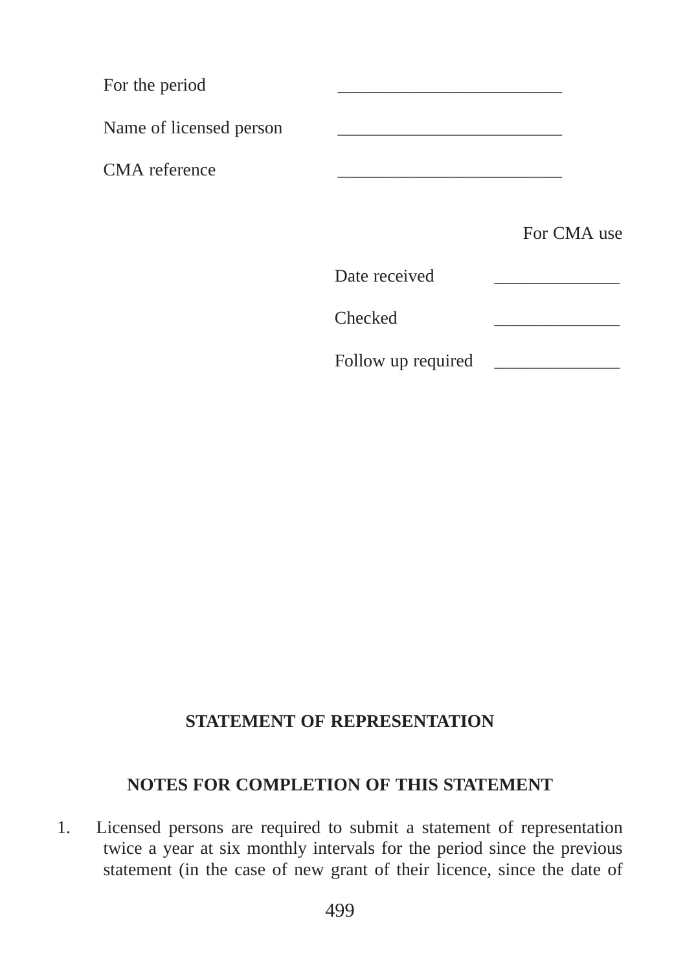| For the period          |               |             |
|-------------------------|---------------|-------------|
| Name of licensed person |               |             |
| CMA reference           |               |             |
|                         |               | For CMA use |
|                         | Date received |             |
|                         | Checked       |             |

## Follow up required

## **STATEMENT OF REPRESENTATION**

## **NOTES FOR COMPLETION OF THIS STATEMENT**

1. Licensed persons are required to submit a statement of representation twice a year at six monthly intervals for the period since the previous statement (in the case of new grant of their licence, since the date of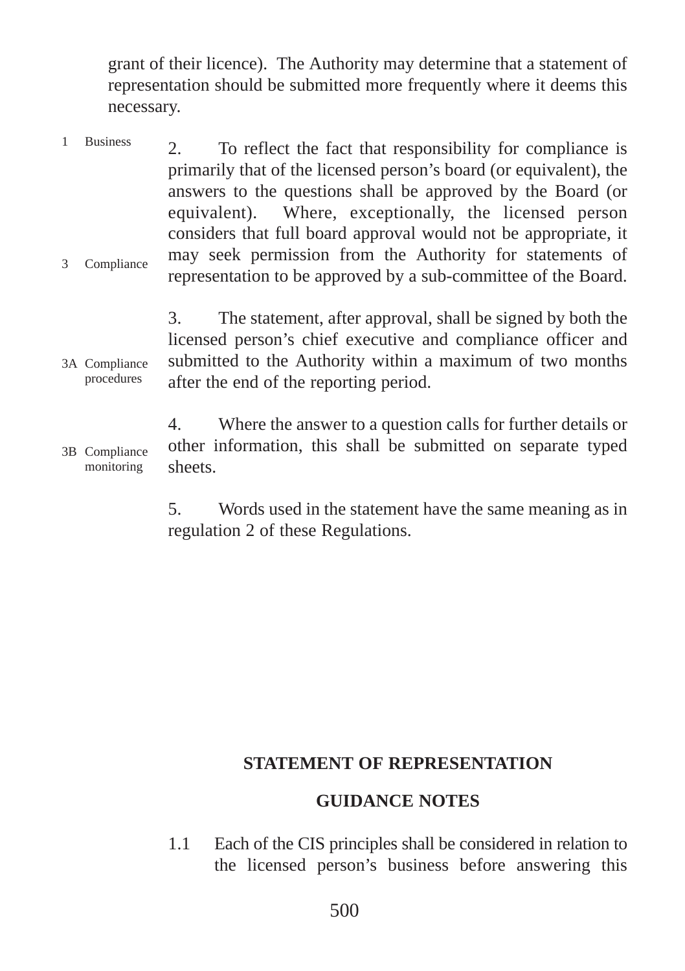grant of their licence). The Authority may determine that a statement of representation should be submitted more frequently where it deems this necessary.

2. To reflect the fact that responsibility for compliance is primarily that of the licensed person's board (or equivalent), the answers to the questions shall be approved by the Board (or equivalent). Where, exceptionally, the licensed person considers that full board approval would not be appropriate, it may seek permission from the Authority for statements of representation to be approved by a sub-committee of the Board. 1 Business 3 Compliance

3. The statement, after approval, shall be signed by both the licensed person's chief executive and compliance officer and submitted to the Authority within a maximum of two months after the end of the reporting period. 3A Compliance procedures

4. Where the answer to a question calls for further details or other information, this shall be submitted on separate typed sheets. 3B Compliance monitoring

> 5. Words used in the statement have the same meaning as in regulation 2 of these Regulations.

#### **STATEMENT OF REPRESENTATION**

#### **GUIDANCE NOTES**

1.1 Each of the CIS principles shall be considered in relation to the licensed person's business before answering this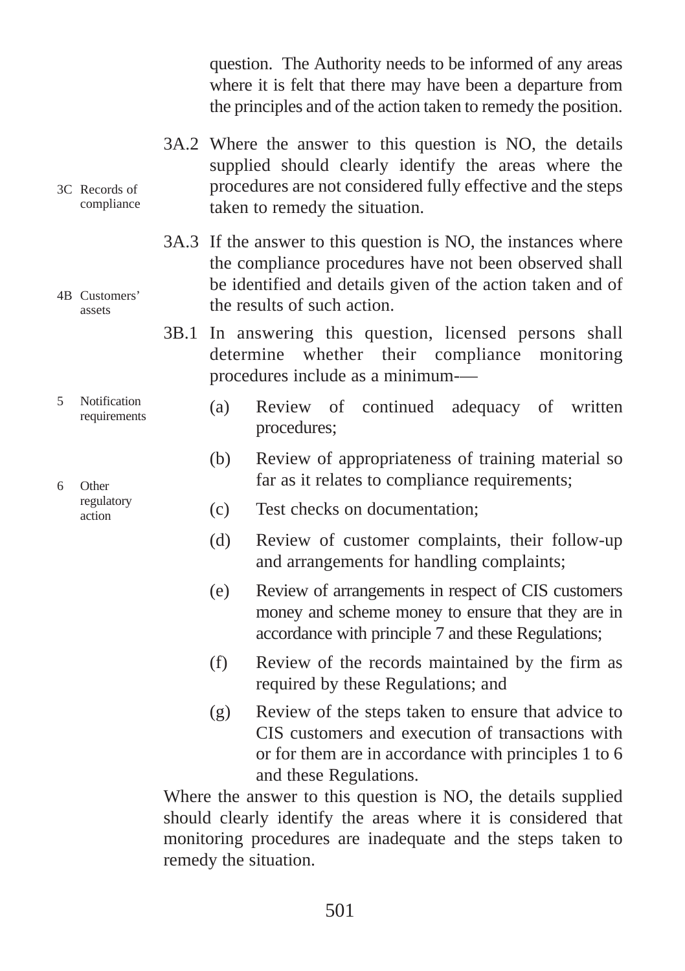question. The Authority needs to be informed of any areas where it is felt that there may have been a departure from the principles and of the action taken to remedy the position.

- 3A.2 Where the answer to this question is NO, the details supplied should clearly identify the areas where the procedures are not considered fully effective and the steps taken to remedy the situation.
- 3A.3 If the answer to this question is NO, the instances where the compliance procedures have not been observed shall be identified and details given of the action taken and of the results of such action.
- 3B.1 In answering this question, licensed persons shall determine whether their compliance monitoring procedures include as a minimum-—
	- (a) Review of continued adequacy of written procedures;
	- (b) Review of appropriateness of training material so far as it relates to compliance requirements;
	- (c) Test checks on documentation;
	- (d) Review of customer complaints, their follow-up and arrangements for handling complaints;
	- (e) Review of arrangements in respect of CIS customers money and scheme money to ensure that they are in accordance with principle 7 and these Regulations;
	- (f) Review of the records maintained by the firm as required by these Regulations; and
	- (g) Review of the steps taken to ensure that advice to CIS customers and execution of transactions with or for them are in accordance with principles 1 to 6 and these Regulations.

Where the answer to this question is NO, the details supplied should clearly identify the areas where it is considered that monitoring procedures are inadequate and the steps taken to remedy the situation.

6 Other regulatory action

3C Records of compliance

4B Customers' assets

5 Notification requirements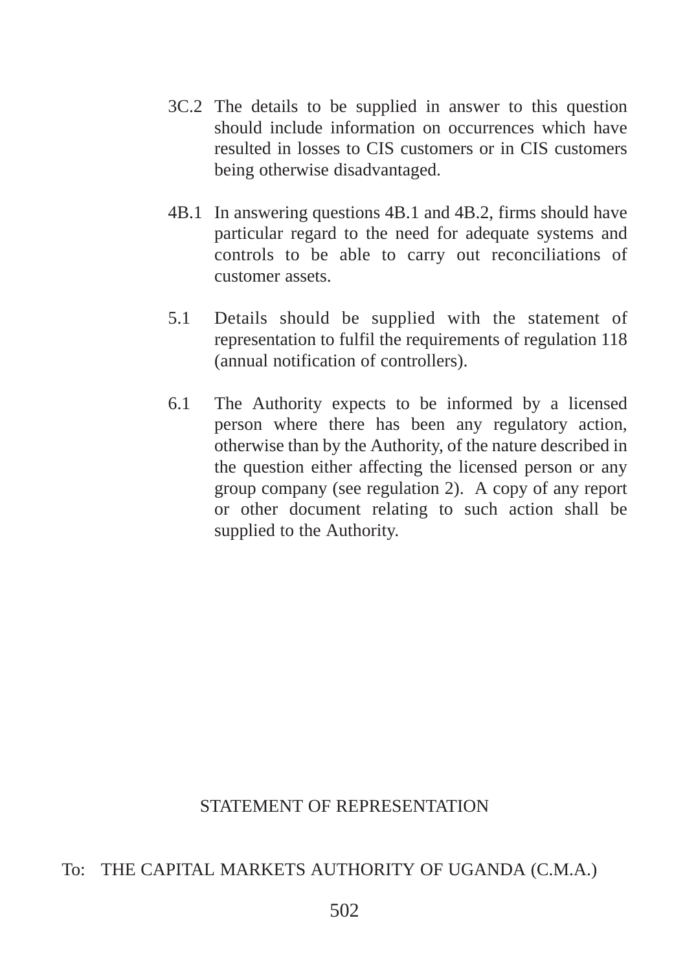- 3C.2 The details to be supplied in answer to this question should include information on occurrences which have resulted in losses to CIS customers or in CIS customers being otherwise disadvantaged.
- 4B.1 In answering questions 4B.1 and 4B.2, firms should have particular regard to the need for adequate systems and controls to be able to carry out reconciliations of customer assets.
- 5.1 Details should be supplied with the statement of representation to fulfil the requirements of regulation 118 (annual notification of controllers).
- 6.1 The Authority expects to be informed by a licensed person where there has been any regulatory action, otherwise than by the Authority, of the nature described in the question either affecting the licensed person or any group company (see regulation 2). A copy of any report or other document relating to such action shall be supplied to the Authority.

### STATEMENT OF REPRESENTATION

### To: THE CAPITAL MARKETS AUTHORITY OF UGANDA (C.M.A.)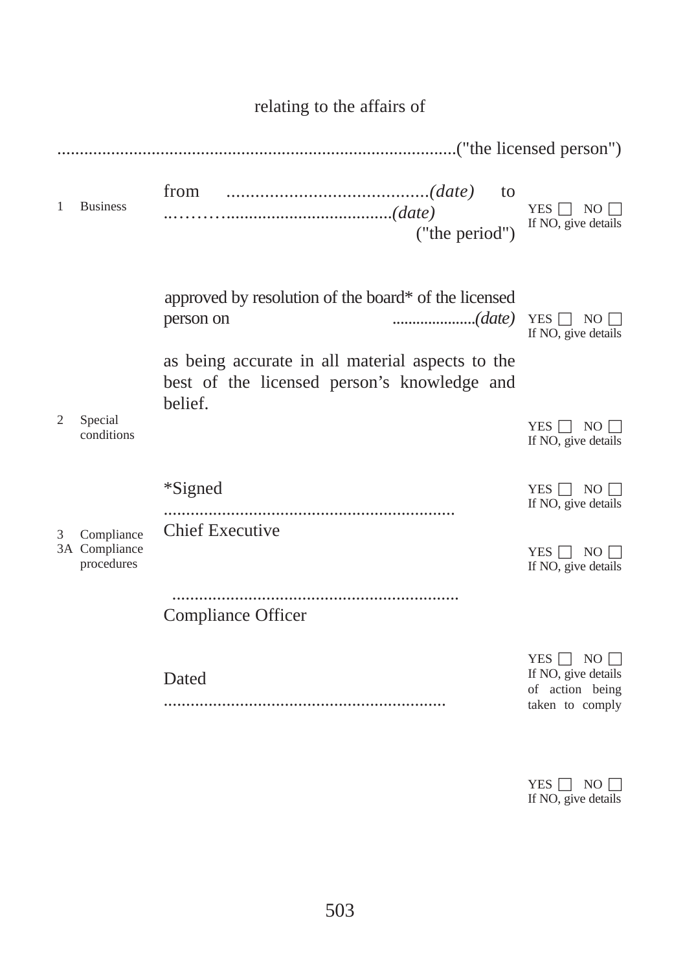| 1 | <b>Business</b>                           | to<br>("the period")                                                                                                                                                           | $NO \Box$<br>YES  <br>If NO, give details                                |
|---|-------------------------------------------|--------------------------------------------------------------------------------------------------------------------------------------------------------------------------------|--------------------------------------------------------------------------|
|   |                                           | approved by resolution of the board* of the licensed<br>(date)<br>person on<br>as being accurate in all material aspects to the<br>best of the licensed person's knowledge and | YES $\Box$ NO $\Box$<br>If NO, give details                              |
| 2 | Special<br>conditions                     | belief.                                                                                                                                                                        | $YES \Box NO \Box$<br>If NO, give details                                |
|   |                                           | *Signed<br><b>Chief Executive</b>                                                                                                                                              | $YES$ $\Box$<br>NO L<br>If NO, give details                              |
| 3 | Compliance<br>3A Compliance<br>procedures |                                                                                                                                                                                | YES<br>NO <sub>1</sub><br>If NO, give details                            |
|   |                                           | Compliance Officer                                                                                                                                                             |                                                                          |
|   |                                           | Dated                                                                                                                                                                          | NO<br>YES  <br>If NO, give details<br>of action being<br>taken to comply |
|   |                                           |                                                                                                                                                                                |                                                                          |

## relating to the affairs of

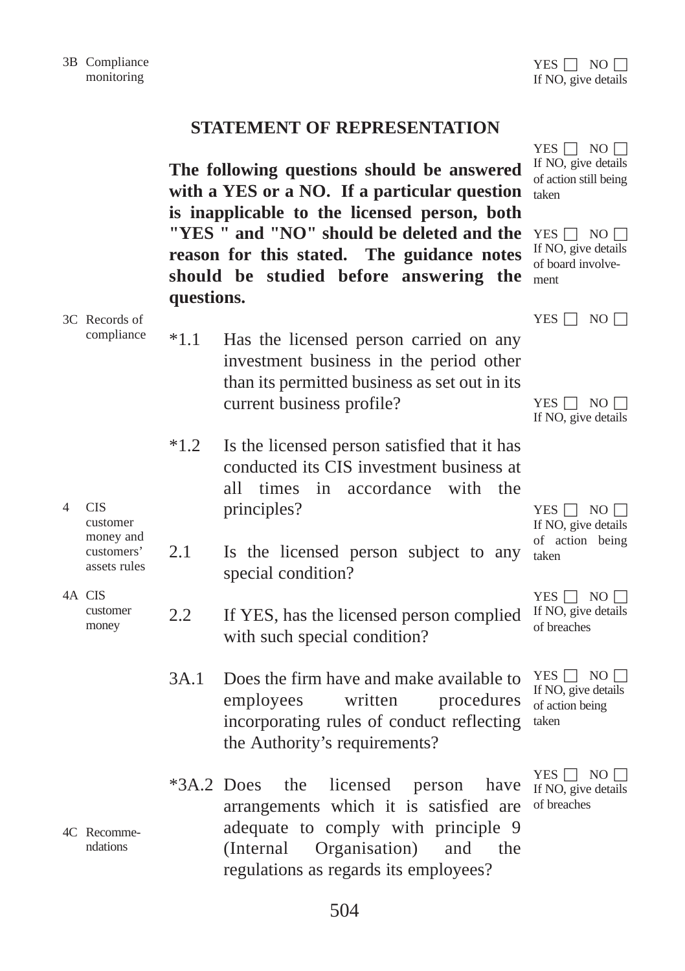# **STATEMENT OF REPRESENTATION**

|   |                                                                   | questions.    | The following questions should be answered<br>with a YES or a NO. If a particular question<br>is inapplicable to the licensed person, both<br>"YES " and "NO" should be deleted and the<br>reason for this stated. The guidance notes<br>should be studied before answering the | YES $\Box$ NO $\Box$<br>If NO, give details<br>of action still being<br>taken<br>YES $\Box$ NO $\Box$<br>If NO, give details<br>of board involve-<br>ment |
|---|-------------------------------------------------------------------|---------------|---------------------------------------------------------------------------------------------------------------------------------------------------------------------------------------------------------------------------------------------------------------------------------|-----------------------------------------------------------------------------------------------------------------------------------------------------------|
|   | 3C Records of<br>compliance                                       | $*1.1$        | Has the licensed person carried on any<br>investment business in the period other<br>than its permitted business as set out in its<br>current business profile?                                                                                                                 | YES $\Box$ NO $\Box$<br>YES $\Box$ NO $\Box$<br>If NO, give details                                                                                       |
| 4 | <b>CIS</b><br>customer<br>money and<br>customers'<br>assets rules | $*1.2$<br>2.1 | Is the licensed person satisfied that it has<br>conducted its CIS investment business at<br>all-<br>times<br>in accordance with<br>the<br>principles?<br>Is the licensed person subject to any<br>special condition?                                                            | YES $\Box$ NO $\Box$<br>If NO, give details<br>of action being<br>taken                                                                                   |
|   | 4A CIS<br>customer<br>money                                       | 2.2           | If YES, has the licensed person complied<br>with such special condition?                                                                                                                                                                                                        | $YES$ $\vert$ NO $\vert$<br>If NO, give details<br>of breaches                                                                                            |
|   |                                                                   | 3A.1          | Does the firm have and make available to<br>written<br>employees<br>procedures<br>incorporating rules of conduct reflecting<br>the Authority's requirements?                                                                                                                    | $YES \mid NO \mid$<br>If NO, give details<br>of action being<br>taken                                                                                     |
|   | 4C Recomme-<br>ndations                                           | $*3A.2$ Does  | the<br>licensed<br>person<br>have<br>arrangements which it is satisfied are<br>adequate to comply with principle 9<br>(Internal<br>Organisation)<br>and<br>the<br>regulations as regards its employees?                                                                         | $YES \t{No}$<br>If NO, give details<br>of breaches                                                                                                        |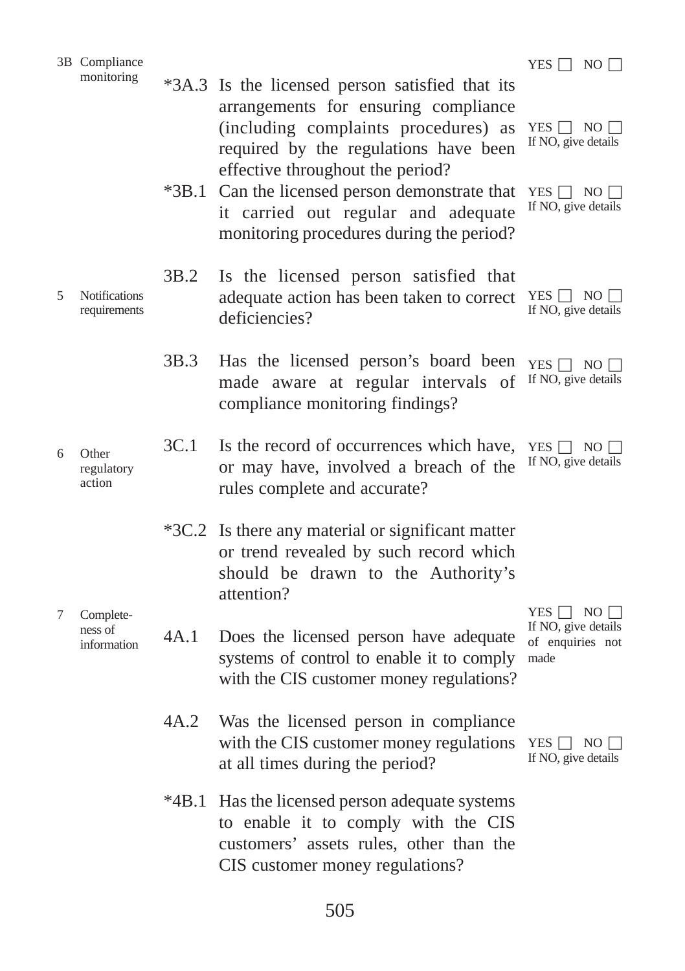|   | 3B Compliance                        |         |                                                                                                                                                                                                                                                                                                                                                   | YES $\Box$ NO $\Box$                                                                       |
|---|--------------------------------------|---------|---------------------------------------------------------------------------------------------------------------------------------------------------------------------------------------------------------------------------------------------------------------------------------------------------------------------------------------------------|--------------------------------------------------------------------------------------------|
|   | monitoring                           |         | *3A.3 Is the licensed person satisfied that its<br>arrangements for ensuring compliance<br>(including complaints procedures) as<br>required by the regulations have been<br>effective throughout the period?<br>*3B.1 Can the licensed person demonstrate that<br>it carried out regular and adequate<br>monitoring procedures during the period? | YES $\Box$ NO $\Box$<br>If NO, give details<br>YES $\Box$ NO $\Box$<br>If NO, give details |
| 5 | <b>Notifications</b><br>requirements | 3B.2    | Is the licensed person satisfied that<br>adequate action has been taken to correct<br>deficiencies?                                                                                                                                                                                                                                               | YES $\Box$ NO $\Box$<br>If NO, give details                                                |
|   |                                      | 3B.3    | Has the licensed person's board been<br>made aware at regular intervals of<br>compliance monitoring findings?                                                                                                                                                                                                                                     | YES $\Box$ NO $\Box$<br>If NO, give details                                                |
| 6 | Other<br>regulatory<br>action        | 3C.1    | Is the record of occurrences which have,<br>or may have, involved a breach of the<br>rules complete and accurate?                                                                                                                                                                                                                                 | YES $\Box$ NO $\Box$<br>If NO, give details                                                |
|   |                                      | $*3C.2$ | Is there any material or significant matter<br>or trend revealed by such record which<br>should be drawn to the Authority's<br>attention?                                                                                                                                                                                                         |                                                                                            |
| 7 | Complete-<br>ness of<br>information  | 4A.1    | Does the licensed person have adequate<br>systems of control to enable it to comply<br>with the CIS customer money regulations?                                                                                                                                                                                                                   | YES $\Box$ NO $\Box$<br>If NO, give details<br>of enquiries not<br>made                    |
|   |                                      | 4A.2    | Was the licensed person in compliance<br>with the CIS customer money regulations<br>at all times during the period?                                                                                                                                                                                                                               | YES $\Box$ NO $\Box$<br>If NO, give details                                                |
|   |                                      | $*4B.1$ | Has the licensed person adequate systems<br>to enable it to comply with the CIS<br>customers' assets rules, other than the<br>CIS customer money regulations?                                                                                                                                                                                     |                                                                                            |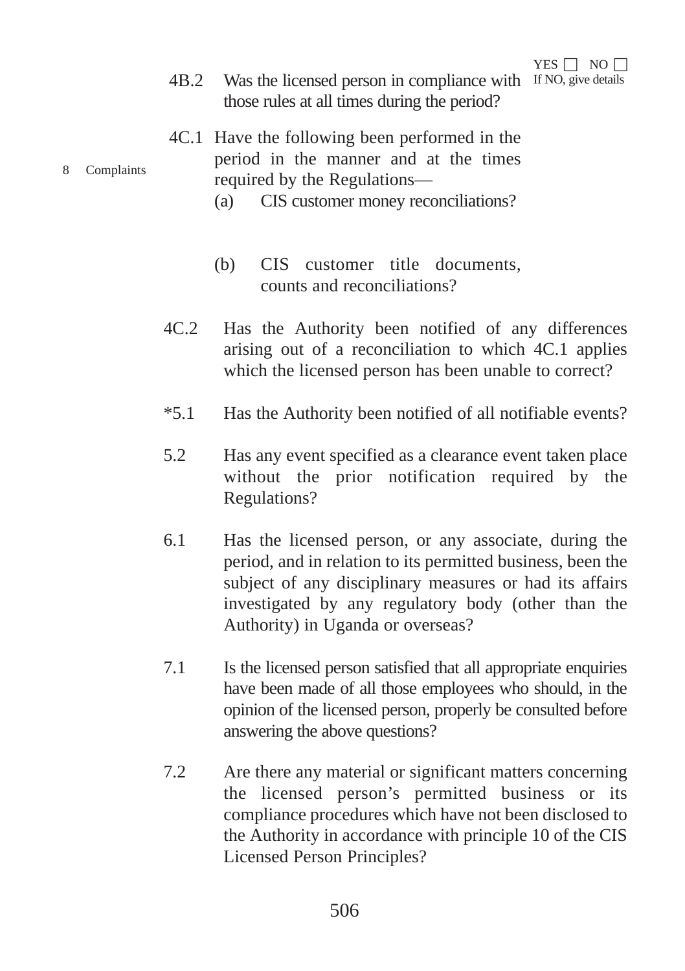- 4B.2 Was the licensed person in compliance with If NO, give details those rules at all times during the period?
- 4C.1 Have the following been performed in the period in the manner and at the times required by the Regulations—
	- (a) CIS customer money reconciliations?
	- (b) CIS customer title documents, counts and reconciliations?
- 4C.2 Has the Authority been notified of any differences arising out of a reconciliation to which 4C.1 applies which the licensed person has been unable to correct?
- \*5.1 Has the Authority been notified of all notifiable events?
- 5.2 Has any event specified as a clearance event taken place without the prior notification required by the Regulations?
- 6.1 Has the licensed person, or any associate, during the period, and in relation to its permitted business, been the subject of any disciplinary measures or had its affairs investigated by any regulatory body (other than the Authority) in Uganda or overseas?
- 7.1 Is the licensed person satisfied that all appropriate enquiries have been made of all those employees who should, in the opinion of the licensed person, properly be consulted before answering the above questions?
- 7.2 Are there any material or significant matters concerning the licensed person's permitted business or its compliance procedures which have not been disclosed to the Authority in accordance with principle 10 of the CIS Licensed Person Principles?

#### 8 Complaints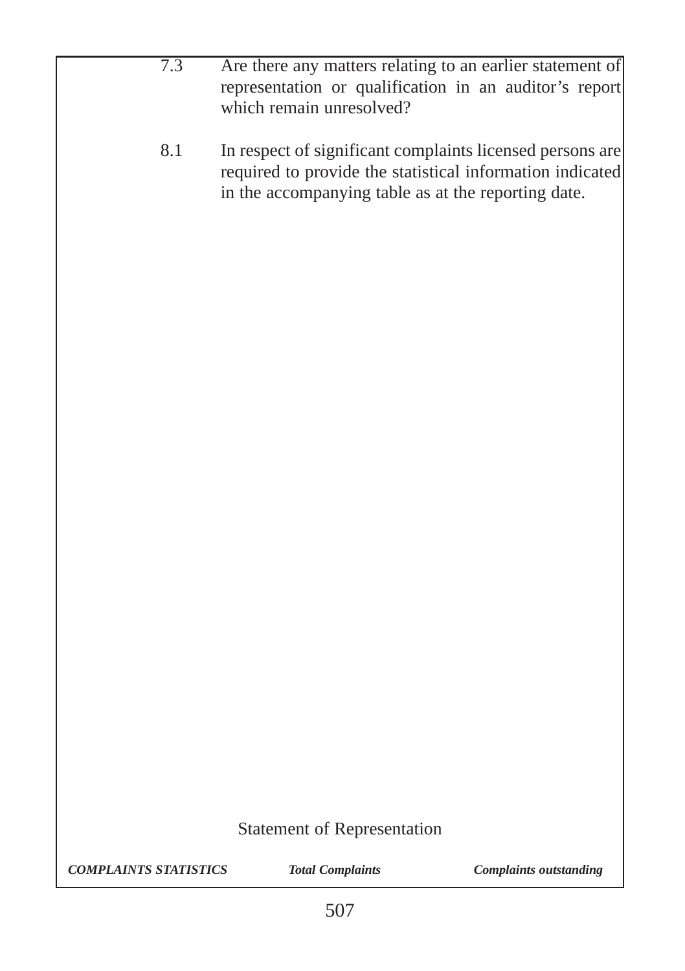- 7.3 Are there any matters relating to an earlier statement of representation or qualification in an auditor's report which remain unresolved?
	- 8.1 In respect of significant complaints licensed persons are required to provide the statistical information indicated in the accompanying table as at the reporting date.

## Statement of Representation

*COMPLAINTS STATISTICS Total Complaints Complaints outstanding*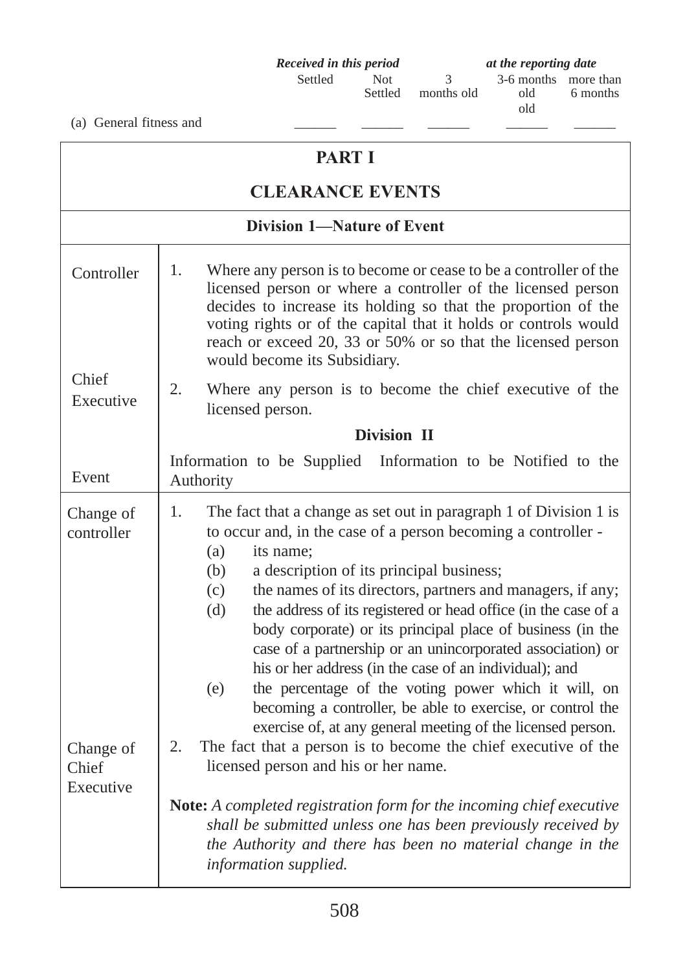**Received in this period** at the reporting date<br>Settled Not 3 3-6 months more months old

Not 3 3-6 months more than<br>Settled months old 6 months old

(a) General fitness and  $\qquad \qquad \blacksquare$ 

| <b>PART I</b>                   |                                                                                                                                                                                                                                                                                                                                                                                                                                                                                                                                                                                                                                                                                  |  |  |  |
|---------------------------------|----------------------------------------------------------------------------------------------------------------------------------------------------------------------------------------------------------------------------------------------------------------------------------------------------------------------------------------------------------------------------------------------------------------------------------------------------------------------------------------------------------------------------------------------------------------------------------------------------------------------------------------------------------------------------------|--|--|--|
|                                 | <b>CLEARANCE EVENTS</b>                                                                                                                                                                                                                                                                                                                                                                                                                                                                                                                                                                                                                                                          |  |  |  |
|                                 | <b>Division 1-Nature of Event</b>                                                                                                                                                                                                                                                                                                                                                                                                                                                                                                                                                                                                                                                |  |  |  |
| Controller                      | 1.<br>Where any person is to become or cease to be a controller of the<br>licensed person or where a controller of the licensed person<br>decides to increase its holding so that the proportion of the<br>voting rights or of the capital that it holds or controls would<br>reach or exceed 20, 33 or 50% or so that the licensed person<br>would become its Subsidiary.                                                                                                                                                                                                                                                                                                       |  |  |  |
| Chief<br>Executive              | Where any person is to become the chief executive of the<br>2.<br>licensed person.                                                                                                                                                                                                                                                                                                                                                                                                                                                                                                                                                                                               |  |  |  |
|                                 | Division II                                                                                                                                                                                                                                                                                                                                                                                                                                                                                                                                                                                                                                                                      |  |  |  |
| Event                           | Information to be Supplied Information to be Notified to the<br>Authority                                                                                                                                                                                                                                                                                                                                                                                                                                                                                                                                                                                                        |  |  |  |
| Change of<br>controller         | 1.<br>The fact that a change as set out in paragraph 1 of Division 1 is<br>to occur and, in the case of a person becoming a controller -<br>(a)<br>its name;<br>a description of its principal business;<br>(b)<br>the names of its directors, partners and managers, if any;<br>(c)<br>the address of its registered or head office (in the case of a<br>(d)<br>body corporate) or its principal place of business (in the<br>case of a partnership or an unincorporated association) or<br>his or her address (in the case of an individual); and<br>the percentage of the voting power which it will, on<br>(e)<br>becoming a controller, be able to exercise, or control the |  |  |  |
| Change of<br>Chief<br>Executive | exercise of, at any general meeting of the licensed person.<br>The fact that a person is to become the chief executive of the<br>2.<br>licensed person and his or her name.<br>Note: A completed registration form for the incoming chief executive<br>shall be submitted unless one has been previously received by<br>the Authority and there has been no material change in the<br>information supplied.                                                                                                                                                                                                                                                                      |  |  |  |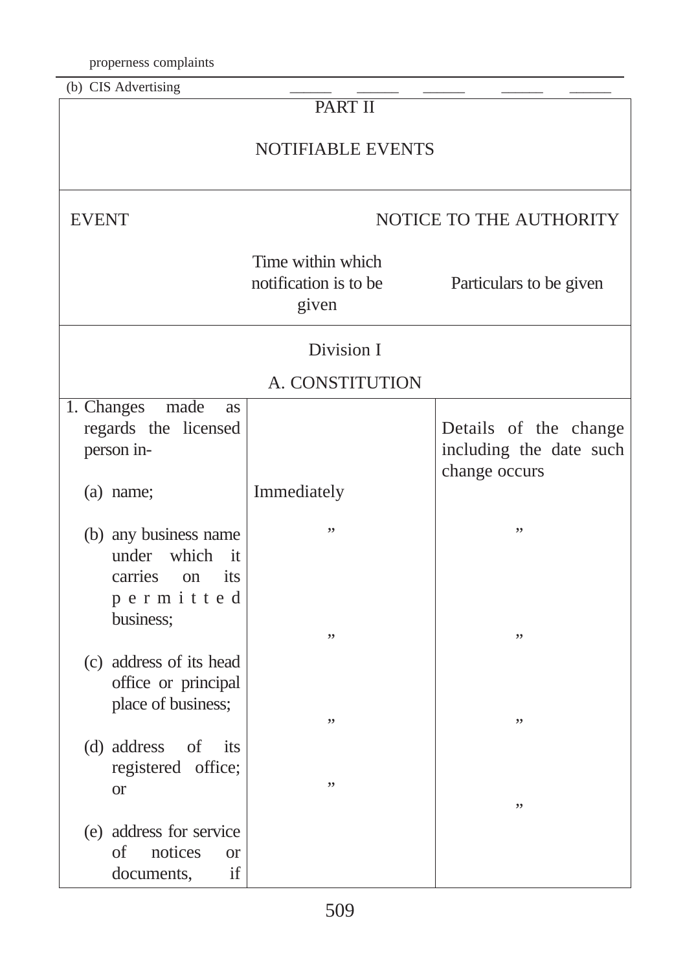properness complaints

| (b) CIS Advertising                                                                             |                                                     |                                                  |  |  |  |
|-------------------------------------------------------------------------------------------------|-----------------------------------------------------|--------------------------------------------------|--|--|--|
|                                                                                                 | <b>PART II</b>                                      |                                                  |  |  |  |
|                                                                                                 | <b>NOTIFIABLE EVENTS</b>                            |                                                  |  |  |  |
| <b>EVENT</b>                                                                                    | NOTICE TO THE AUTHORITY                             |                                                  |  |  |  |
|                                                                                                 | Time within which<br>notification is to be<br>given | Particulars to be given                          |  |  |  |
|                                                                                                 | Division I                                          |                                                  |  |  |  |
|                                                                                                 | A. CONSTITUTION                                     |                                                  |  |  |  |
| 1. Changes<br>made<br>as<br>regards the licensed<br>person in-                                  |                                                     | Details of the change<br>including the date such |  |  |  |
| (a) name;                                                                                       | Immediately                                         | change occurs                                    |  |  |  |
| (b) any business name<br>which<br>under<br>it<br>carries<br>its<br>on<br>permitted<br>business; | ,,<br>,,                                            | ,,<br>,,                                         |  |  |  |
| (c) address of its head<br>office or principal<br>place of business;                            | ,,                                                  | ,,                                               |  |  |  |
| (d) address<br>of<br>its<br>registered office;<br><b>or</b>                                     | ,,                                                  | ,,                                               |  |  |  |
| (e) address for service<br><sub>of</sub><br>notices<br><b>or</b><br>if<br>documents,            |                                                     |                                                  |  |  |  |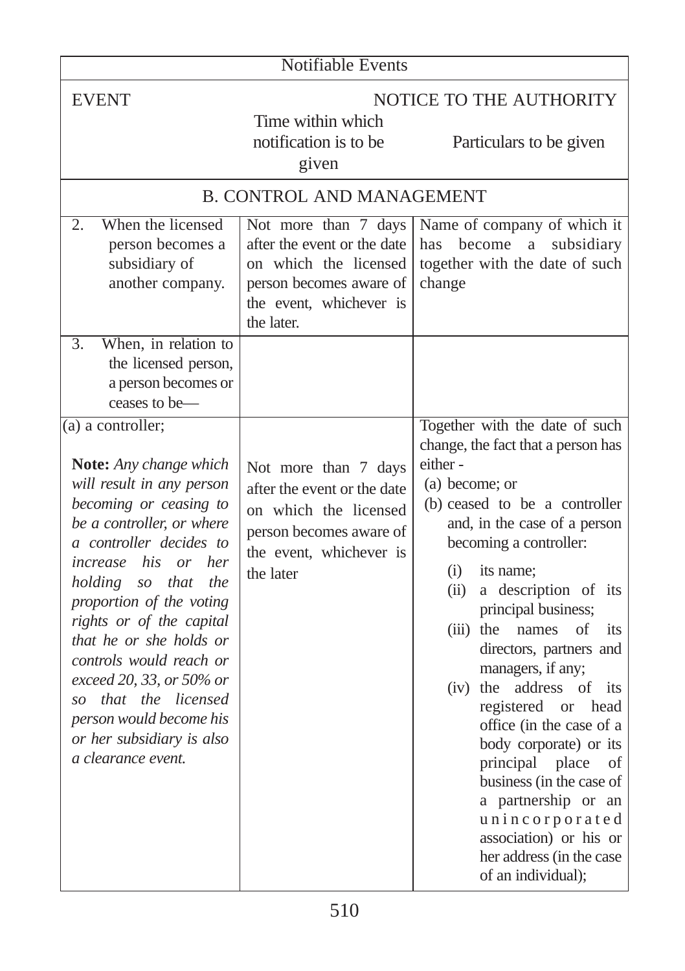| <b>Notifiable Events</b>                                                                                                                                                                                                                                                                                                                                                                                                                                            |                                                                                                                                                  |                                                                                                                                                                                                                                                                                                                                                                                                                                                                                                                                                                                                                                                        |  |
|---------------------------------------------------------------------------------------------------------------------------------------------------------------------------------------------------------------------------------------------------------------------------------------------------------------------------------------------------------------------------------------------------------------------------------------------------------------------|--------------------------------------------------------------------------------------------------------------------------------------------------|--------------------------------------------------------------------------------------------------------------------------------------------------------------------------------------------------------------------------------------------------------------------------------------------------------------------------------------------------------------------------------------------------------------------------------------------------------------------------------------------------------------------------------------------------------------------------------------------------------------------------------------------------------|--|
| <b>EVENT</b>                                                                                                                                                                                                                                                                                                                                                                                                                                                        | Time within which<br>notification is to be<br>given                                                                                              | NOTICE TO THE AUTHORITY<br>Particulars to be given                                                                                                                                                                                                                                                                                                                                                                                                                                                                                                                                                                                                     |  |
|                                                                                                                                                                                                                                                                                                                                                                                                                                                                     | <b>B. CONTROL AND MANAGEMENT</b>                                                                                                                 |                                                                                                                                                                                                                                                                                                                                                                                                                                                                                                                                                                                                                                                        |  |
| When the licensed<br>2.<br>person becomes a<br>subsidiary of<br>another company.                                                                                                                                                                                                                                                                                                                                                                                    | Not more than 7 days<br>after the event or the date<br>on which the licensed<br>person becomes aware of<br>the event, whichever is<br>the later. | Name of company of which it<br>become<br>has<br>$\mathbf{a}$<br>subsidiary<br>together with the date of such<br>change                                                                                                                                                                                                                                                                                                                                                                                                                                                                                                                                 |  |
| When, in relation to<br>3.<br>the licensed person,<br>a person becomes or<br>ceases to be-                                                                                                                                                                                                                                                                                                                                                                          |                                                                                                                                                  |                                                                                                                                                                                                                                                                                                                                                                                                                                                                                                                                                                                                                                                        |  |
| $(a)$ a controller;<br>Note: Any change which<br>will result in any person<br>becoming or ceasing to<br>be a controller, or where<br>a controller decides to<br>his or her<br>increase<br>holding<br>so that<br>the<br>proportion of the voting<br>rights or of the capital<br>that he or she holds or<br>controls would reach or<br>exceed 20, 33, or 50% or<br>so that the licensed<br>person would become his<br>or her subsidiary is also<br>a clearance event. | Not more than 7 days<br>after the event or the date<br>on which the licensed<br>person becomes aware of<br>the event, whichever is<br>the later  | Together with the date of such<br>change, the fact that a person has<br>either-<br>(a) become; or<br>(b) ceased to be a controller<br>and, in the case of a person<br>becoming a controller:<br>(i)<br>its name;<br>a description of its<br>(ii)<br>principal business;<br>$(iii)$ the<br>names<br>of<br>its<br>directors, partners and<br>managers, if any;<br>(iv) the address of<br>its<br>registered<br>or head<br>office (in the case of a<br>body corporate) or its<br>principal<br>place<br>of<br>business (in the case of<br>a partnership or an<br>unincorporated<br>association) or his or<br>her address (in the case<br>of an individual); |  |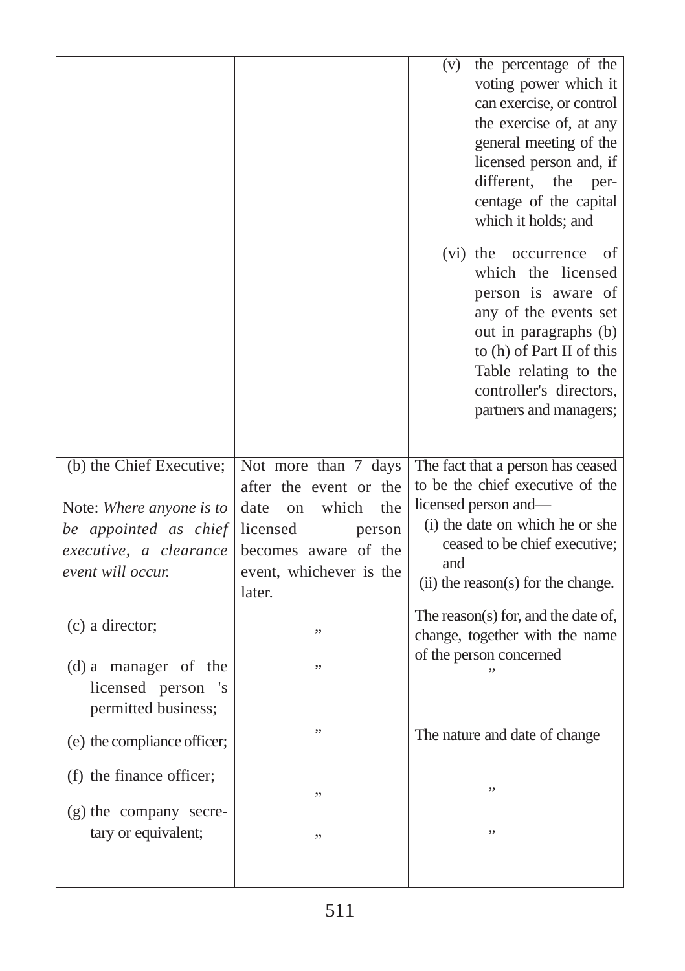|                                                                                                  |                                                                                                                                         | the percentage of the<br>(v)<br>voting power which it<br>can exercise, or control<br>the exercise of, at any<br>general meeting of the<br>licensed person and, if<br>different,<br>the<br>per-<br>centage of the capital<br>which it holds; and<br>$(vi)$ the<br>occurrence<br>of<br>which the licensed<br>person is aware of<br>any of the events set<br>out in paragraphs (b)<br>to (h) of Part II of this<br>Table relating to the<br>controller's directors,<br>partners and managers; |
|--------------------------------------------------------------------------------------------------|-----------------------------------------------------------------------------------------------------------------------------------------|--------------------------------------------------------------------------------------------------------------------------------------------------------------------------------------------------------------------------------------------------------------------------------------------------------------------------------------------------------------------------------------------------------------------------------------------------------------------------------------------|
| (b) the Chief Executive;                                                                         | Not more than 7 days                                                                                                                    | The fact that a person has ceased                                                                                                                                                                                                                                                                                                                                                                                                                                                          |
| Note: Where anyone is to<br>be appointed as chief<br>executive, a clearance<br>event will occur. | after the event or the<br>date<br>which<br>the<br>on<br>licensed<br>person<br>becomes aware of the<br>event, whichever is the<br>later. | to be the chief executive of the<br>licensed person and-<br>(i) the date on which he or she<br>ceased to be chief executive;<br>and<br>(ii) the reason(s) for the change.                                                                                                                                                                                                                                                                                                                  |
| (c) a director;                                                                                  | ,,                                                                                                                                      | The reason(s) for, and the date of,                                                                                                                                                                                                                                                                                                                                                                                                                                                        |
|                                                                                                  |                                                                                                                                         | change, together with the name<br>of the person concerned                                                                                                                                                                                                                                                                                                                                                                                                                                  |
| (d) a manager of the<br>licensed person<br>'s<br>permitted business;                             | ,,                                                                                                                                      |                                                                                                                                                                                                                                                                                                                                                                                                                                                                                            |
| (e) the compliance officer;                                                                      |                                                                                                                                         | The nature and date of change                                                                                                                                                                                                                                                                                                                                                                                                                                                              |
| (f) the finance officer;                                                                         | ,,                                                                                                                                      |                                                                                                                                                                                                                                                                                                                                                                                                                                                                                            |
| (g) the company secre-<br>tary or equivalent;                                                    | ,,                                                                                                                                      | ,,                                                                                                                                                                                                                                                                                                                                                                                                                                                                                         |
|                                                                                                  |                                                                                                                                         |                                                                                                                                                                                                                                                                                                                                                                                                                                                                                            |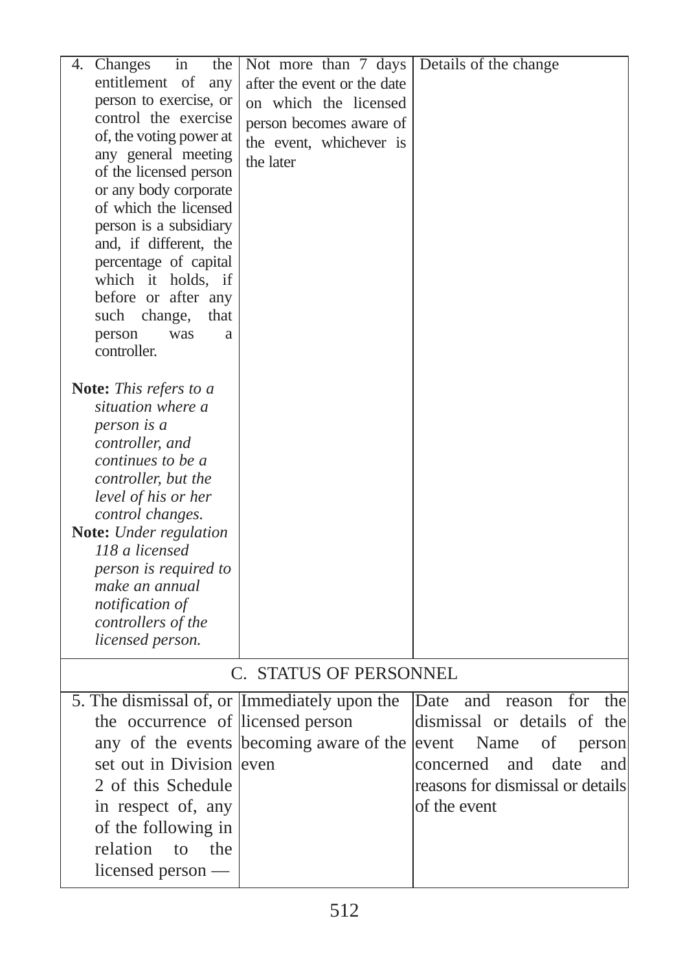| 4.<br>Changes<br>the<br>in                    | Not more than 7 days                    | Details of the change               |
|-----------------------------------------------|-----------------------------------------|-------------------------------------|
| entitlement of<br>any                         | after the event or the date             |                                     |
| person to exercise, or                        | on which the licensed                   |                                     |
| control the exercise                          |                                         |                                     |
| of, the voting power at                       | person becomes aware of                 |                                     |
| any general meeting                           | the event, whichever is                 |                                     |
| of the licensed person                        | the later                               |                                     |
| or any body corporate                         |                                         |                                     |
| of which the licensed                         |                                         |                                     |
| person is a subsidiary                        |                                         |                                     |
| and, if different, the                        |                                         |                                     |
| percentage of capital                         |                                         |                                     |
| which it holds, if                            |                                         |                                     |
| before or after any                           |                                         |                                     |
| such<br>change,<br>that<br>person<br>was<br>a |                                         |                                     |
| controller.                                   |                                         |                                     |
|                                               |                                         |                                     |
| Note: This refers to a                        |                                         |                                     |
| situation where a                             |                                         |                                     |
| person is a                                   |                                         |                                     |
| controller, and                               |                                         |                                     |
| continues to be a                             |                                         |                                     |
| controller, but the                           |                                         |                                     |
| level of his or her                           |                                         |                                     |
| control changes.<br>Note: Under regulation    |                                         |                                     |
| 118 a licensed                                |                                         |                                     |
| person is required to                         |                                         |                                     |
| make an annual                                |                                         |                                     |
| <i>notification of</i>                        |                                         |                                     |
| controllers of the                            |                                         |                                     |
| licensed person.                              |                                         |                                     |
|                                               | C. STATUS OF PERSONNEL                  |                                     |
|                                               |                                         |                                     |
| 5. The dismissal of, or Immediately upon the  |                                         | for<br>the<br>Date<br>and<br>reason |
| the occurrence of licensed person             |                                         | dismissal or details of the         |
|                                               | any of the events becoming aware of the | event<br>Name<br>οf<br>person       |
| set out in Division                           | leven                                   | date<br>concerned<br>and<br>and     |
| 2 of this Schedule                            |                                         | reasons for dismissal or details    |
| in respect of, any                            |                                         | of the event                        |
| of the following in                           |                                         |                                     |
| relation<br>to<br>the                         |                                         |                                     |
| licensed person —                             |                                         |                                     |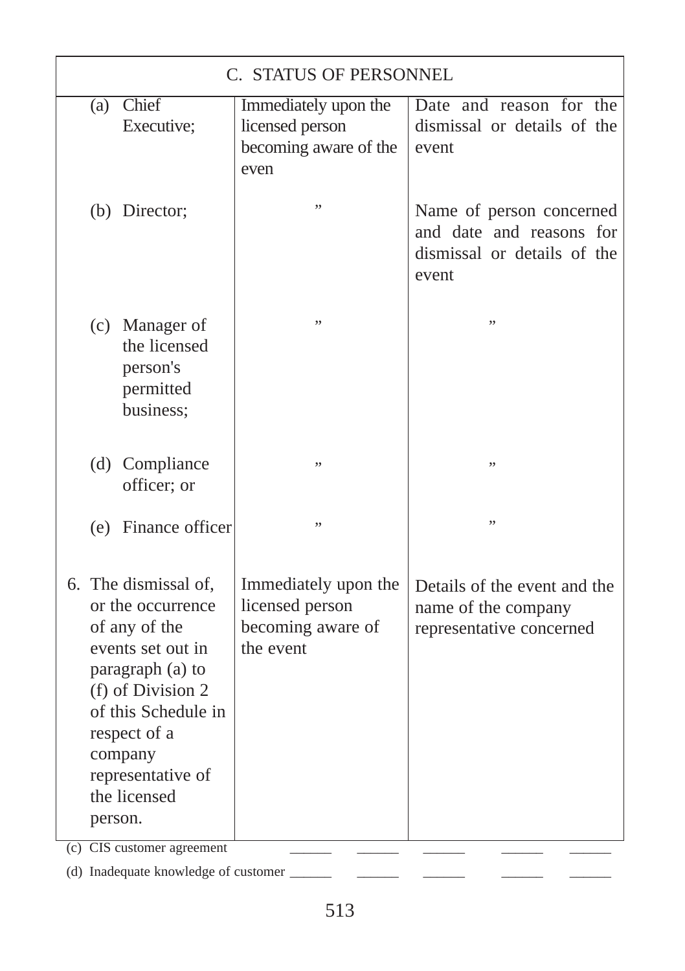|                                                                                                                                                                                                                            | C. STATUS OF PERSONNEL                                               |                                                                           |                                                                                              |  |
|----------------------------------------------------------------------------------------------------------------------------------------------------------------------------------------------------------------------------|----------------------------------------------------------------------|---------------------------------------------------------------------------|----------------------------------------------------------------------------------------------|--|
| (a)                                                                                                                                                                                                                        | Chief<br>Executive;                                                  | Immediately upon the<br>licensed person<br>becoming aware of the<br>even  | Date and reason for the<br>dismissal or details of the<br>event                              |  |
|                                                                                                                                                                                                                            | (b) Director;                                                        | ,,                                                                        | Name of person concerned<br>and date and reasons for<br>dismissal or details of the<br>event |  |
|                                                                                                                                                                                                                            | (c) Manager of<br>the licensed<br>person's<br>permitted<br>business; | ,,                                                                        | ,,                                                                                           |  |
|                                                                                                                                                                                                                            | (d) Compliance<br>officer; or                                        | ,,                                                                        | ,,                                                                                           |  |
|                                                                                                                                                                                                                            | (e) Finance officer                                                  | ,,                                                                        | ,,                                                                                           |  |
| 6. The dismissal of,<br>or the occurrence<br>of any of the<br>events set out in<br>paragraph (a) to<br>(f) of Division 2<br>of this Schedule in<br>respect of a<br>company<br>representative of<br>the licensed<br>person. |                                                                      | Immediately upon the<br>licensed person<br>becoming aware of<br>the event | Details of the event and the<br>name of the company<br>representative concerned              |  |

(c) CIS customer agreement \_\_\_\_\_\_ \_\_\_\_\_\_ \_\_\_\_\_\_ \_\_\_\_\_\_ \_\_\_\_\_\_

(d) Inadequate knowledge of customer \_\_\_\_\_\_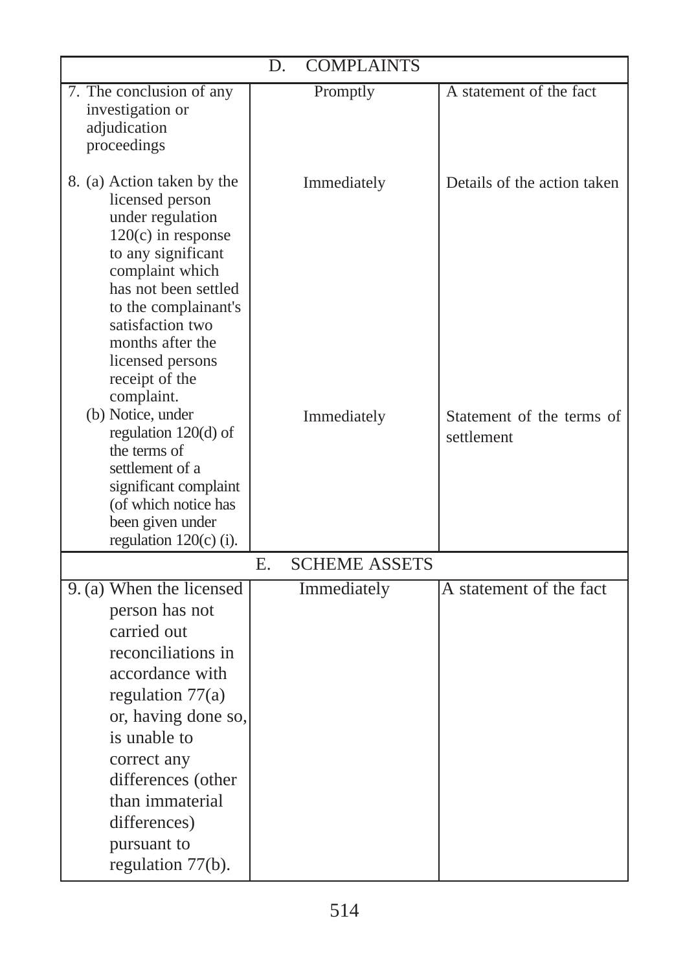| <b>COMPLAINTS</b><br>D.                                                                                                                                                                                                                                                                                                                                                                                                                                           |                            |                                                                        |  |  |  |
|-------------------------------------------------------------------------------------------------------------------------------------------------------------------------------------------------------------------------------------------------------------------------------------------------------------------------------------------------------------------------------------------------------------------------------------------------------------------|----------------------------|------------------------------------------------------------------------|--|--|--|
| 7. The conclusion of any<br>investigation or<br>adjudication<br>proceedings                                                                                                                                                                                                                                                                                                                                                                                       | Promptly                   | A statement of the fact                                                |  |  |  |
| 8. (a) Action taken by the<br>licensed person<br>under regulation<br>$120(c)$ in response<br>to any significant<br>complaint which<br>has not been settled<br>to the complainant's<br>satisfaction two<br>months after the<br>licensed persons<br>receipt of the<br>complaint.<br>(b) Notice, under<br>regulation $120(d)$ of<br>the terms of<br>settlement of a<br>significant complaint<br>(of which notice has<br>been given under<br>regulation $120(c)$ (i). | Immediately<br>Immediately | Details of the action taken<br>Statement of the terms of<br>settlement |  |  |  |
|                                                                                                                                                                                                                                                                                                                                                                                                                                                                   | <b>SCHEME ASSETS</b><br>Е. |                                                                        |  |  |  |
| 9. (a) When the licensed<br>person has not<br>carried out<br>reconciliations in<br>accordance with<br>regulation $77(a)$<br>or, having done so,<br>is unable to<br>correct any<br>differences (other<br>than immaterial<br>differences)<br>pursuant to<br>regulation 77(b).                                                                                                                                                                                       | Immediately                | A statement of the fact                                                |  |  |  |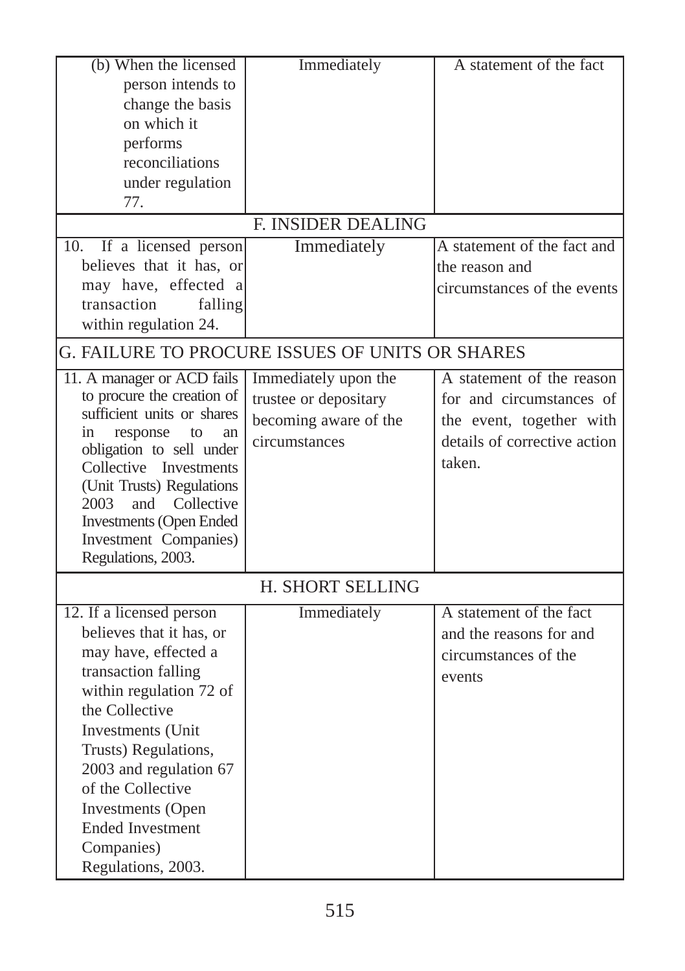| (b) When the licensed                               | Immediately                                     | A statement of the fact      |
|-----------------------------------------------------|-------------------------------------------------|------------------------------|
| person intends to                                   |                                                 |                              |
| change the basis                                    |                                                 |                              |
| on which it                                         |                                                 |                              |
| performs                                            |                                                 |                              |
| reconciliations                                     |                                                 |                              |
| under regulation                                    |                                                 |                              |
| 77.                                                 |                                                 |                              |
|                                                     | <b>F. INSIDER DEALING</b>                       |                              |
| 10. If a licensed person                            | Immediately                                     | A statement of the fact and  |
| believes that it has, or                            |                                                 | the reason and               |
| may have, effected a                                |                                                 | circumstances of the events  |
| transaction<br>falling                              |                                                 |                              |
| within regulation 24.                               |                                                 |                              |
|                                                     |                                                 |                              |
|                                                     | G. FAILURE TO PROCURE ISSUES OF UNITS OR SHARES |                              |
| 11. A manager or ACD fails                          | Immediately upon the                            | A statement of the reason    |
| to procure the creation of                          | trustee or depositary                           | for and circumstances of     |
| sufficient units or shares                          | becoming aware of the                           | the event, together with     |
| response<br>to<br>in<br>an                          | circumstances                                   | details of corrective action |
| obligation to sell under                            |                                                 | taken.                       |
| Collective Investments                              |                                                 |                              |
| (Unit Trusts) Regulations<br>2003<br>and Collective |                                                 |                              |
| <b>Investments (Open Ended</b>                      |                                                 |                              |
| Investment Companies)                               |                                                 |                              |
| Regulations, 2003.                                  |                                                 |                              |
|                                                     |                                                 |                              |
|                                                     | H. SHORT SELLING                                |                              |
| 12. If a licensed person                            | Immediately                                     | A statement of the fact      |
| believes that it has, or                            |                                                 | and the reasons for and      |
| may have, effected a                                |                                                 | circumstances of the         |
| transaction falling                                 |                                                 | events                       |
| within regulation 72 of                             |                                                 |                              |
| the Collective                                      |                                                 |                              |
| Investments (Unit                                   |                                                 |                              |
| Trusts) Regulations,                                |                                                 |                              |
| 2003 and regulation 67                              |                                                 |                              |
| of the Collective                                   |                                                 |                              |
| Investments (Open                                   |                                                 |                              |
| <b>Ended Investment</b>                             |                                                 |                              |
| Companies)                                          |                                                 |                              |
| Regulations, 2003.                                  |                                                 |                              |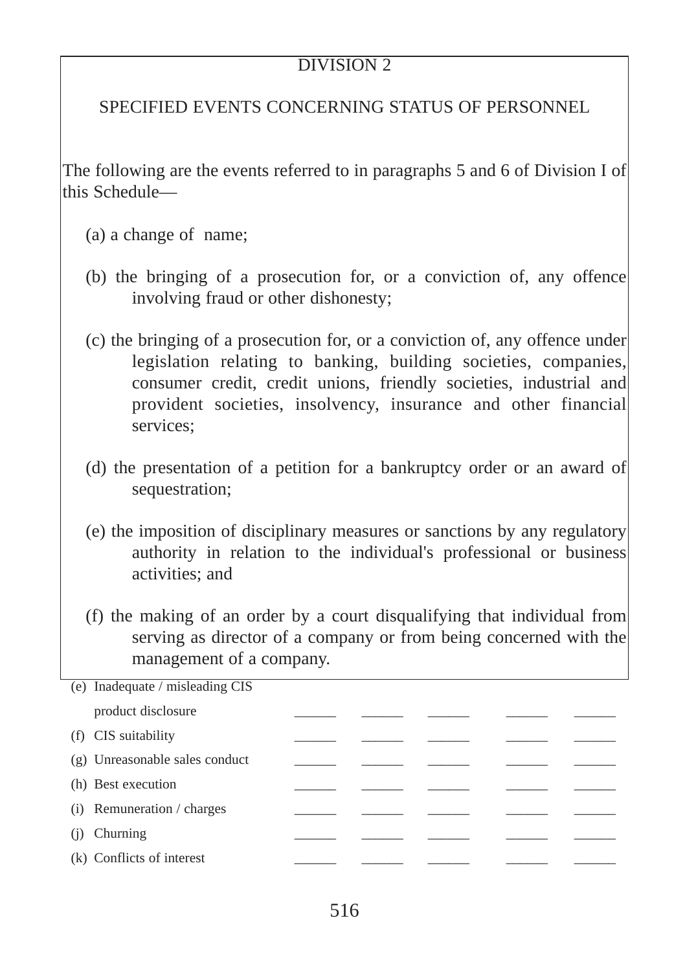## DIVISION<sub>2</sub>

## SPECIFIED EVENTS CONCERNING STATUS OF PERSONNEL

The following are the events referred to in paragraphs 5 and 6 of Division I of this Schedule—

- (a) a change of name;
- (b) the bringing of a prosecution for, or a conviction of, any offence involving fraud or other dishonesty;
- (c) the bringing of a prosecution for, or a conviction of, any offence under legislation relating to banking, building societies, companies, consumer credit, credit unions, friendly societies, industrial and provident societies, insolvency, insurance and other financial services;
- (d) the presentation of a petition for a bankruptcy order or an award of sequestration;
- (e) the imposition of disciplinary measures or sanctions by any regulatory authority in relation to the individual's professional or business activities; and
- (f) the making of an order by a court disqualifying that individual from serving as director of a company or from being concerned with the management of a company.

| (e) Inadequate / misleading CIS |  |  |  |
|---------------------------------|--|--|--|
| product disclosure              |  |  |  |
| (f) CIS suitability             |  |  |  |
| (g) Unreasonable sales conduct  |  |  |  |
| (h) Best execution              |  |  |  |
| $(i)$ Remuneration / charges    |  |  |  |
| Churning<br>(i)                 |  |  |  |
| (k) Conflicts of interest       |  |  |  |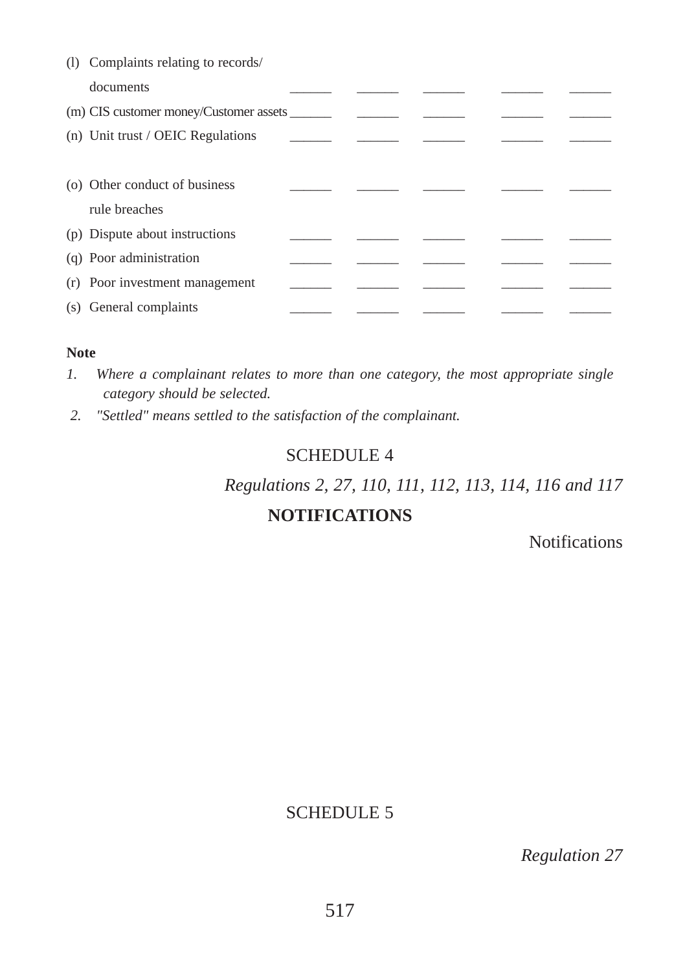| (1) Complaints relating to records/    |  |  |  |
|----------------------------------------|--|--|--|
| documents                              |  |  |  |
| (m) CIS customer money/Customer assets |  |  |  |
| (n) Unit trust / OEIC Regulations      |  |  |  |
|                                        |  |  |  |
| (o) Other conduct of business          |  |  |  |
| rule breaches                          |  |  |  |
| (p) Dispute about instructions         |  |  |  |
| (q) Poor administration                |  |  |  |
| (r) Poor investment management         |  |  |  |
| (s) General complaints                 |  |  |  |

#### **Note**

- *1. Where a complainant relates to more than one category, the most appropriate single category should be selected.*
- *2. "Settled" means settled to the satisfaction of the complainant.*

### SCHEDULE 4

*Regulations 2, 27, 110, 111, 112, 113, 114, 116 and 117* 

## **NOTIFICATIONS**

**Notifications** 

## SCHEDULE 5

*Regulation 27*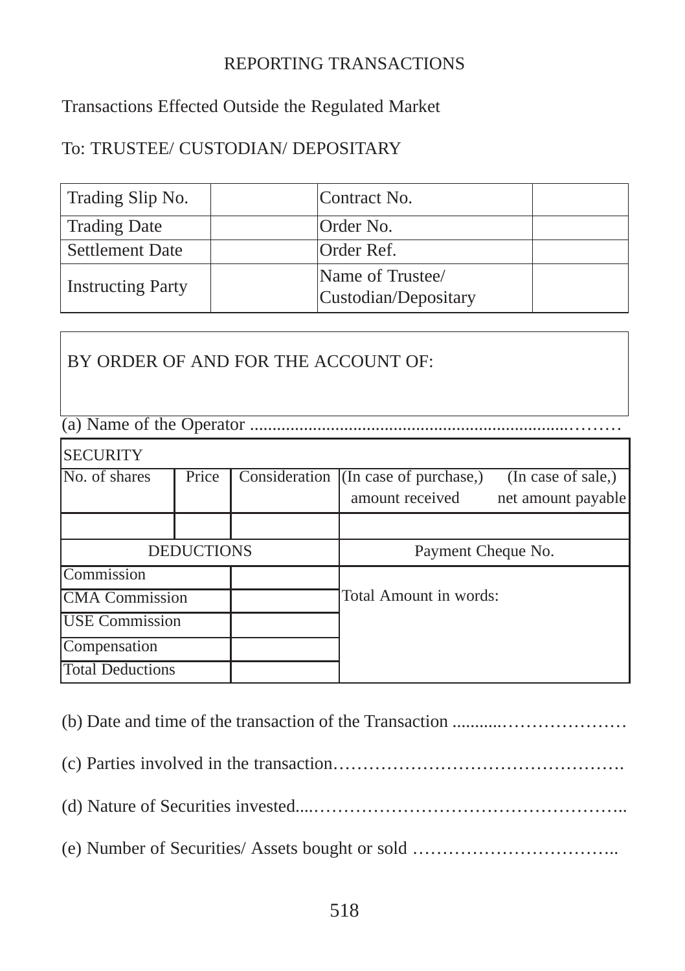## REPORTING TRANSACTIONS

Transactions Effected Outside the Regulated Market

## To: TRUSTEE/ CUSTODIAN/ DEPOSITARY

| Trading Slip No.         | Contract No.                             |  |
|--------------------------|------------------------------------------|--|
| <b>Trading Date</b>      | Order No.                                |  |
| <b>Settlement Date</b>   | Order Ref.                               |  |
| <b>Instructing Party</b> | Name of Trustee/<br>Custodian/Depositary |  |

BY ORDER OF AND FOR THE ACCOUNT OF:

(a) Name of the Operator .......................................................................………

| <b>SECURITY</b>         |       |                        |                                                         |                                          |
|-------------------------|-------|------------------------|---------------------------------------------------------|------------------------------------------|
| No. of shares           | Price |                        | Consideration (In case of purchase,)<br>amount received | (In case of sale,)<br>net amount payable |
|                         |       |                        |                                                         |                                          |
| <b>DEDUCTIONS</b>       |       | Payment Cheque No.     |                                                         |                                          |
| Commission              |       |                        |                                                         |                                          |
| <b>CMA</b> Commission   |       | Total Amount in words: |                                                         |                                          |
| <b>USE</b> Commission   |       |                        |                                                         |                                          |
| Compensation            |       |                        |                                                         |                                          |
| <b>Total Deductions</b> |       |                        |                                                         |                                          |

(b) Date and time of the transaction of the Transaction ...........………………… (c) Parties involved in the transaction…………………………………………. (d) Nature of Securities invested....…………………………………………….. (e) Number of Securities/ Assets bought or sold ……………………………..